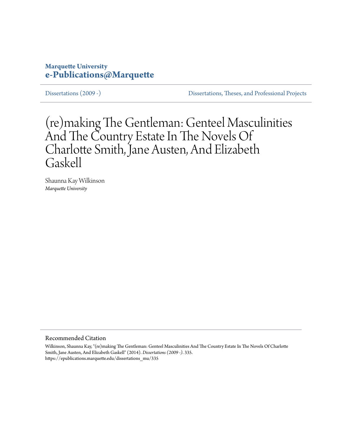## **Marquette University [e-Publications@Marquette](https://epublications.marquette.edu)**

[Dissertations \(2009 -\)](https://epublications.marquette.edu/dissertations_mu) [Dissertations, Theses, and Professional Projects](https://epublications.marquette.edu/diss_theses)

# (re)making The Gentleman: Genteel Masculinities And The Country Estate In The Novels Of Charlotte Smith, Jane Austen, And Elizabeth Gaskell

Shaunna Kay Wilkinson *Marquette University*

Recommended Citation

Wilkinson, Shaunna Kay, "(re)making The Gentleman: Genteel Masculinities And The Country Estate In The Novels Of Charlotte Smith, Jane Austen, And Elizabeth Gaskell" (2014). *Dissertations (2009 -)*. 335. https://epublications.marquette.edu/dissertations\_mu/335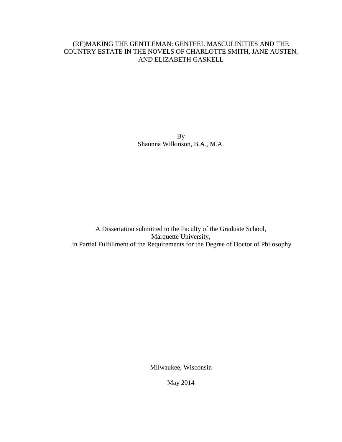## (RE)MAKING THE GENTLEMAN: GENTEEL MASCULINITIES AND THE COUNTRY ESTATE IN THE NOVELS OF CHARLOTTE SMITH, JANE AUSTEN, AND ELIZABETH GASKELL

By Shaunna Wilkinson, B.A., M.A.

A Dissertation submitted to the Faculty of the Graduate School, Marquette University, in Partial Fulfillment of the Requirements for the Degree of Doctor of Philosophy

Milwaukee, Wisconsin

May 2014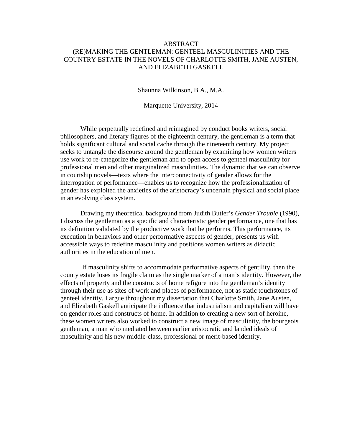### ABSTRACT (RE)MAKING THE GENTLEMAN: GENTEEL MASCULINITIES AND THE COUNTRY ESTATE IN THE NOVELS OF CHARLOTTE SMITH, JANE AUSTEN, AND ELIZABETH GASKELL

Shaunna Wilkinson, B.A., M.A.

Marquette University, 2014

While perpetually redefined and reimagined by conduct books writers, social philosophers, and literary figures of the eighteenth century, the gentleman is a term that holds significant cultural and social cache through the nineteenth century. My project seeks to untangle the discourse around the gentleman by examining how women writers use work to re-categorize the gentleman and to open access to genteel masculinity for professional men and other marginalized masculinities. The dynamic that we can observe in courtship novels—texts where the interconnectivity of gender allows for the interrogation of performance—enables us to recognize how the professionalization of gender has exploited the anxieties of the aristocracy's uncertain physical and social place in an evolving class system.

Drawing my theoretical background from Judith Butler's *Gender Trouble* (1990), I discuss the gentleman as a specific and characteristic gender performance, one that has its definition validated by the productive work that he performs. This performance, its execution in behaviors and other performative aspects of gender, presents us with accessible ways to redefine masculinity and positions women writers as didactic authorities in the education of men.

 If masculinity shifts to accommodate performative aspects of gentility, then the county estate loses its fragile claim as the single marker of a man's identity. However, the effects of property and the constructs of home refigure into the gentleman's identity through their use as sites of work and places of performance, not as static touchstones of genteel identity. I argue throughout my dissertation that Charlotte Smith, Jane Austen, and Elizabeth Gaskell anticipate the influence that industrialism and capitalism will have on gender roles and constructs of home. In addition to creating a new sort of heroine, these women writers also worked to construct a new image of masculinity, the bourgeois gentleman, a man who mediated between earlier aristocratic and landed ideals of masculinity and his new middle-class, professional or merit-based identity.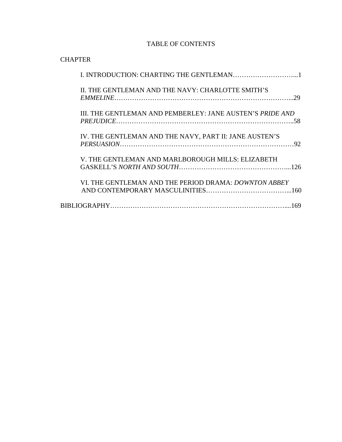## TABLE OF CONTENTS

| <b>CHAPTER</b>                                               |
|--------------------------------------------------------------|
| I. INTRODUCTION: CHARTING THE GENTLEMAN1                     |
| II. THE GENTLEMAN AND THE NAVY: CHARLOTTE SMITH'S<br>29      |
| III. THE GENTLEMAN AND PEMBERLEY: JANE AUSTEN'S PRIDE AND    |
| IV. THE GENTLEMAN AND THE NAVY, PART II: JANE AUSTEN'S<br>92 |
| V. THE GENTLEMAN AND MARLBOROUGH MILLS: ELIZABETH            |
| VI. THE GENTLEMAN AND THE PERIOD DRAMA: DOWNTON ABBEY        |
| 169                                                          |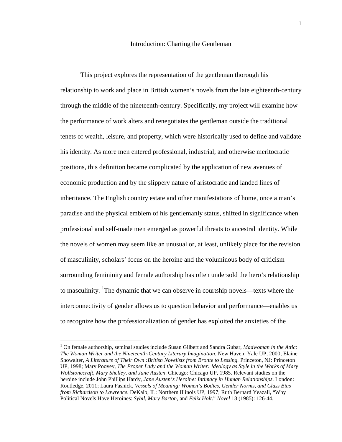#### Introduction: Charting the Gentleman

This project explores the representation of the gentleman thorough his relationship to work and place in British women's novels from the late eighteenth-century through the middle of the nineteenth-century. Specifically, my project will examine how the performance of work alters and renegotiates the gentleman outside the traditional tenets of wealth, leisure, and property, which were historically used to define and validate his identity. As more men entered professional, industrial, and otherwise meritocratic positions, this definition became complicated by the application of new avenues of economic production and by the slippery nature of aristocratic and landed lines of inheritance. The English country estate and other manifestations of home, once a man's paradise and the physical emblem of his gentlemanly status, shifted in significance when professional and self-made men emerged as powerful threats to ancestral identity. While the novels of women may seem like an unusual or, at least, unlikely place for the revision of masculinity, scholars' focus on the heroine and the voluminous body of criticism surrounding femininity and female authorship has often undersold the hero's relationship to masculinity. <sup>1</sup>The dynamic that we can observe in courtship novels—texts where the interconnectivity of gender allows us to question behavior and performance—enables us to recognize how the professionalization of gender has exploited the anxieties of the

 $\overline{a}$ 

<sup>&</sup>lt;sup>1</sup> On female authorship, seminal studies include Susan Gilbert and Sandra Gubar, *Madwoman in the Attic*: *The Woman Writer and the Nineteenth-Century Literary Imagination*. New Haven: Yale UP, 2000; Elaine Showalter, *A Literature of Their Own :British Novelists from Bronte to Lessing.* Princeton, NJ: Princeton UP, 1998; Mary Poovey, *The Proper Lady and the Woman Writer: Ideology as Style in the Works of Mary Wollstonecraft, Mary Shelley, and Jane Austen*. Chicago: Chicago UP, 1985. Relevant studies on the heroine include John Phillips Hardy, *Jane Austen's Heroine: Intimacy in Human Relationships*. London: Routledge, 2011; Laura Fasnick, *Vessels of Meaning: Women's Bodies, Gender Norms, and Class Bias from Richardson to Lawrence*. DeKalb, IL: Northern Illinois UP, 1997; Ruth Bernard Yeazall, "Why Political Novels Have Heroines: *Sybil*, *Mary Barton*, and *Felix Holt*." *Novel* 18 (1985): 126-44.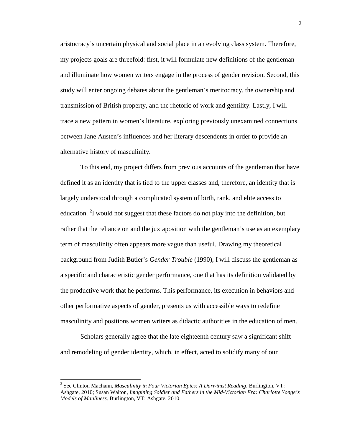aristocracy's uncertain physical and social place in an evolving class system. Therefore, my projects goals are threefold: first, it will formulate new definitions of the gentleman and illuminate how women writers engage in the process of gender revision. Second, this study will enter ongoing debates about the gentleman's meritocracy, the ownership and transmission of British property, and the rhetoric of work and gentility. Lastly, I will trace a new pattern in women's literature, exploring previously unexamined connections between Jane Austen's influences and her literary descendents in order to provide an alternative history of masculinity.

To this end, my project differs from previous accounts of the gentleman that have defined it as an identity that is tied to the upper classes and, therefore, an identity that is largely understood through a complicated system of birth, rank, and elite access to education. <sup>2</sup>I would not suggest that these factors do not play into the definition, but rather that the reliance on and the juxtaposition with the gentleman's use as an exemplary term of masculinity often appears more vague than useful. Drawing my theoretical background from Judith Butler's *Gender Trouble* (1990), I will discuss the gentleman as a specific and characteristic gender performance, one that has its definition validated by the productive work that he performs. This performance, its execution in behaviors and other performative aspects of gender, presents us with accessible ways to redefine masculinity and positions women writers as didactic authorities in the education of men.

Scholars generally agree that the late eighteenth century saw a significant shift and remodeling of gender identity, which, in effect, acted to solidify many of our

 2 See Clinton Machann, *Masculinity in Four Victorian Epics: A Darwinist Reading*. Burlington, VT: Ashgate, 2010; Susan Walton, *Imagining Soldier and Fathers in the Mid-Victorian Era: Charlotte Yonge's Models of Manliness*. Burlington, VT: Ashgate, 2010.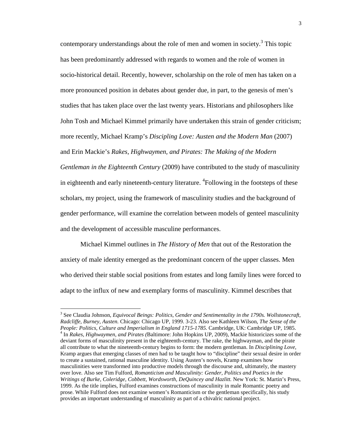contemporary understandings about the role of men and women in society.<sup>3</sup> This topic has been predominantly addressed with regards to women and the role of women in socio-historical detail. Recently, however, scholarship on the role of men has taken on a more pronounced position in debates about gender due, in part, to the genesis of men's studies that has taken place over the last twenty years. Historians and philosophers like John Tosh and Michael Kimmel primarily have undertaken this strain of gender criticism; more recently, Michael Kramp's *Discipling Love: Austen and the Modern Man* (2007) and Erin Mackie's *Rakes, Highwaymen, and Pirates: The Making of the Modern* 

*Gentleman in the Eighteenth Century* (2009) have contributed to the study of masculinity in eighteenth and early nineteenth-century literature. <sup>4</sup>Following in the footsteps of these scholars, my project, using the framework of masculinity studies and the background of gender performance, will examine the correlation between models of genteel masculinity and the development of accessible masculine performances.

Michael Kimmel outlines in *The History of Men* that out of the Restoration the anxiety of male identity emerged as the predominant concern of the upper classes. Men who derived their stable social positions from estates and long family lines were forced to adapt to the influx of new and exemplary forms of masculinity. Kimmel describes that

<u>.</u>

<sup>&</sup>lt;sup>3</sup> See Claudia Johnson, *Equivocal Beings: Politics, Gender and Sentimentality in the 1790s. Wollstonecraft, Radcliffe, Burney, Austen.* Chicago: Chicago UP, 1999. 3-23. Also see Kathleen Wilson, *The Sense of the People: Politics, Culture and Imperialism in England 1715-1785.* Cambridge, UK: Cambridge UP, 1985. 4 In *Rakes, Highwaymen, and Pirates (*Baltimore: John Hopkins UP, 2009), Mackie historicizes some of the deviant forms of masculinity present in the eighteenth-century. The rake, the highwayman, and the pirate all contribute to what the nineteenth-century begins to form: the modern gentleman. In *Disciplining Love*, Kramp argues that emerging classes of men had to be taught how to "discipline" their sexual desire in order to create a sustained, rational masculine identity. Using Austen's novels, Kramp examines how masculinities were transformed into productive models through the discourse and, ultimately, the mastery over love. Also see Tim Fulford, *Romanticism and Masculinity: Gender, Politics and Poetics in the*  Writings of Burke, Coleridge, Cobbett, Wordsworth, DeQuincey and Hazlitt. New York: St. Martin's Press, 1999. As the title implies, Fulford examines constructions of masculinity in male Romantic poetry and prose. While Fulford does not examine women's Romanticism or the gentleman specifically, his study provides an important understanding of masculinity as part of a chivalric national project.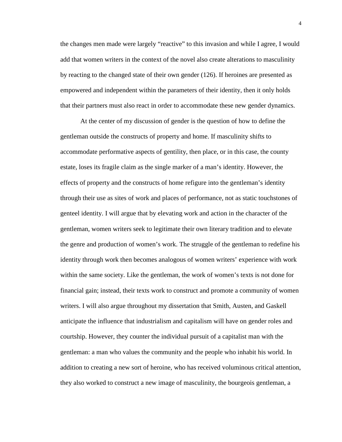the changes men made were largely "reactive" to this invasion and while I agree, I would add that women writers in the context of the novel also create alterations to masculinity by reacting to the changed state of their own gender (126). If heroines are presented as empowered and independent within the parameters of their identity, then it only holds that their partners must also react in order to accommodate these new gender dynamics.

At the center of my discussion of gender is the question of how to define the gentleman outside the constructs of property and home. If masculinity shifts to accommodate performative aspects of gentility, then place, or in this case, the county estate, loses its fragile claim as the single marker of a man's identity. However, the effects of property and the constructs of home refigure into the gentleman's identity through their use as sites of work and places of performance, not as static touchstones of genteel identity. I will argue that by elevating work and action in the character of the gentleman, women writers seek to legitimate their own literary tradition and to elevate the genre and production of women's work. The struggle of the gentleman to redefine his identity through work then becomes analogous of women writers' experience with work within the same society. Like the gentleman, the work of women's texts is not done for financial gain; instead, their texts work to construct and promote a community of women writers. I will also argue throughout my dissertation that Smith, Austen, and Gaskell anticipate the influence that industrialism and capitalism will have on gender roles and courtship. However, they counter the individual pursuit of a capitalist man with the gentleman: a man who values the community and the people who inhabit his world. In addition to creating a new sort of heroine, who has received voluminous critical attention, they also worked to construct a new image of masculinity, the bourgeois gentleman, a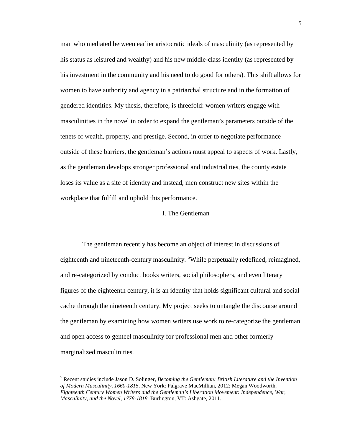man who mediated between earlier aristocratic ideals of masculinity (as represented by his status as leisured and wealthy) and his new middle-class identity (as represented by his investment in the community and his need to do good for others). This shift allows for women to have authority and agency in a patriarchal structure and in the formation of gendered identities. My thesis, therefore, is threefold: women writers engage with masculinities in the novel in order to expand the gentleman's parameters outside of the tenets of wealth, property, and prestige. Second, in order to negotiate performance outside of these barriers, the gentleman's actions must appeal to aspects of work. Lastly, as the gentleman develops stronger professional and industrial ties, the county estate loses its value as a site of identity and instead, men construct new sites within the workplace that fulfill and uphold this performance.

#### I. The Gentleman

 The gentleman recently has become an object of interest in discussions of eighteenth and nineteenth-century masculinity. <sup>5</sup>While perpetually redefined, reimagined, and re-categorized by conduct books writers, social philosophers, and even literary figures of the eighteenth century, it is an identity that holds significant cultural and social cache through the nineteenth century. My project seeks to untangle the discourse around the gentleman by examining how women writers use work to re-categorize the gentleman and open access to genteel masculinity for professional men and other formerly marginalized masculinities.

<u>.</u>

<sup>5</sup> Recent studies include Jason D. Solinger, *Becoming the Gentleman: British Literature and the Invention of Modern Masculinity, 1660-1815*. New York: Palgrave MacMillian, 2012; Megan Woodworth, *Eighteenth Century Women Writers and the Gentleman's Liberation Movement: Independence, War, Masculinity, and the Novel, 1778-1818.* Burlington, VT: Ashgate, 2011.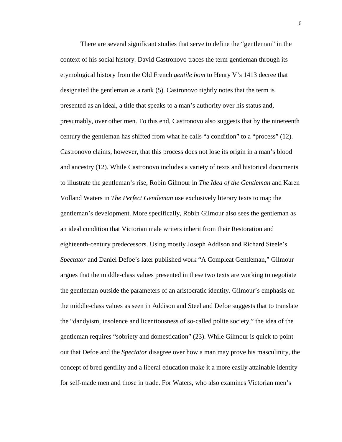There are several significant studies that serve to define the "gentleman" in the context of his social history. David Castronovo traces the term gentleman through its etymological history from the Old French *gentile hom* to Henry V's 1413 decree that designated the gentleman as a rank (5). Castronovo rightly notes that the term is presented as an ideal, a title that speaks to a man's authority over his status and, presumably, over other men. To this end, Castronovo also suggests that by the nineteenth century the gentleman has shifted from what he calls "a condition" to a "process" (12). Castronovo claims, however, that this process does not lose its origin in a man's blood and ancestry (12). While Castronovo includes a variety of texts and historical documents to illustrate the gentleman's rise, Robin Gilmour in *The Idea of the Gentleman* and Karen Volland Waters in *The Perfect Gentleman* use exclusively literary texts to map the gentleman's development. More specifically, Robin Gilmour also sees the gentleman as an ideal condition that Victorian male writers inherit from their Restoration and eighteenth-century predecessors. Using mostly Joseph Addison and Richard Steele's *Spectator* and Daniel Defoe's later published work "A Compleat Gentleman," Gilmour argues that the middle-class values presented in these two texts are working to negotiate the gentleman outside the parameters of an aristocratic identity. Gilmour's emphasis on the middle-class values as seen in Addison and Steel and Defoe suggests that to translate the "dandyism, insolence and licentiousness of so-called polite society," the idea of the gentleman requires "sobriety and domestication" (23). While Gilmour is quick to point out that Defoe and the *Spectator* disagree over how a man may prove his masculinity, the concept of bred gentility and a liberal education make it a more easily attainable identity for self-made men and those in trade. For Waters, who also examines Victorian men's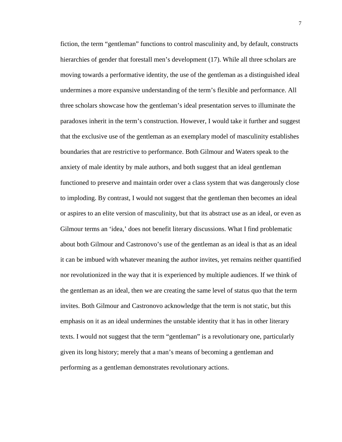fiction, the term "gentleman" functions to control masculinity and, by default, constructs hierarchies of gender that forestall men's development (17). While all three scholars are moving towards a performative identity, the use of the gentleman as a distinguished ideal undermines a more expansive understanding of the term's flexible and performance. All three scholars showcase how the gentleman's ideal presentation serves to illuminate the paradoxes inherit in the term's construction. However, I would take it further and suggest that the exclusive use of the gentleman as an exemplary model of masculinity establishes boundaries that are restrictive to performance. Both Gilmour and Waters speak to the anxiety of male identity by male authors, and both suggest that an ideal gentleman functioned to preserve and maintain order over a class system that was dangerously close to imploding. By contrast, I would not suggest that the gentleman then becomes an ideal or aspires to an elite version of masculinity, but that its abstract use as an ideal, or even as Gilmour terms an 'idea,' does not benefit literary discussions. What I find problematic about both Gilmour and Castronovo's use of the gentleman as an ideal is that as an ideal it can be imbued with whatever meaning the author invites, yet remains neither quantified nor revolutionized in the way that it is experienced by multiple audiences. If we think of the gentleman as an ideal, then we are creating the same level of status quo that the term invites. Both Gilmour and Castronovo acknowledge that the term is not static, but this emphasis on it as an ideal undermines the unstable identity that it has in other literary texts. I would not suggest that the term "gentleman" is a revolutionary one, particularly given its long history; merely that a man's means of becoming a gentleman and performing as a gentleman demonstrates revolutionary actions.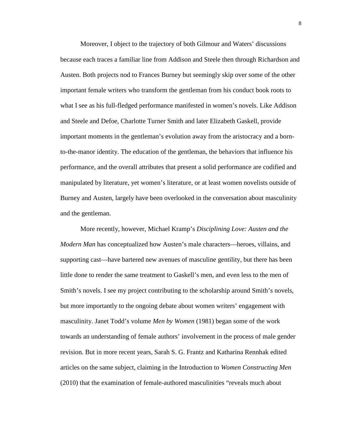Moreover, I object to the trajectory of both Gilmour and Waters' discussions because each traces a familiar line from Addison and Steele then through Richardson and Austen. Both projects nod to Frances Burney but seemingly skip over some of the other important female writers who transform the gentleman from his conduct book roots to what I see as his full-fledged performance manifested in women's novels. Like Addison and Steele and Defoe, Charlotte Turner Smith and later Elizabeth Gaskell, provide important moments in the gentleman's evolution away from the aristocracy and a bornto-the-manor identity. The education of the gentleman, the behaviors that influence his performance, and the overall attributes that present a solid performance are codified and manipulated by literature, yet women's literature, or at least women novelists outside of Burney and Austen, largely have been overlooked in the conversation about masculinity and the gentleman.

More recently, however, Michael Kramp's *Disciplining Love: Austen and the Modern Man* has conceptualized how Austen's male characters—heroes, villains, and supporting cast—have bartered new avenues of masculine gentility, but there has been little done to render the same treatment to Gaskell's men, and even less to the men of Smith's novels. I see my project contributing to the scholarship around Smith's novels, but more importantly to the ongoing debate about women writers' engagement with masculinity. Janet Todd's volume *Men by Women* (1981) began some of the work towards an understanding of female authors' involvement in the process of male gender revision. But in more recent years, Sarah S. G. Frantz and Katharina Rennhak edited articles on the same subject, claiming in the Introduction to *Women Constructing Men*  (2010) that the examination of female-authored masculinities "reveals much about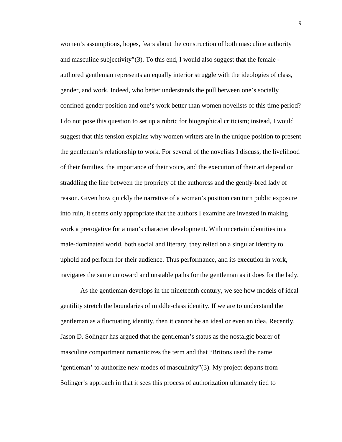women's assumptions, hopes, fears about the construction of both masculine authority and masculine subjectivity"(3). To this end, I would also suggest that the female authored gentleman represents an equally interior struggle with the ideologies of class, gender, and work. Indeed, who better understands the pull between one's socially confined gender position and one's work better than women novelists of this time period? I do not pose this question to set up a rubric for biographical criticism; instead, I would suggest that this tension explains why women writers are in the unique position to present the gentleman's relationship to work. For several of the novelists I discuss, the livelihood of their families, the importance of their voice, and the execution of their art depend on straddling the line between the propriety of the authoress and the gently-bred lady of reason. Given how quickly the narrative of a woman's position can turn public exposure into ruin, it seems only appropriate that the authors I examine are invested in making work a prerogative for a man's character development. With uncertain identities in a male-dominated world, both social and literary, they relied on a singular identity to uphold and perform for their audience. Thus performance, and its execution in work, navigates the same untoward and unstable paths for the gentleman as it does for the lady.

As the gentleman develops in the nineteenth century, we see how models of ideal gentility stretch the boundaries of middle-class identity. If we are to understand the gentleman as a fluctuating identity, then it cannot be an ideal or even an idea. Recently, Jason D. Solinger has argued that the gentleman's status as the nostalgic bearer of masculine comportment romanticizes the term and that "Britons used the name 'gentleman' to authorize new modes of masculinity"(3). My project departs from Solinger's approach in that it sees this process of authorization ultimately tied to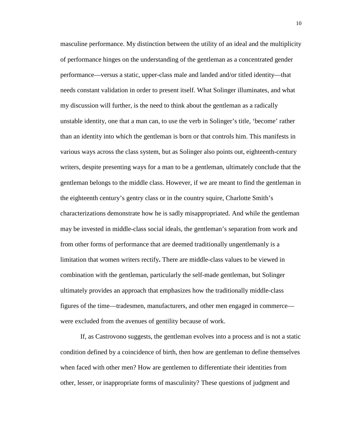masculine performance. My distinction between the utility of an ideal and the multiplicity of performance hinges on the understanding of the gentleman as a concentrated gender performance—versus a static, upper-class male and landed and/or titled identity—that needs constant validation in order to present itself. What Solinger illuminates, and what my discussion will further, is the need to think about the gentleman as a radically unstable identity, one that a man can, to use the verb in Solinger's title, 'become' rather than an identity into which the gentleman is born or that controls him. This manifests in various ways across the class system, but as Solinger also points out, eighteenth-century writers, despite presenting ways for a man to be a gentleman, ultimately conclude that the gentleman belongs to the middle class. However, if we are meant to find the gentleman in the eighteenth century's gentry class or in the country squire, Charlotte Smith's characterizations demonstrate how he is sadly misappropriated. And while the gentleman may be invested in middle-class social ideals, the gentleman's separation from work and from other forms of performance that are deemed traditionally ungentlemanly is a limitation that women writers rectify**.** There are middle-class values to be viewed in combination with the gentleman, particularly the self-made gentleman, but Solinger ultimately provides an approach that emphasizes how the traditionally middle-class figures of the time—tradesmen, manufacturers, and other men engaged in commerce were excluded from the avenues of gentility because of work.

If, as Castrovono suggests, the gentleman evolves into a process and is not a static condition defined by a coincidence of birth, then how are gentleman to define themselves when faced with other men? How are gentlemen to differentiate their identities from other, lesser, or inappropriate forms of masculinity? These questions of judgment and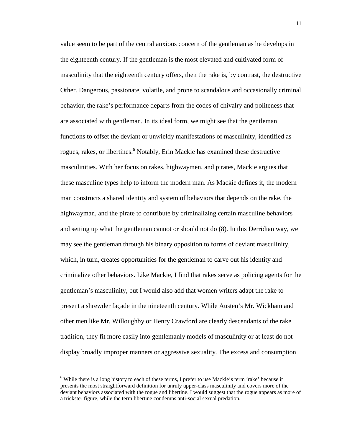value seem to be part of the central anxious concern of the gentleman as he develops in the eighteenth century. If the gentleman is the most elevated and cultivated form of masculinity that the eighteenth century offers, then the rake is, by contrast, the destructive Other. Dangerous, passionate, volatile, and prone to scandalous and occasionally criminal behavior, the rake's performance departs from the codes of chivalry and politeness that are associated with gentleman. In its ideal form, we might see that the gentleman functions to offset the deviant or unwieldy manifestations of masculinity, identified as rogues, rakes, or libertines.<sup>6</sup> Notably, Erin Mackie has examined these destructive masculinities. With her focus on rakes, highwaymen, and pirates, Mackie argues that these masculine types help to inform the modern man. As Mackie defines it, the modern man constructs a shared identity and system of behaviors that depends on the rake, the highwayman, and the pirate to contribute by criminalizing certain masculine behaviors and setting up what the gentleman cannot or should not do (8). In this Derridian way, we may see the gentleman through his binary opposition to forms of deviant masculinity, which, in turn, creates opportunities for the gentleman to carve out his identity and criminalize other behaviors. Like Mackie, I find that rakes serve as policing agents for the gentleman's masculinity, but I would also add that women writers adapt the rake to present a shrewder façade in the nineteenth century. While Austen's Mr. Wickham and other men like Mr. Willoughby or Henry Crawford are clearly descendants of the rake tradition, they fit more easily into gentlemanly models of masculinity or at least do not display broadly improper manners or aggressive sexuality. The excess and consumption

 $\overline{a}$ 

<sup>&</sup>lt;sup>6</sup> While there is a long history to each of these terms, I prefer to use Mackie's term 'rake' because it presents the most straightforward definition for unruly upper-class masculinity and covers more of the deviant behaviors associated with the rogue and libertine. I would suggest that the rogue appears as more of a trickster figure, while the term libertine condemns anti-social sexual predation.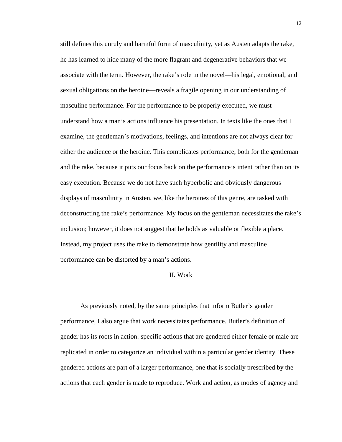still defines this unruly and harmful form of masculinity, yet as Austen adapts the rake, he has learned to hide many of the more flagrant and degenerative behaviors that we associate with the term. However, the rake's role in the novel—his legal, emotional, and sexual obligations on the heroine—reveals a fragile opening in our understanding of masculine performance. For the performance to be properly executed, we must understand how a man's actions influence his presentation. In texts like the ones that I examine, the gentleman's motivations, feelings, and intentions are not always clear for either the audience or the heroine. This complicates performance, both for the gentleman and the rake, because it puts our focus back on the performance's intent rather than on its easy execution. Because we do not have such hyperbolic and obviously dangerous displays of masculinity in Austen, we, like the heroines of this genre, are tasked with deconstructing the rake's performance. My focus on the gentleman necessitates the rake's inclusion; however, it does not suggest that he holds as valuable or flexible a place. Instead, my project uses the rake to demonstrate how gentility and masculine performance can be distorted by a man's actions.

#### II. Work

As previously noted, by the same principles that inform Butler's gender performance, I also argue that work necessitates performance. Butler's definition of gender has its roots in action: specific actions that are gendered either female or male are replicated in order to categorize an individual within a particular gender identity. These gendered actions are part of a larger performance, one that is socially prescribed by the actions that each gender is made to reproduce. Work and action, as modes of agency and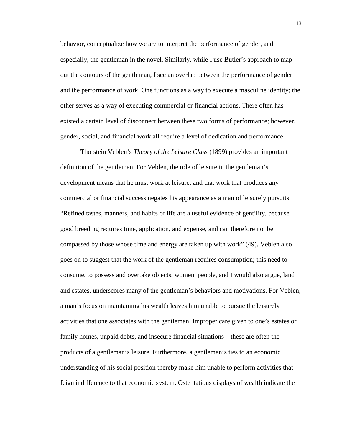behavior, conceptualize how we are to interpret the performance of gender, and especially, the gentleman in the novel. Similarly, while I use Butler's approach to map out the contours of the gentleman, I see an overlap between the performance of gender and the performance of work. One functions as a way to execute a masculine identity; the other serves as a way of executing commercial or financial actions. There often has existed a certain level of disconnect between these two forms of performance; however, gender, social, and financial work all require a level of dedication and performance.

Thorstein Veblen's *Theory of the Leisure Class* (1899) provides an important definition of the gentleman. For Veblen, the role of leisure in the gentleman's development means that he must work at leisure, and that work that produces any commercial or financial success negates his appearance as a man of leisurely pursuits: "Refined tastes, manners, and habits of life are a useful evidence of gentility, because good breeding requires time, application, and expense, and can therefore not be compassed by those whose time and energy are taken up with work" (49). Veblen also goes on to suggest that the work of the gentleman requires consumption; this need to consume, to possess and overtake objects, women, people, and I would also argue, land and estates, underscores many of the gentleman's behaviors and motivations. For Veblen, a man's focus on maintaining his wealth leaves him unable to pursue the leisurely activities that one associates with the gentleman. Improper care given to one's estates or family homes, unpaid debts, and insecure financial situations—these are often the products of a gentleman's leisure. Furthermore, a gentleman's ties to an economic understanding of his social position thereby make him unable to perform activities that feign indifference to that economic system. Ostentatious displays of wealth indicate the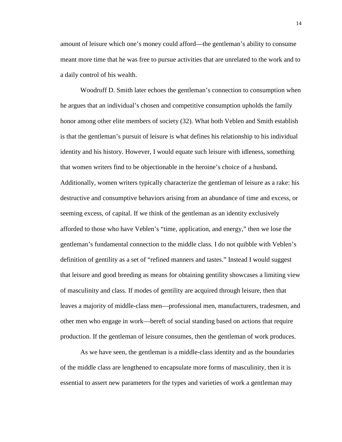amount of leisure which one's money could afford—the gentleman's ability to consume meant more time that he was free to pursue activities that are unrelated to the work and to a daily control of his wealth.

Woodruff D. Smith later echoes the gentleman's connection to consumption when he argues that an individual's chosen and competitive consumption upholds the family honor among other elite members of society (32). What both Veblen and Smith establish is that the gentleman's pursuit of leisure is what defines his relationship to his individual identity and his history. However, I would equate such leisure with idleness, something that women writers find to be objectionable in the heroine's choice of a husband**.**  Additionally, women writers typically characterize the gentleman of leisure as a rake: his destructive and consumptive behaviors arising from an abundance of time and excess, or seeming excess, of capital. If we think of the gentleman as an identity exclusively afforded to those who have Veblen's "time, application, and energy," then we lose the gentleman's fundamental connection to the middle class. I do not quibble with Veblen's definition of gentility as a set of "refined manners and tastes." Instead I would suggest that leisure and good breeding as means for obtaining gentility showcases a limiting view of masculinity and class. If modes of gentility are acquired through leisure, then that leaves a majority of middle-class men—professional men, manufacturers, tradesmen, and other men who engage in work—bereft of social standing based on actions that require production. If the gentleman of leisure consumes, then the gentleman of work produces.

As we have seen, the gentleman is a middle-class identity and as the boundaries of the middle class are lengthened to encapsulate more forms of masculinity, then it is essential to assert new parameters for the types and varieties of work a gentleman may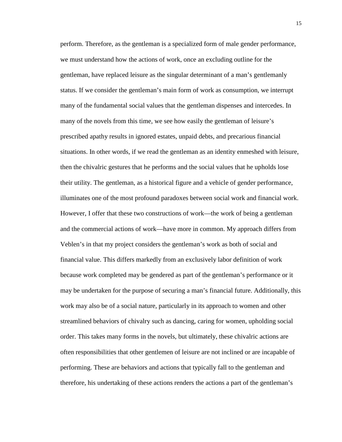perform. Therefore, as the gentleman is a specialized form of male gender performance, we must understand how the actions of work, once an excluding outline for the gentleman, have replaced leisure as the singular determinant of a man's gentlemanly status. If we consider the gentleman's main form of work as consumption, we interrupt many of the fundamental social values that the gentleman dispenses and intercedes. In many of the novels from this time, we see how easily the gentleman of leisure's prescribed apathy results in ignored estates, unpaid debts, and precarious financial situations. In other words, if we read the gentleman as an identity enmeshed with leisure, then the chivalric gestures that he performs and the social values that he upholds lose their utility. The gentleman, as a historical figure and a vehicle of gender performance, illuminates one of the most profound paradoxes between social work and financial work. However, I offer that these two constructions of work—the work of being a gentleman and the commercial actions of work—have more in common. My approach differs from Veblen's in that my project considers the gentleman's work as both of social and financial value. This differs markedly from an exclusively labor definition of work because work completed may be gendered as part of the gentleman's performance or it may be undertaken for the purpose of securing a man's financial future. Additionally, this work may also be of a social nature, particularly in its approach to women and other streamlined behaviors of chivalry such as dancing, caring for women, upholding social order. This takes many forms in the novels, but ultimately, these chivalric actions are often responsibilities that other gentlemen of leisure are not inclined or are incapable of performing. These are behaviors and actions that typically fall to the gentleman and therefore, his undertaking of these actions renders the actions a part of the gentleman's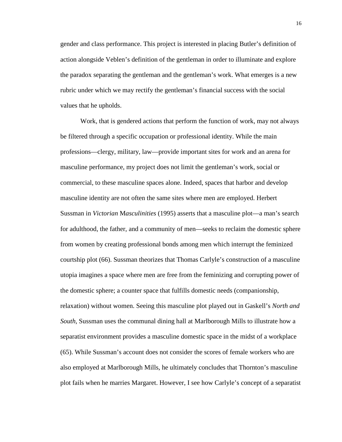gender and class performance. This project is interested in placing Butler's definition of action alongside Veblen's definition of the gentleman in order to illuminate and explore the paradox separating the gentleman and the gentleman's work. What emerges is a new rubric under which we may rectify the gentleman's financial success with the social values that he upholds.

Work, that is gendered actions that perform the function of work, may not always be filtered through a specific occupation or professional identity. While the main professions—clergy, military, law—provide important sites for work and an arena for masculine performance, my project does not limit the gentleman's work, social or commercial, to these masculine spaces alone. Indeed, spaces that harbor and develop masculine identity are not often the same sites where men are employed. Herbert Sussman in *Victorian* M*asculinities* (1995) asserts that a masculine plot—a man's search for adulthood, the father, and a community of men—seeks to reclaim the domestic sphere from women by creating professional bonds among men which interrupt the feminized courtship plot (66). Sussman theorizes that Thomas Carlyle's construction of a masculine utopia imagines a space where men are free from the feminizing and corrupting power of the domestic sphere; a counter space that fulfills domestic needs (companionship, relaxation) without women. Seeing this masculine plot played out in Gaskell's *North and South*, Sussman uses the communal dining hall at Marlborough Mills to illustrate how a separatist environment provides a masculine domestic space in the midst of a workplace (65). While Sussman's account does not consider the scores of female workers who are also employed at Marlborough Mills, he ultimately concludes that Thornton's masculine plot fails when he marries Margaret. However, I see how Carlyle's concept of a separatist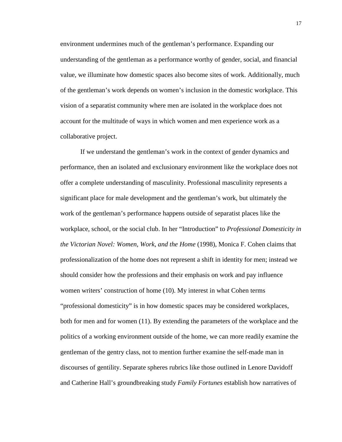environment undermines much of the gentleman's performance. Expanding our understanding of the gentleman as a performance worthy of gender, social, and financial value, we illuminate how domestic spaces also become sites of work. Additionally, much of the gentleman's work depends on women's inclusion in the domestic workplace. This vision of a separatist community where men are isolated in the workplace does not account for the multitude of ways in which women and men experience work as a collaborative project.

If we understand the gentleman's work in the context of gender dynamics and performance, then an isolated and exclusionary environment like the workplace does not offer a complete understanding of masculinity. Professional masculinity represents a significant place for male development and the gentleman's work, but ultimately the work of the gentleman's performance happens outside of separatist places like the workplace, school, or the social club. In her "Introduction" to *Professional Domesticity in the Victorian Novel: Women, Work, and the Home* (1998), Monica F. Cohen claims that professionalization of the home does not represent a shift in identity for men; instead we should consider how the professions and their emphasis on work and pay influence women writers' construction of home (10). My interest in what Cohen terms "professional domesticity" is in how domestic spaces may be considered workplaces, both for men and for women (11). By extending the parameters of the workplace and the politics of a working environment outside of the home, we can more readily examine the gentleman of the gentry class, not to mention further examine the self-made man in discourses of gentility. Separate spheres rubrics like those outlined in Lenore Davidoff and Catherine Hall's groundbreaking study *Family Fortunes* establish how narratives of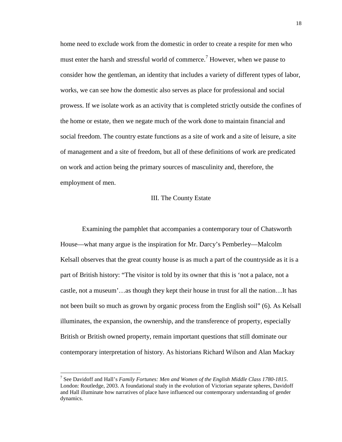home need to exclude work from the domestic in order to create a respite for men who must enter the harsh and stressful world of commerce.<sup>7</sup> However, when we pause to consider how the gentleman, an identity that includes a variety of different types of labor, works, we can see how the domestic also serves as place for professional and social prowess. If we isolate work as an activity that is completed strictly outside the confines of the home or estate, then we negate much of the work done to maintain financial and social freedom. The country estate functions as a site of work and a site of leisure, a site of management and a site of freedom, but all of these definitions of work are predicated on work and action being the primary sources of masculinity and, therefore, the employment of men.

#### III. The County Estate

 Examining the pamphlet that accompanies a contemporary tour of Chatsworth House—what many argue is the inspiration for Mr. Darcy's Pemberley—Malcolm Kelsall observes that the great county house is as much a part of the countryside as it is a part of British history: "The visitor is told by its owner that this is 'not a palace, not a castle, not a museum'…as though they kept their house in trust for all the nation…It has not been built so much as grown by organic process from the English soil" (6). As Kelsall illuminates, the expansion, the ownership, and the transference of property, especially British or British owned property, remain important questions that still dominate our contemporary interpretation of history. As historians Richard Wilson and Alan Mackay

 $\overline{a}$ 

<sup>7</sup> See Davidoff and Hall's *Family Fortunes: Men and Women of the English Middle Class 1780-1815*. London: Routledge, 2003. A foundational study in the evolution of Victorian separate spheres, Davidoff and Hall illuminate how narratives of place have influenced our contemporary understanding of gender dynamics.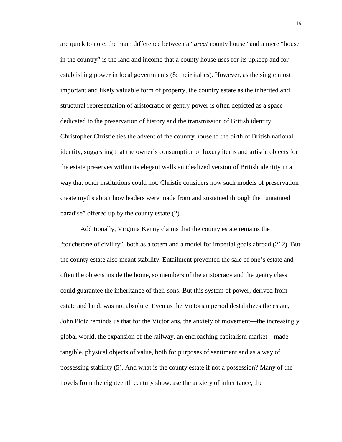are quick to note, the main difference between a "*great* county house" and a mere "house in the country" is the land and income that a county house uses for its upkeep and for establishing power in local governments (8: their italics). However, as the single most important and likely valuable form of property, the country estate as the inherited and structural representation of aristocratic or gentry power is often depicted as a space dedicated to the preservation of history and the transmission of British identity. Christopher Christie ties the advent of the country house to the birth of British national identity, suggesting that the owner's consumption of luxury items and artistic objects for the estate preserves within its elegant walls an idealized version of British identity in a way that other institutions could not. Christie considers how such models of preservation create myths about how leaders were made from and sustained through the "untainted paradise" offered up by the county estate (2).

Additionally, Virginia Kenny claims that the county estate remains the "touchstone of civility": both as a totem and a model for imperial goals abroad (212). But the county estate also meant stability. Entailment prevented the sale of one's estate and often the objects inside the home, so members of the aristocracy and the gentry class could guarantee the inheritance of their sons. But this system of power, derived from estate and land, was not absolute. Even as the Victorian period destabilizes the estate, John Plotz reminds us that for the Victorians, the anxiety of movement—the increasingly global world, the expansion of the railway, an encroaching capitalism market—made tangible, physical objects of value, both for purposes of sentiment and as a way of possessing stability (5). And what is the county estate if not a possession? Many of the novels from the eighteenth century showcase the anxiety of inheritance, the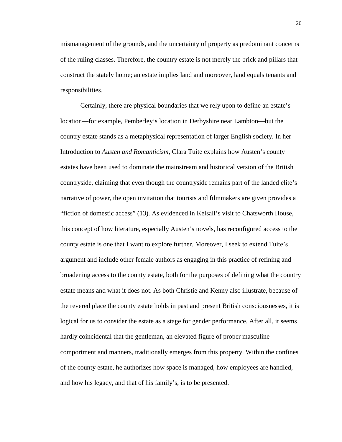mismanagement of the grounds, and the uncertainty of property as predominant concerns of the ruling classes. Therefore, the country estate is not merely the brick and pillars that construct the stately home; an estate implies land and moreover, land equals tenants and responsibilities.

Certainly, there are physical boundaries that we rely upon to define an estate's location—for example, Pemberley's location in Derbyshire near Lambton—but the country estate stands as a metaphysical representation of larger English society. In her Introduction to *Austen and Romanticism*, Clara Tuite explains how Austen's county estates have been used to dominate the mainstream and historical version of the British countryside, claiming that even though the countryside remains part of the landed elite's narrative of power, the open invitation that tourists and filmmakers are given provides a "fiction of domestic access" (13). As evidenced in Kelsall's visit to Chatsworth House, this concept of how literature, especially Austen's novels, has reconfigured access to the county estate is one that I want to explore further. Moreover, I seek to extend Tuite's argument and include other female authors as engaging in this practice of refining and broadening access to the county estate, both for the purposes of defining what the country estate means and what it does not. As both Christie and Kenny also illustrate, because of the revered place the county estate holds in past and present British consciousnesses, it is logical for us to consider the estate as a stage for gender performance. After all, it seems hardly coincidental that the gentleman, an elevated figure of proper masculine comportment and manners, traditionally emerges from this property. Within the confines of the county estate, he authorizes how space is managed, how employees are handled, and how his legacy, and that of his family's, is to be presented.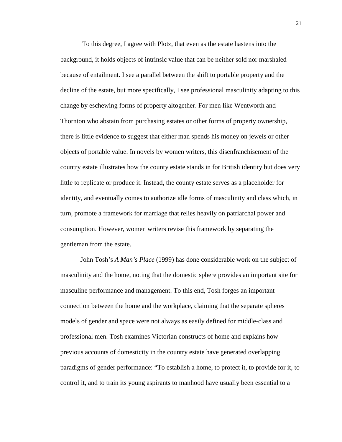To this degree, I agree with Plotz, that even as the estate hastens into the background, it holds objects of intrinsic value that can be neither sold nor marshaled because of entailment. I see a parallel between the shift to portable property and the decline of the estate, but more specifically, I see professional masculinity adapting to this change by eschewing forms of property altogether. For men like Wentworth and Thornton who abstain from purchasing estates or other forms of property ownership, there is little evidence to suggest that either man spends his money on jewels or other objects of portable value. In novels by women writers, this disenfranchisement of the country estate illustrates how the county estate stands in for British identity but does very little to replicate or produce it. Instead, the county estate serves as a placeholder for identity, and eventually comes to authorize idle forms of masculinity and class which, in turn, promote a framework for marriage that relies heavily on patriarchal power and consumption. However, women writers revise this framework by separating the gentleman from the estate.

John Tosh's *A Man's Place* (1999) has done considerable work on the subject of masculinity and the home, noting that the domestic sphere provides an important site for masculine performance and management. To this end, Tosh forges an important connection between the home and the workplace, claiming that the separate spheres models of gender and space were not always as easily defined for middle-class and professional men. Tosh examines Victorian constructs of home and explains how previous accounts of domesticity in the country estate have generated overlapping paradigms of gender performance: "To establish a home, to protect it, to provide for it, to control it, and to train its young aspirants to manhood have usually been essential to a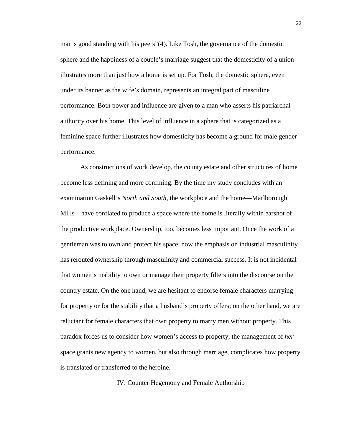man's good standing with his peers"(4). Like Tosh, the governance of the domestic sphere and the happiness of a couple's marriage suggest that the domesticity of a union illustrates more than just how a home is set up. For Tosh, the domestic sphere, even under its banner as the wife's domain, represents an integral part of masculine performance. Both power and influence are given to a man who asserts his patriarchal authority over his home. This level of influence in a sphere that is categorized as a feminine space further illustrates how domesticity has become a ground for male gender performance.

As constructions of work develop, the county estate and other structures of home become less defining and more confining. By the time my study concludes with an examination Gaskell's *North and South*, the workplace and the home—Marlborough Mills—have conflated to produce a space where the home is literally within earshot of the productive workplace. Ownership, too, becomes less important. Once the work of a gentleman was to own and protect his space, now the emphasis on industrial masculinity has rerouted ownership through masculinity and commercial success. It is not incidental that women's inability to own or manage their property filters into the discourse on the country estate. On the one hand, we are hesitant to endorse female characters marrying for property or for the stability that a husband's property offers; on the other hand, we are reluctant for female characters that own property to marry men without property. This paradox forces us to consider how women's access to property, the management of *her* space grants new agency to women, but also through marriage, complicates how property is translated or transferred to the heroine.

IV. Counter Hegemony and Female Authorship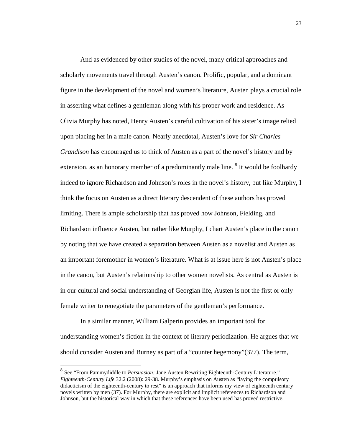And as evidenced by other studies of the novel, many critical approaches and scholarly movements travel through Austen's canon. Prolific, popular, and a dominant figure in the development of the novel and women's literature, Austen plays a crucial role in asserting what defines a gentleman along with his proper work and residence. As Olivia Murphy has noted, Henry Austen's careful cultivation of his sister's image relied upon placing her in a male canon. Nearly anecdotal, Austen's love for *Sir Charles Grandison* has encouraged us to think of Austen as a part of the novel's history and by extension, as an honorary member of a predominantly male line. <sup>8</sup> It would be foolhardy indeed to ignore Richardson and Johnson's roles in the novel's history, but like Murphy, I think the focus on Austen as a direct literary descendent of these authors has proved limiting. There is ample scholarship that has proved how Johnson, Fielding, and Richardson influence Austen, but rather like Murphy, I chart Austen's place in the canon by noting that we have created a separation between Austen as a novelist and Austen as an important foremother in women's literature. What is at issue here is not Austen's place in the canon, but Austen's relationship to other women novelists. As central as Austen is in our cultural and social understanding of Georgian life, Austen is not the first or only female writer to renegotiate the parameters of the gentleman's performance.

In a similar manner, William Galperin provides an important tool for understanding women's fiction in the context of literary periodization. He argues that we should consider Austen and Burney as part of a "counter hegemony"(377). The term,

 8 See "From Pammydiddle to *Persuasion:* Jane Austen Rewriting Eighteenth-Century Literature." *Eighteenth-Century Life* 32.2 (2008): 29-38. Murphy's emphasis on Austen as "laying the compulsory didacticism of the eighteenth-century to rest" is an approach that informs my view of eighteenth century novels written by men (37). For Murphy, there are explicit and implicit references to Richardson and Johnson, but the historical way in which that these references have been used has proved restrictive.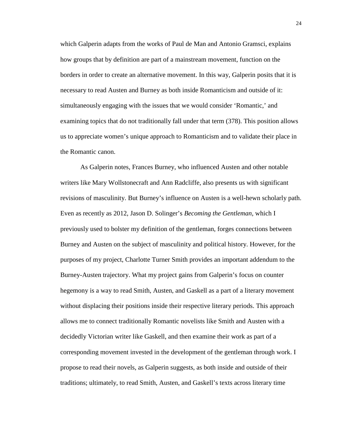which Galperin adapts from the works of Paul de Man and Antonio Gramsci, explains how groups that by definition are part of a mainstream movement, function on the borders in order to create an alternative movement. In this way, Galperin posits that it is necessary to read Austen and Burney as both inside Romanticism and outside of it: simultaneously engaging with the issues that we would consider 'Romantic,' and examining topics that do not traditionally fall under that term (378). This position allows us to appreciate women's unique approach to Romanticism and to validate their place in the Romantic canon.

As Galperin notes, Frances Burney, who influenced Austen and other notable writers like Mary Wollstonecraft and Ann Radcliffe, also presents us with significant revisions of masculinity. But Burney's influence on Austen is a well-hewn scholarly path. Even as recently as 2012, Jason D. Solinger's *Becoming the Gentleman*, which I previously used to bolster my definition of the gentleman, forges connections between Burney and Austen on the subject of masculinity and political history. However, for the purposes of my project, Charlotte Turner Smith provides an important addendum to the Burney-Austen trajectory. What my project gains from Galperin's focus on counter hegemony is a way to read Smith, Austen, and Gaskell as a part of a literary movement without displacing their positions inside their respective literary periods. This approach allows me to connect traditionally Romantic novelists like Smith and Austen with a decidedly Victorian writer like Gaskell, and then examine their work as part of a corresponding movement invested in the development of the gentleman through work. I propose to read their novels, as Galperin suggests, as both inside and outside of their traditions; ultimately, to read Smith, Austen, and Gaskell's texts across literary time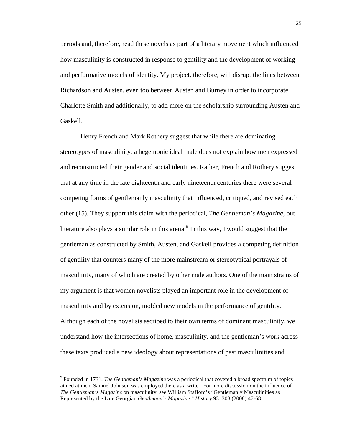periods and, therefore, read these novels as part of a literary movement which influenced how masculinity is constructed in response to gentility and the development of working and performative models of identity. My project, therefore, will disrupt the lines between Richardson and Austen, even too between Austen and Burney in order to incorporate Charlotte Smith and additionally, to add more on the scholarship surrounding Austen and Gaskell.

Henry French and Mark Rothery suggest that while there are dominating stereotypes of masculinity, a hegemonic ideal male does not explain how men expressed and reconstructed their gender and social identities. Rather, French and Rothery suggest that at any time in the late eighteenth and early nineteenth centuries there were several competing forms of gentlemanly masculinity that influenced, critiqued, and revised each other (15). They support this claim with the periodical, *The Gentleman's Magazine*, but literature also plays a similar role in this arena.<sup>9</sup> In this way, I would suggest that the gentleman as constructed by Smith, Austen, and Gaskell provides a competing definition of gentility that counters many of the more mainstream or stereotypical portrayals of masculinity, many of which are created by other male authors. One of the main strains of my argument is that women novelists played an important role in the development of masculinity and by extension, molded new models in the performance of gentility. Although each of the novelists ascribed to their own terms of dominant masculinity, we understand how the intersections of home, masculinity, and the gentleman's work across these texts produced a new ideology about representations of past masculinities and

 $\overline{a}$ 

<sup>9</sup> Founded in 1731, *The Gentleman's Magazine* was a periodical that covered a broad spectrum of topics aimed at men. Samuel Johnson was employed there as a writer. For more discussion on the influence of *The Gentleman's Magazine* on masculinity, see William Stafford's "Gentlemanly Masculinities as Represented by the Late Georgian *Gentleman's Magazine.*" *History* 93: 308 (2008) 47-68.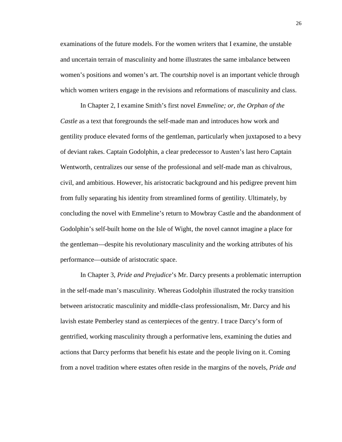examinations of the future models. For the women writers that I examine, the unstable and uncertain terrain of masculinity and home illustrates the same imbalance between women's positions and women's art. The courtship novel is an important vehicle through which women writers engage in the revisions and reformations of masculinity and class.

In Chapter 2, I examine Smith's first novel *Emmeline; or, the Orphan of the Castle* as a text that foregrounds the self-made man and introduces how work and gentility produce elevated forms of the gentleman, particularly when juxtaposed to a bevy of deviant rakes. Captain Godolphin, a clear predecessor to Austen's last hero Captain Wentworth, centralizes our sense of the professional and self-made man as chivalrous, civil, and ambitious. However, his aristocratic background and his pedigree prevent him from fully separating his identity from streamlined forms of gentility. Ultimately, by concluding the novel with Emmeline's return to Mowbray Castle and the abandonment of Godolphin's self-built home on the Isle of Wight, the novel cannot imagine a place for the gentleman—despite his revolutionary masculinity and the working attributes of his performance—outside of aristocratic space.

In Chapter 3, *Pride and Prejudice*'s Mr. Darcy presents a problematic interruption in the self-made man's masculinity. Whereas Godolphin illustrated the rocky transition between aristocratic masculinity and middle-class professionalism, Mr. Darcy and his lavish estate Pemberley stand as centerpieces of the gentry. I trace Darcy's form of gentrified, working masculinity through a performative lens, examining the duties and actions that Darcy performs that benefit his estate and the people living on it. Coming from a novel tradition where estates often reside in the margins of the novels, *Pride and*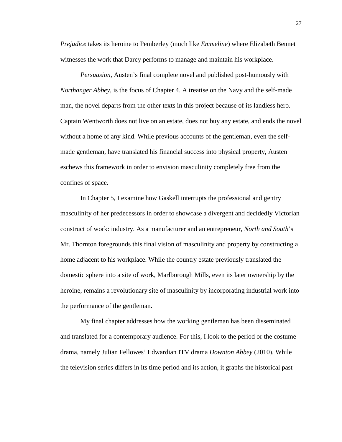*Prejudice* takes its heroine to Pemberley (much like *Emmeline*) where Elizabeth Bennet witnesses the work that Darcy performs to manage and maintain his workplace.

*Persuasion,* Austen's final complete novel and published post-humously with *Northanger Abbey*, is the focus of Chapter 4. A treatise on the Navy and the self-made man, the novel departs from the other texts in this project because of its landless hero. Captain Wentworth does not live on an estate, does not buy any estate, and ends the novel without a home of any kind. While previous accounts of the gentleman, even the selfmade gentleman, have translated his financial success into physical property, Austen eschews this framework in order to envision masculinity completely free from the confines of space.

In Chapter 5, I examine how Gaskell interrupts the professional and gentry masculinity of her predecessors in order to showcase a divergent and decidedly Victorian construct of work: industry. As a manufacturer and an entrepreneur, *North and South*'s Mr. Thornton foregrounds this final vision of masculinity and property by constructing a home adjacent to his workplace. While the country estate previously translated the domestic sphere into a site of work, Marlborough Mills, even its later ownership by the heroine, remains a revolutionary site of masculinity by incorporating industrial work into the performance of the gentleman.

My final chapter addresses how the working gentleman has been disseminated and translated for a contemporary audience. For this, I look to the period or the costume drama, namely Julian Fellowes' Edwardian ITV drama *Downton Abbey* (2010). While the television series differs in its time period and its action, it graphs the historical past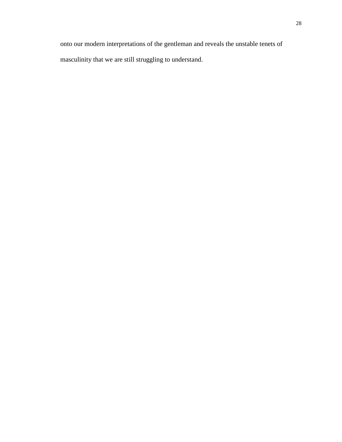onto our modern interpretations of the gentleman and reveals the unstable tenets of masculinity that we are still struggling to understand.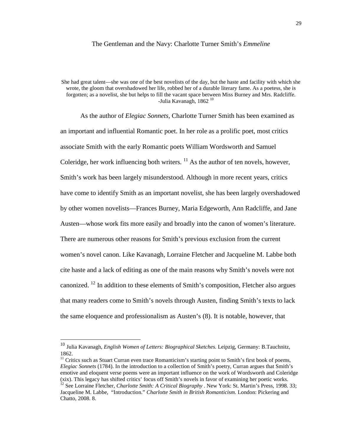#### The Gentleman and the Navy: Charlotte Turner Smith's *Emmeline*

She had great talent—she was one of the best novelists of the day, but the haste and facility with which she wrote, the gloom that overshadowed her life, robbed her of a durable literary fame. As a poetess, she is forgotten; as a novelist, she but helps to fill the vacant space between Miss Burney and Mrs. Radcliffe. -Julia Kavanagh, 1862<sup>10</sup>

As the author of *Elegiac Sonnets,* Charlotte Turner Smith has been examined as an important and influential Romantic poet. In her role as a prolific poet, most critics associate Smith with the early Romantic poets William Wordsworth and Samuel Coleridge, her work influencing both writers.  $^{11}$  As the author of ten novels, however, Smith's work has been largely misunderstood. Although in more recent years, critics have come to identify Smith as an important novelist, she has been largely overshadowed by other women novelists—Frances Burney, Maria Edgeworth, Ann Radcliffe, and Jane Austen—whose work fits more easily and broadly into the canon of women's literature. There are numerous other reasons for Smith's previous exclusion from the current women's novel canon. Like Kavanagh, Lorraine Fletcher and Jacqueline M. Labbe both cite haste and a lack of editing as one of the main reasons why Smith's novels were not canonized. <sup>12</sup> In addition to these elements of Smith's composition, Fletcher also argues that many readers come to Smith's novels through Austen, finding Smith's texts to lack the same eloquence and professionalism as Austen's (8). It is notable, however, that

<u>.</u>

<sup>10</sup> Julia Kavanagh, *English Women of Letters: Biographical Sketches.* Leipzig, Germany: B.Tauchnitz, 1862.

<sup>&</sup>lt;sup>11</sup> Critics such as Stuart Curran even trace Romanticism's starting point to Smith's first book of poems, *Elegiac Sonnets* (1784). In the introduction to a collection of Smith's poetry, Curran argues that Smith's emotive and eloquent verse poems were an important influence on the work of Wordsworth and Coleridge (xix). This legacy has shifted critics' focus off Smith's novels in favor of examining her poetic works.

<sup>&</sup>lt;sup>12</sup> See Lorraine Fletcher, *Charlotte Smith: A Critical Biography* . New York: St. Martin's Press, 1998. 33; Jacqueline M. Labbe, "Introduction." *Charlotte Smith in British Romanticism*. London: Pickering and Chatto, 2008. 8.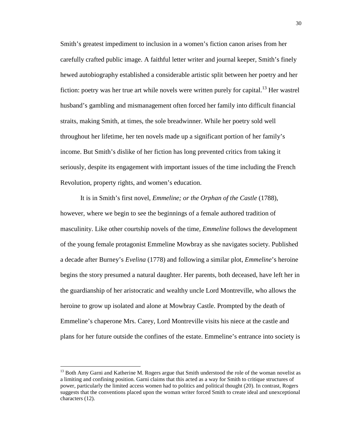Smith's greatest impediment to inclusion in a women's fiction canon arises from her carefully crafted public image. A faithful letter writer and journal keeper, Smith's finely hewed autobiography established a considerable artistic split between her poetry and her fiction: poetry was her true art while novels were written purely for capital.<sup>13</sup> Her wastrel husband's gambling and mismanagement often forced her family into difficult financial straits, making Smith, at times, the sole breadwinner. While her poetry sold well throughout her lifetime, her ten novels made up a significant portion of her family's income. But Smith's dislike of her fiction has long prevented critics from taking it seriously, despite its engagement with important issues of the time including the French Revolution, property rights, and women's education.

It is in Smith's first novel, *Emmeline; or the Orphan of the Castle* (1788), however, where we begin to see the beginnings of a female authored tradition of masculinity. Like other courtship novels of the time, *Emmeline* follows the development of the young female protagonist Emmeline Mowbray as she navigates society. Published a decade after Burney's *Evelina* (1778) and following a similar plot, *Emmeline*'s heroine begins the story presumed a natural daughter. Her parents, both deceased, have left her in the guardianship of her aristocratic and wealthy uncle Lord Montreville, who allows the heroine to grow up isolated and alone at Mowbray Castle. Prompted by the death of Emmeline's chaperone Mrs. Carey, Lord Montreville visits his niece at the castle and plans for her future outside the confines of the estate. Emmeline's entrance into society is

<u>.</u>

<sup>&</sup>lt;sup>13</sup> Both Amy Garni and Katherine M. Rogers argue that Smith understood the role of the woman novelist as a limiting and confining position. Garni claims that this acted as a way for Smith to critique structures of power, particularly the limited access women had to politics and political thought (20). In contrast, Rogers suggests that the conventions placed upon the woman writer forced Smith to create ideal and unexceptional characters (12).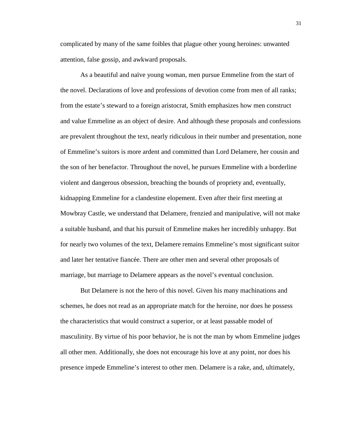complicated by many of the same foibles that plague other young heroines: unwanted attention, false gossip, and awkward proposals.

As a beautiful and naïve young woman, men pursue Emmeline from the start of the novel. Declarations of love and professions of devotion come from men of all ranks; from the estate's steward to a foreign aristocrat, Smith emphasizes how men construct and value Emmeline as an object of desire. And although these proposals and confessions are prevalent throughout the text, nearly ridiculous in their number and presentation, none of Emmeline's suitors is more ardent and committed than Lord Delamere, her cousin and the son of her benefactor. Throughout the novel, he pursues Emmeline with a borderline violent and dangerous obsession, breaching the bounds of propriety and, eventually, kidnapping Emmeline for a clandestine elopement. Even after their first meeting at Mowbray Castle, we understand that Delamere, frenzied and manipulative, will not make a suitable husband, and that his pursuit of Emmeline makes her incredibly unhappy. But for nearly two volumes of the text, Delamere remains Emmeline's most significant suitor and later her tentative fiancée. There are other men and several other proposals of marriage, but marriage to Delamere appears as the novel's eventual conclusion.

But Delamere is not the hero of this novel. Given his many machinations and schemes, he does not read as an appropriate match for the heroine, nor does he possess the characteristics that would construct a superior, or at least passable model of masculinity. By virtue of his poor behavior, he is not the man by whom Emmeline judges all other men. Additionally, she does not encourage his love at any point, nor does his presence impede Emmeline's interest to other men. Delamere is a rake, and, ultimately,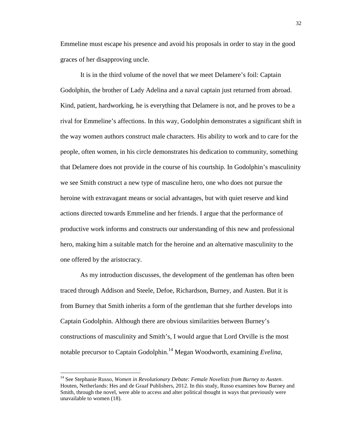Emmeline must escape his presence and avoid his proposals in order to stay in the good graces of her disapproving uncle.

It is in the third volume of the novel that we meet Delamere's foil: Captain Godolphin, the brother of Lady Adelina and a naval captain just returned from abroad. Kind, patient, hardworking, he is everything that Delamere is not, and he proves to be a rival for Emmeline's affections. In this way, Godolphin demonstrates a significant shift in the way women authors construct male characters. His ability to work and to care for the people, often women, in his circle demonstrates his dedication to community, something that Delamere does not provide in the course of his courtship. In Godolphin's masculinity we see Smith construct a new type of masculine hero, one who does not pursue the heroine with extravagant means or social advantages, but with quiet reserve and kind actions directed towards Emmeline and her friends. I argue that the performance of productive work informs and constructs our understanding of this new and professional hero, making him a suitable match for the heroine and an alternative masculinity to the one offered by the aristocracy.

As my introduction discusses, the development of the gentleman has often been traced through Addison and Steele, Defoe, Richardson, Burney, and Austen. But it is from Burney that Smith inherits a form of the gentleman that she further develops into Captain Godolphin. Although there are obvious similarities between Burney's constructions of masculinity and Smith's, I would argue that Lord Orville is the most notable precursor to Captain Godolphin.<sup>14</sup> Megan Woodworth, examining *Evelina*,

 $\overline{a}$ 

<sup>14</sup> See Stephanie Russo, *Women in Revolutionary Debate: Female Novelists from Burney to Austen*. Houten, Netherlands: Hes and de Graaf Publishers, 2012. In this study, Russo examines how Burney and Smith, through the novel, were able to access and alter political thought in ways that previously were unavailable to women (18).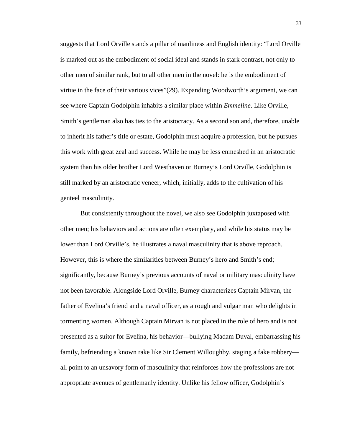suggests that Lord Orville stands a pillar of manliness and English identity: "Lord Orville is marked out as the embodiment of social ideal and stands in stark contrast, not only to other men of similar rank, but to all other men in the novel: he is the embodiment of virtue in the face of their various vices"(29). Expanding Woodworth's argument, we can see where Captain Godolphin inhabits a similar place within *Emmeline*. Like Orville, Smith's gentleman also has ties to the aristocracy. As a second son and, therefore, unable to inherit his father's title or estate, Godolphin must acquire a profession, but he pursues this work with great zeal and success. While he may be less enmeshed in an aristocratic system than his older brother Lord Westhaven or Burney's Lord Orville, Godolphin is still marked by an aristocratic veneer, which, initially, adds to the cultivation of his genteel masculinity.

But consistently throughout the novel, we also see Godolphin juxtaposed with other men; his behaviors and actions are often exemplary, and while his status may be lower than Lord Orville's, he illustrates a naval masculinity that is above reproach. However, this is where the similarities between Burney's hero and Smith's end; significantly, because Burney's previous accounts of naval or military masculinity have not been favorable. Alongside Lord Orville, Burney characterizes Captain Mirvan, the father of Evelina's friend and a naval officer, as a rough and vulgar man who delights in tormenting women. Although Captain Mirvan is not placed in the role of hero and is not presented as a suitor for Evelina, his behavior—bullying Madam Duval, embarrassing his family, befriending a known rake like Sir Clement Willoughby, staging a fake robbery all point to an unsavory form of masculinity that reinforces how the professions are not appropriate avenues of gentlemanly identity. Unlike his fellow officer, Godolphin's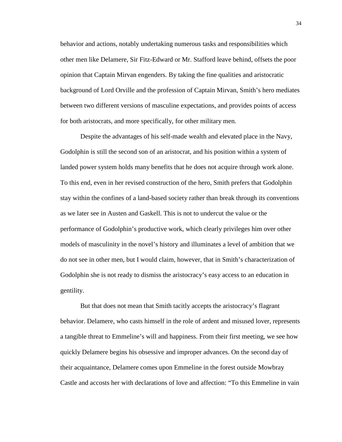behavior and actions, notably undertaking numerous tasks and responsibilities which other men like Delamere, Sir Fitz-Edward or Mr. Stafford leave behind, offsets the poor opinion that Captain Mirvan engenders. By taking the fine qualities and aristocratic background of Lord Orville and the profession of Captain Mirvan, Smith's hero mediates between two different versions of masculine expectations, and provides points of access for both aristocrats, and more specifically, for other military men.

Despite the advantages of his self-made wealth and elevated place in the Navy, Godolphin is still the second son of an aristocrat, and his position within a system of landed power system holds many benefits that he does not acquire through work alone. To this end, even in her revised construction of the hero, Smith prefers that Godolphin stay within the confines of a land-based society rather than break through its conventions as we later see in Austen and Gaskell. This is not to undercut the value or the performance of Godolphin's productive work, which clearly privileges him over other models of masculinity in the novel's history and illuminates a level of ambition that we do not see in other men, but I would claim, however, that in Smith's characterization of Godolphin she is not ready to dismiss the aristocracy's easy access to an education in gentility.

But that does not mean that Smith tacitly accepts the aristocracy's flagrant behavior. Delamere, who casts himself in the role of ardent and misused lover, represents a tangible threat to Emmeline's will and happiness. From their first meeting, we see how quickly Delamere begins his obsessive and improper advances. On the second day of their acquaintance, Delamere comes upon Emmeline in the forest outside Mowbray Castle and accosts her with declarations of love and affection: "To this Emmeline in vain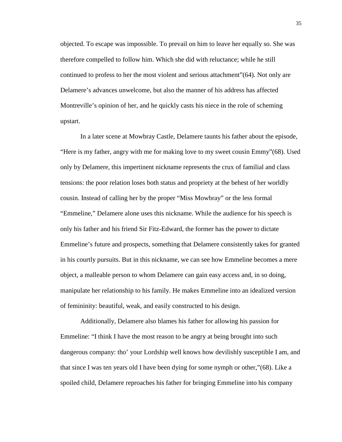objected. To escape was impossible. To prevail on him to leave her equally so. She was therefore compelled to follow him. Which she did with reluctance; while he still continued to profess to her the most violent and serious attachment"(64). Not only are Delamere's advances unwelcome, but also the manner of his address has affected Montreville's opinion of her, and he quickly casts his niece in the role of scheming upstart.

In a later scene at Mowbray Castle, Delamere taunts his father about the episode, "Here is my father, angry with me for making love to my sweet cousin Emmy"(68). Used only by Delamere, this impertinent nickname represents the crux of familial and class tensions: the poor relation loses both status and propriety at the behest of her worldly cousin. Instead of calling her by the proper "Miss Mowbray" or the less formal "Emmeline," Delamere alone uses this nickname. While the audience for his speech is only his father and his friend Sir Fitz-Edward, the former has the power to dictate Emmeline's future and prospects, something that Delamere consistently takes for granted in his courtly pursuits. But in this nickname, we can see how Emmeline becomes a mere object, a malleable person to whom Delamere can gain easy access and, in so doing, manipulate her relationship to his family. He makes Emmeline into an idealized version of femininity: beautiful, weak, and easily constructed to his design.

Additionally, Delamere also blames his father for allowing his passion for Emmeline: "I think I have the most reason to be angry at being brought into such dangerous company: tho' your Lordship well knows how devilishly susceptible I am, and that since I was ten years old I have been dying for some nymph or other,"(68). Like a spoiled child, Delamere reproaches his father for bringing Emmeline into his company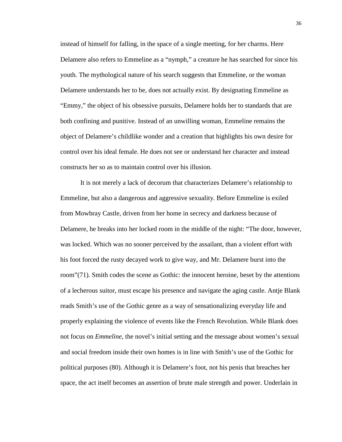instead of himself for falling, in the space of a single meeting, for her charms. Here Delamere also refers to Emmeline as a "nymph," a creature he has searched for since his youth. The mythological nature of his search suggests that Emmeline, or the woman Delamere understands her to be, does not actually exist. By designating Emmeline as "Emmy," the object of his obsessive pursuits, Delamere holds her to standards that are both confining and punitive. Instead of an unwilling woman, Emmeline remains the object of Delamere's childlike wonder and a creation that highlights his own desire for control over his ideal female. He does not see or understand her character and instead constructs her so as to maintain control over his illusion.

It is not merely a lack of decorum that characterizes Delamere's relationship to Emmeline, but also a dangerous and aggressive sexuality. Before Emmeline is exiled from Mowbray Castle, driven from her home in secrecy and darkness because of Delamere, he breaks into her locked room in the middle of the night: "The door, however, was locked. Which was no sooner perceived by the assailant, than a violent effort with his foot forced the rusty decayed work to give way, and Mr. Delamere burst into the room"(71). Smith codes the scene as Gothic: the innocent heroine, beset by the attentions of a lecherous suitor, must escape his presence and navigate the aging castle. Antje Blank reads Smith's use of the Gothic genre as a way of sensationalizing everyday life and properly explaining the violence of events like the French Revolution. While Blank does not focus on *Emmeline*, the novel's initial setting and the message about women's sexual and social freedom inside their own homes is in line with Smith's use of the Gothic for political purposes (80). Although it is Delamere's foot, not his penis that breaches her space, the act itself becomes an assertion of brute male strength and power. Underlain in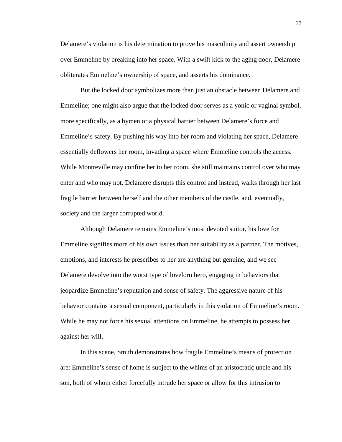Delamere's violation is his determination to prove his masculinity and assert ownership over Emmeline by breaking into her space. With a swift kick to the aging door, Delamere obliterates Emmeline's ownership of space, and asserts his dominance.

But the locked door symbolizes more than just an obstacle between Delamere and Emmeline; one might also argue that the locked door serves as a yonic or vaginal symbol, more specifically, as a hymen or a physical barrier between Delamere's force and Emmeline's safety. By pushing his way into her room and violating her space, Delamere essentially deflowers her room, invading a space where Emmeline controls the access. While Montreville may confine her to her room, she still maintains control over who may enter and who may not. Delamere disrupts this control and instead, walks through her last fragile barrier between herself and the other members of the castle, and, eventually, society and the larger corrupted world.

Although Delamere remains Emmeline's most devoted suitor, his love for Emmeline signifies more of his own issues than her suitability as a partner. The motives, emotions, and interests he prescribes to her are anything but genuine, and we see Delamere devolve into the worst type of lovelorn hero, engaging in behaviors that jeopardize Emmeline's reputation and sense of safety. The aggressive nature of his behavior contains a sexual component, particularly in this violation of Emmeline's room. While he may not force his sexual attentions on Emmeline, he attempts to possess her against her will.

In this scene, Smith demonstrates how fragile Emmeline's means of protection are: Emmeline's sense of home is subject to the whims of an aristocratic uncle and his son, both of whom either forcefully intrude her space or allow for this intrusion to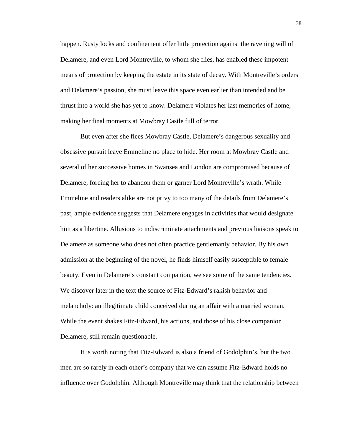happen. Rusty locks and confinement offer little protection against the ravening will of Delamere, and even Lord Montreville, to whom she flies, has enabled these impotent means of protection by keeping the estate in its state of decay. With Montreville's orders and Delamere's passion, she must leave this space even earlier than intended and be thrust into a world she has yet to know. Delamere violates her last memories of home, making her final moments at Mowbray Castle full of terror.

But even after she flees Mowbray Castle, Delamere's dangerous sexuality and obsessive pursuit leave Emmeline no place to hide. Her room at Mowbray Castle and several of her successive homes in Swansea and London are compromised because of Delamere, forcing her to abandon them or garner Lord Montreville's wrath. While Emmeline and readers alike are not privy to too many of the details from Delamere's past, ample evidence suggests that Delamere engages in activities that would designate him as a libertine. Allusions to indiscriminate attachments and previous liaisons speak to Delamere as someone who does not often practice gentlemanly behavior. By his own admission at the beginning of the novel, he finds himself easily susceptible to female beauty. Even in Delamere's constant companion, we see some of the same tendencies. We discover later in the text the source of Fitz-Edward's rakish behavior and melancholy: an illegitimate child conceived during an affair with a married woman. While the event shakes Fitz-Edward, his actions, and those of his close companion Delamere, still remain questionable.

It is worth noting that Fitz-Edward is also a friend of Godolphin's, but the two men are so rarely in each other's company that we can assume Fitz-Edward holds no influence over Godolphin. Although Montreville may think that the relationship between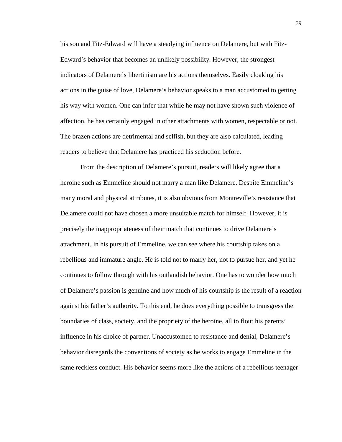his son and Fitz-Edward will have a steadying influence on Delamere, but with Fitz-Edward's behavior that becomes an unlikely possibility. However, the strongest indicators of Delamere's libertinism are his actions themselves. Easily cloaking his actions in the guise of love, Delamere's behavior speaks to a man accustomed to getting his way with women. One can infer that while he may not have shown such violence of affection, he has certainly engaged in other attachments with women, respectable or not. The brazen actions are detrimental and selfish, but they are also calculated, leading readers to believe that Delamere has practiced his seduction before.

From the description of Delamere's pursuit, readers will likely agree that a heroine such as Emmeline should not marry a man like Delamere. Despite Emmeline's many moral and physical attributes, it is also obvious from Montreville's resistance that Delamere could not have chosen a more unsuitable match for himself. However, it is precisely the inappropriateness of their match that continues to drive Delamere's attachment. In his pursuit of Emmeline, we can see where his courtship takes on a rebellious and immature angle. He is told not to marry her, not to pursue her, and yet he continues to follow through with his outlandish behavior. One has to wonder how much of Delamere's passion is genuine and how much of his courtship is the result of a reaction against his father's authority. To this end, he does everything possible to transgress the boundaries of class, society, and the propriety of the heroine, all to flout his parents' influence in his choice of partner. Unaccustomed to resistance and denial, Delamere's behavior disregards the conventions of society as he works to engage Emmeline in the same reckless conduct. His behavior seems more like the actions of a rebellious teenager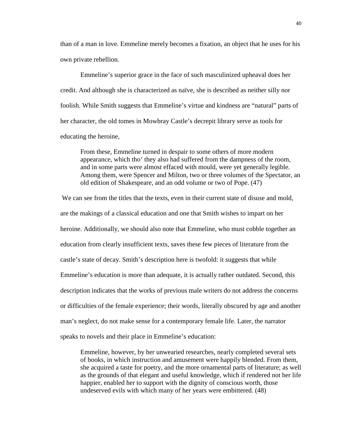than of a man in love. Emmeline merely becomes a fixation, an object that he uses for his own private rebellion.

Emmeline's superior grace in the face of such masculinized upheaval does her credit. And although she is characterized as naïve, she is described as neither silly nor foolish. While Smith suggests that Emmeline's virtue and kindness are "natural" parts of her character, the old tomes in Mowbray Castle's decrepit library serve as tools for educating the heroine,

From these, Emmeline turned in despair to some others of more modern appearance, which tho' they also had suffered from the dampness of the room, and in some parts were almost effaced with mould, were yet generally legible. Among them, were Spencer and Milton, two or three volumes of the Spectator, an old edition of Shakespeare, and an odd volume or two of Pope. (47)

 We can see from the titles that the texts, even in their current state of disuse and mold, are the makings of a classical education and one that Smith wishes to impart on her heroine. Additionally, we should also note that Emmeline, who must cobble together an education from clearly insufficient texts, saves these few pieces of literature from the castle's state of decay. Smith's description here is twofold: it suggests that while Emmeline's education is more than adequate, it is actually rather outdated. Second, this description indicates that the works of previous male writers do not address the concerns or difficulties of the female experience; their words, literally obscured by age and another man's neglect, do not make sense for a contemporary female life. Later, the narrator speaks to novels and their place in Emmeline's education:

Emmeline, however, by her unwearied researches, nearly completed several sets of books, in which instruction and amusement were happily blended. From them, she acquired a taste for poetry, and the more ornamental parts of literature; as well as the grounds of that elegant and useful knowledge, which if rendered not her life happier, enabled her to support with the dignity of conscious worth, those undeserved evils with which many of her years were embittered. (48)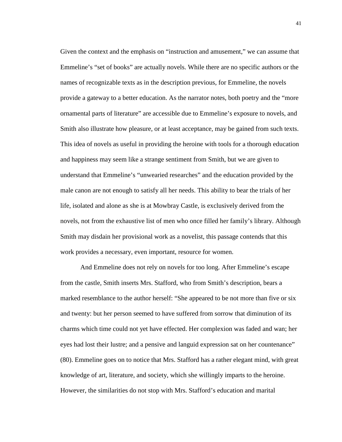Given the context and the emphasis on "instruction and amusement," we can assume that Emmeline's "set of books" are actually novels. While there are no specific authors or the names of recognizable texts as in the description previous, for Emmeline, the novels provide a gateway to a better education. As the narrator notes, both poetry and the "more ornamental parts of literature" are accessible due to Emmeline's exposure to novels, and Smith also illustrate how pleasure, or at least acceptance, may be gained from such texts. This idea of novels as useful in providing the heroine with tools for a thorough education and happiness may seem like a strange sentiment from Smith, but we are given to understand that Emmeline's "unwearied researches" and the education provided by the male canon are not enough to satisfy all her needs. This ability to bear the trials of her life, isolated and alone as she is at Mowbray Castle, is exclusively derived from the novels, not from the exhaustive list of men who once filled her family's library. Although Smith may disdain her provisional work as a novelist, this passage contends that this work provides a necessary, even important, resource for women.

And Emmeline does not rely on novels for too long. After Emmeline's escape from the castle, Smith inserts Mrs. Stafford, who from Smith's description, bears a marked resemblance to the author herself: "She appeared to be not more than five or six and twenty: but her person seemed to have suffered from sorrow that diminution of its charms which time could not yet have effected. Her complexion was faded and wan; her eyes had lost their lustre; and a pensive and languid expression sat on her countenance" (80). Emmeline goes on to notice that Mrs. Stafford has a rather elegant mind, with great knowledge of art, literature, and society, which she willingly imparts to the heroine. However, the similarities do not stop with Mrs. Stafford's education and marital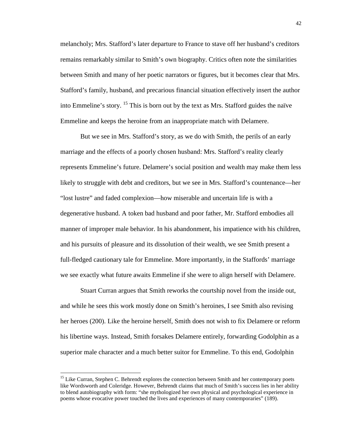melancholy; Mrs. Stafford's later departure to France to stave off her husband's creditors remains remarkably similar to Smith's own biography. Critics often note the similarities between Smith and many of her poetic narrators or figures, but it becomes clear that Mrs. Stafford's family, husband, and precarious financial situation effectively insert the author into Emmeline's story. <sup>15</sup> This is born out by the text as Mrs. Stafford guides the naïve Emmeline and keeps the heroine from an inappropriate match with Delamere.

But we see in Mrs. Stafford's story, as we do with Smith, the perils of an early marriage and the effects of a poorly chosen husband: Mrs. Stafford's reality clearly represents Emmeline's future. Delamere's social position and wealth may make them less likely to struggle with debt and creditors, but we see in Mrs. Stafford's countenance—her "lost lustre" and faded complexion—how miserable and uncertain life is with a degenerative husband. A token bad husband and poor father, Mr. Stafford embodies all manner of improper male behavior. In his abandonment, his impatience with his children, and his pursuits of pleasure and its dissolution of their wealth, we see Smith present a full-fledged cautionary tale for Emmeline. More importantly, in the Staffords' marriage we see exactly what future awaits Emmeline if she were to align herself with Delamere.

Stuart Curran argues that Smith reworks the courtship novel from the inside out, and while he sees this work mostly done on Smith's heroines, I see Smith also revising her heroes (200). Like the heroine herself, Smith does not wish to fix Delamere or reform his libertine ways. Instead, Smith forsakes Delamere entirely, forwarding Godolphin as a superior male character and a much better suitor for Emmeline. To this end, Godolphin

<sup>&</sup>lt;sup>15</sup> Like Curran, Stephen C. Behrendt explores the connection between Smith and her contemporary poets like Wordsworth and Coleridge. However, Behrendt claims that much of Smith's success lies in her ability to blend autobiography with form: "she mythologized her own physical and psychological experience in poems whose evocative power touched the lives and experiences of many contemporaries" (189).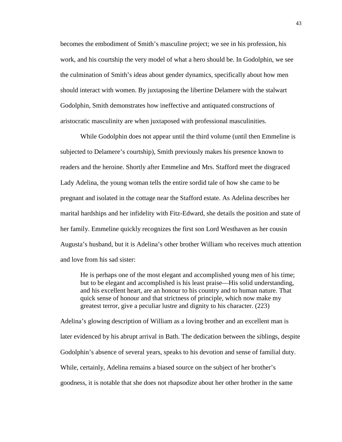becomes the embodiment of Smith's masculine project; we see in his profession, his work, and his courtship the very model of what a hero should be. In Godolphin, we see the culmination of Smith's ideas about gender dynamics, specifically about how men should interact with women. By juxtaposing the libertine Delamere with the stalwart Godolphin, Smith demonstrates how ineffective and antiquated constructions of aristocratic masculinity are when juxtaposed with professional masculinities.

While Godolphin does not appear until the third volume (until then Emmeline is subjected to Delamere's courtship), Smith previously makes his presence known to readers and the heroine. Shortly after Emmeline and Mrs. Stafford meet the disgraced Lady Adelina, the young woman tells the entire sordid tale of how she came to be pregnant and isolated in the cottage near the Stafford estate. As Adelina describes her marital hardships and her infidelity with Fitz-Edward, she details the position and state of her family. Emmeline quickly recognizes the first son Lord Westhaven as her cousin Augusta's husband, but it is Adelina's other brother William who receives much attention and love from his sad sister:

He is perhaps one of the most elegant and accomplished young men of his time; but to be elegant and accomplished is his least praise—His solid understanding, and his excellent heart, are an honour to his country and to human nature. That quick sense of honour and that strictness of principle, which now make my greatest terror, give a peculiar lustre and dignity to his character. (223)

Adelina's glowing description of William as a loving brother and an excellent man is later evidenced by his abrupt arrival in Bath. The dedication between the siblings, despite Godolphin's absence of several years, speaks to his devotion and sense of familial duty. While, certainly, Adelina remains a biased source on the subject of her brother's goodness, it is notable that she does not rhapsodize about her other brother in the same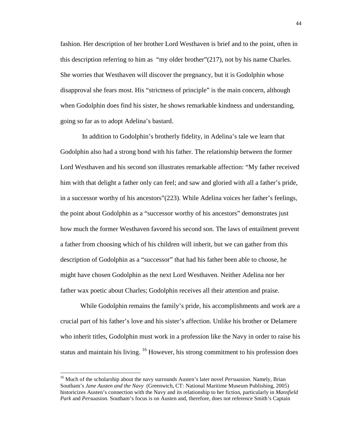fashion. Her description of her brother Lord Westhaven is brief and to the point, often in this description referring to him as "my older brother"(217), not by his name Charles. She worries that Westhaven will discover the pregnancy, but it is Godolphin whose disapproval she fears most. His "strictness of principle" is the main concern, although when Godolphin does find his sister, he shows remarkable kindness and understanding, going so far as to adopt Adelina's bastard.

 In addition to Godolphin's brotherly fidelity, in Adelina's tale we learn that Godolphin also had a strong bond with his father. The relationship between the former Lord Westhaven and his second son illustrates remarkable affection: "My father received him with that delight a father only can feel; and saw and gloried with all a father's pride, in a successor worthy of his ancestors"(223). While Adelina voices her father's feelings, the point about Godolphin as a "successor worthy of his ancestors" demonstrates just how much the former Westhaven favored his second son. The laws of entailment prevent a father from choosing which of his children will inherit, but we can gather from this description of Godolphin as a "successor" that had his father been able to choose, he might have chosen Godolphin as the next Lord Westhaven. Neither Adelina nor her father wax poetic about Charles; Godolphin receives all their attention and praise.

While Godolphin remains the family's pride, his accomplishments and work are a crucial part of his father's love and his sister's affection. Unlike his brother or Delamere who inherit titles, Godolphin must work in a profession like the Navy in order to raise his status and maintain his living. <sup>16</sup> However, his strong commitment to his profession does

<sup>&</sup>lt;sup>16</sup> Much of the scholarship about the navy surrounds Austen's later novel *Persuasion*. Namely, Brian Southam's *Jane Austen and the Navy* (Greenwich, CT: National Maritime Museum Publishing, 2005) historicizes Austen's connection with the Navy and its relationship to her fiction, particularly in *Mansfield Park* and *Persuasion.* Southam's focus is on Austen and, therefore, does not reference Smith's Captain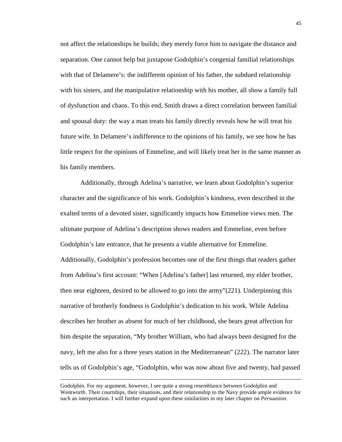not affect the relationships he builds; they merely force him to navigate the distance and separation. One cannot help but juxtapose Godolphin's congenial familial relationships with that of Delamere's: the indifferent opinion of his father, the subdued relationship with his sisters, and the manipulative relationship with his mother, all show a family full of dysfunction and chaos. To this end, Smith draws a direct correlation between familial and spousal duty: the way a man treats his family directly reveals how he will treat his future wife. In Delamere's indifference to the opinions of his family, we see how he has little respect for the opinions of Emmeline, and will likely treat her in the same manner as his family members.

Additionally, through Adelina's narrative, we learn about Godolphin's superior character and the significance of his work. Godolphin's kindness, even described in the exalted terms of a devoted sister, significantly impacts how Emmeline views men. The ultimate purpose of Adelina's description shows readers and Emmeline, even before Godolphin's late entrance, that he presents a viable alternative for Emmeline. Additionally, Godolphin's profession becomes one of the first things that readers gather from Adelina's first account: "When [Adelina's father] last returned, my elder brother, then near eighteen, desired to be allowed to go into the army"(221). Underpinning this narrative of brotherly fondness is Godolphin's dedication to his work. While Adelina describes her brother as absent for much of her childhood, she bears great affection for him despite the separation, "My brother William, who had always been designed for the navy, left me also for a three years station in the Mediterranean" (222). The narrator later tells us of Godolphin's age, "Godolphin, who was now about five and twenty, had passed

Godolphin. For my argument, however, I see quite a strong resemblance between Godolphin and Wentworth. Their courtships, their situations, and their relationship to the Navy provide ample evidence for such an interpretation. I will further expand upon these similarities in my later chapter on *Persuasion*.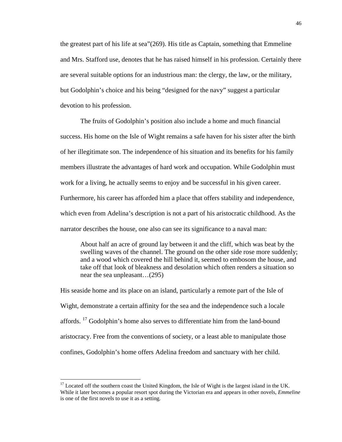the greatest part of his life at sea"(269). His title as Captain, something that Emmeline and Mrs. Stafford use, denotes that he has raised himself in his profession. Certainly there are several suitable options for an industrious man: the clergy, the law, or the military, but Godolphin's choice and his being "designed for the navy" suggest a particular devotion to his profession.

The fruits of Godolphin's position also include a home and much financial success. His home on the Isle of Wight remains a safe haven for his sister after the birth of her illegitimate son. The independence of his situation and its benefits for his family members illustrate the advantages of hard work and occupation. While Godolphin must work for a living, he actually seems to enjoy and be successful in his given career. Furthermore, his career has afforded him a place that offers stability and independence, which even from Adelina's description is not a part of his aristocratic childhood. As the narrator describes the house, one also can see its significance to a naval man:

About half an acre of ground lay between it and the cliff, which was beat by the swelling waves of the channel. The ground on the other side rose more suddenly; and a wood which covered the hill behind it, seemed to embosom the house, and take off that look of bleakness and desolation which often renders a situation so near the sea unpleasant…(295)

His seaside home and its place on an island, particularly a remote part of the Isle of Wight, demonstrate a certain affinity for the sea and the independence such a locale affords. <sup>17</sup> Godolphin's home also serves to differentiate him from the land-bound aristocracy. Free from the conventions of society, or a least able to manipulate those confines, Godolphin's home offers Adelina freedom and sanctuary with her child.

<sup>&</sup>lt;sup>17</sup> Located off the southern coast the United Kingdom, the Isle of Wight is the largest island in the UK. While it later becomes a popular resort spot during the Victorian era and appears in other novels, *Emmeline*  is one of the first novels to use it as a setting.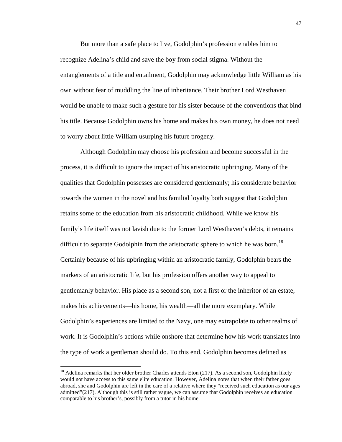But more than a safe place to live, Godolphin's profession enables him to recognize Adelina's child and save the boy from social stigma. Without the entanglements of a title and entailment, Godolphin may acknowledge little William as his own without fear of muddling the line of inheritance. Their brother Lord Westhaven would be unable to make such a gesture for his sister because of the conventions that bind his title. Because Godolphin owns his home and makes his own money, he does not need to worry about little William usurping his future progeny.

Although Godolphin may choose his profession and become successful in the process, it is difficult to ignore the impact of his aristocratic upbringing. Many of the qualities that Godolphin possesses are considered gentlemanly; his considerate behavior towards the women in the novel and his familial loyalty both suggest that Godolphin retains some of the education from his aristocratic childhood. While we know his family's life itself was not lavish due to the former Lord Westhaven's debts, it remains difficult to separate Godolphin from the aristocratic sphere to which he was born.<sup>18</sup> Certainly because of his upbringing within an aristocratic family, Godolphin bears the markers of an aristocratic life, but his profession offers another way to appeal to gentlemanly behavior. His place as a second son, not a first or the inheritor of an estate, makes his achievements—his home, his wealth—all the more exemplary. While Godolphin's experiences are limited to the Navy, one may extrapolate to other realms of work. It is Godolphin's actions while onshore that determine how his work translates into the type of work a gentleman should do. To this end, Godolphin becomes defined as

<u>.</u>

 $18$  Adelina remarks that her older brother Charles attends Eton (217). As a second son, Godolphin likely would not have access to this same elite education. However, Adelina notes that when their father goes abroad, she and Godolphin are left in the care of a relative where they "received such education as our ages admitted"(217). Although this is still rather vague, we can assume that Godolphin receives an education comparable to his brother's, possibly from a tutor in his home.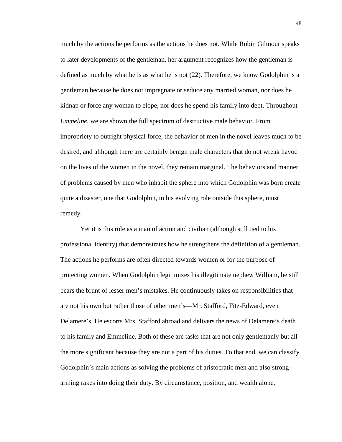much by the actions he performs as the actions he does not. While Robin Gilmour speaks to later developments of the gentleman, her argument recognizes how the gentleman is defined as much by what he is as what he is not (22). Therefore, we know Godolphin is a gentleman because he does not impregnate or seduce any married woman, nor does he kidnap or force any woman to elope, nor does he spend his family into debt. Throughout *Emmeline*, we are shown the full spectrum of destructive male behavior. From impropriety to outright physical force, the behavior of men in the novel leaves much to be desired, and although there are certainly benign male characters that do not wreak havoc on the lives of the women in the novel, they remain marginal. The behaviors and manner of problems caused by men who inhabit the sphere into which Godolphin was born create quite a disaster, one that Godolphin, in his evolving role outside this sphere, must remedy.

Yet it is this role as a man of action and civilian (although still tied to his professional identity) that demonstrates how he strengthens the definition of a gentleman. The actions he performs are often directed towards women or for the purpose of protecting women. When Godolphin legitimizes his illegitimate nephew William, he still bears the brunt of lesser men's mistakes. He continuously takes on responsibilities that are not his own but rather those of other men's—Mr. Stafford, Fitz-Edward, even Delamere's. He escorts Mrs. Stafford abroad and delivers the news of Delamere's death to his family and Emmeline. Both of these are tasks that are not only gentlemanly but all the more significant because they are not a part of his duties. To that end, we can classify Godolphin's main actions as solving the problems of aristocratic men and also strongarming rakes into doing their duty. By circumstance, position, and wealth alone,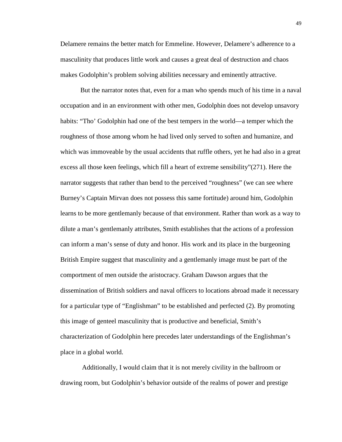Delamere remains the better match for Emmeline. However, Delamere's adherence to a masculinity that produces little work and causes a great deal of destruction and chaos makes Godolphin's problem solving abilities necessary and eminently attractive.

But the narrator notes that, even for a man who spends much of his time in a naval occupation and in an environment with other men, Godolphin does not develop unsavory habits: "Tho' Godolphin had one of the best tempers in the world—a temper which the roughness of those among whom he had lived only served to soften and humanize, and which was immoveable by the usual accidents that ruffle others, yet he had also in a great excess all those keen feelings, which fill a heart of extreme sensibility"(271). Here the narrator suggests that rather than bend to the perceived "roughness" (we can see where Burney's Captain Mirvan does not possess this same fortitude) around him, Godolphin learns to be more gentlemanly because of that environment. Rather than work as a way to dilute a man's gentlemanly attributes, Smith establishes that the actions of a profession can inform a man's sense of duty and honor. His work and its place in the burgeoning British Empire suggest that masculinity and a gentlemanly image must be part of the comportment of men outside the aristocracy. Graham Dawson argues that the dissemination of British soldiers and naval officers to locations abroad made it necessary for a particular type of "Englishman" to be established and perfected (2). By promoting this image of genteel masculinity that is productive and beneficial, Smith's characterization of Godolphin here precedes later understandings of the Englishman's place in a global world.

 Additionally, I would claim that it is not merely civility in the ballroom or drawing room, but Godolphin's behavior outside of the realms of power and prestige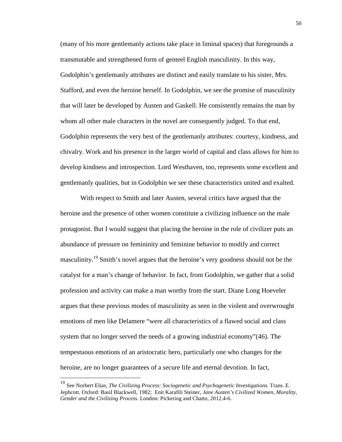(many of his more gentlemanly actions take place in liminal spaces) that foregrounds a transmutable and strengthened form of genteel English masculinity. In this way, Godolphin's gentlemanly attributes are distinct and easily translate to his sister, Mrs. Stafford, and even the heroine herself. In Godolphin, we see the promise of masculinity that will later be developed by Austen and Gaskell. He consistently remains the man by whom all other male characters in the novel are consequently judged. To that end, Godolphin represents the very best of the gentlemanly attributes: courtesy, kindness, and chivalry. Work and his presence in the larger world of capital and class allows for him to develop kindness and introspection. Lord Westhaven, too, represents some excellent and gentlemanly qualities, but in Godolphin we see these characteristics united and exalted.

With respect to Smith and later Austen, several critics have argued that the heroine and the presence of other women constitute a civilizing influence on the male protagonist. But I would suggest that placing the heroine in the role of civilizer puts an abundance of pressure on femininity and feminine behavior to modify and correct masculinity.<sup>19</sup> Smith's novel argues that the heroine's very goodness should not be the catalyst for a man's change of behavior. In fact, from Godolphin, we gather that a solid profession and activity can make a man worthy from the start. Diane Long Hoeveler argues that these previous modes of masculinity as seen in the violent and overwrought emotions of men like Delamere "were all characteristics of a flawed social and class system that no longer served the needs of a growing industrial economy"(46). The tempestuous emotions of an aristocratic hero, particularly one who changes for the heroine, are no longer guarantees of a secure life and eternal devotion. In fact,

<u>.</u>

<sup>19</sup> See Norbert Elias, *The Civilizing Process: Sociogenetic and Psychogenetic Investigations.* Trans. E. Jephcott. Oxford: Basil Blackwell, 1982; Enit Karafili Steiner*, Jane Austen's Civilized Women, Morality, Gender and the Civilizing Process*. London: Pickering and Chatto, 2012.4-6.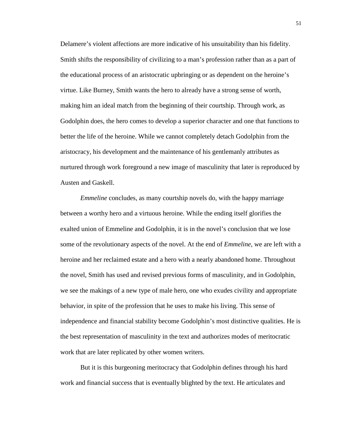Delamere's violent affections are more indicative of his unsuitability than his fidelity. Smith shifts the responsibility of civilizing to a man's profession rather than as a part of the educational process of an aristocratic upbringing or as dependent on the heroine's virtue. Like Burney, Smith wants the hero to already have a strong sense of worth, making him an ideal match from the beginning of their courtship. Through work, as Godolphin does, the hero comes to develop a superior character and one that functions to better the life of the heroine. While we cannot completely detach Godolphin from the aristocracy, his development and the maintenance of his gentlemanly attributes as nurtured through work foreground a new image of masculinity that later is reproduced by Austen and Gaskell.

*Emmeline* concludes, as many courtship novels do, with the happy marriage between a worthy hero and a virtuous heroine. While the ending itself glorifies the exalted union of Emmeline and Godolphin, it is in the novel's conclusion that we lose some of the revolutionary aspects of the novel. At the end of *Emmeline*, we are left with a heroine and her reclaimed estate and a hero with a nearly abandoned home. Throughout the novel, Smith has used and revised previous forms of masculinity, and in Godolphin, we see the makings of a new type of male hero, one who exudes civility and appropriate behavior, in spite of the profession that he uses to make his living. This sense of independence and financial stability become Godolphin's most distinctive qualities. He is the best representation of masculinity in the text and authorizes modes of meritocratic work that are later replicated by other women writers.

But it is this burgeoning meritocracy that Godolphin defines through his hard work and financial success that is eventually blighted by the text. He articulates and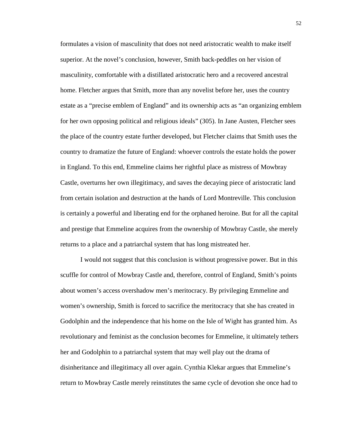formulates a vision of masculinity that does not need aristocratic wealth to make itself superior. At the novel's conclusion, however, Smith back-peddles on her vision of masculinity, comfortable with a distillated aristocratic hero and a recovered ancestral home. Fletcher argues that Smith, more than any novelist before her, uses the country estate as a "precise emblem of England" and its ownership acts as "an organizing emblem for her own opposing political and religious ideals" (305). In Jane Austen, Fletcher sees the place of the country estate further developed, but Fletcher claims that Smith uses the country to dramatize the future of England: whoever controls the estate holds the power in England. To this end, Emmeline claims her rightful place as mistress of Mowbray Castle, overturns her own illegitimacy, and saves the decaying piece of aristocratic land from certain isolation and destruction at the hands of Lord Montreville. This conclusion is certainly a powerful and liberating end for the orphaned heroine. But for all the capital and prestige that Emmeline acquires from the ownership of Mowbray Castle, she merely returns to a place and a patriarchal system that has long mistreated her.

I would not suggest that this conclusion is without progressive power. But in this scuffle for control of Mowbray Castle and, therefore, control of England, Smith's points about women's access overshadow men's meritocracy. By privileging Emmeline and women's ownership, Smith is forced to sacrifice the meritocracy that she has created in Godolphin and the independence that his home on the Isle of Wight has granted him. As revolutionary and feminist as the conclusion becomes for Emmeline, it ultimately tethers her and Godolphin to a patriarchal system that may well play out the drama of disinheritance and illegitimacy all over again. Cynthia Klekar argues that Emmeline's return to Mowbray Castle merely reinstitutes the same cycle of devotion she once had to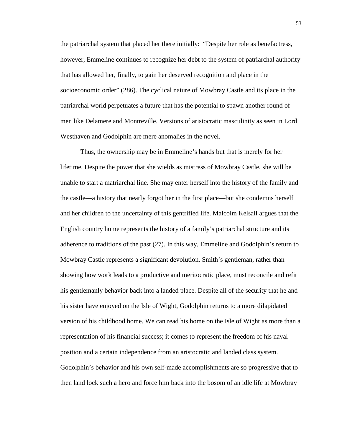the patriarchal system that placed her there initially: "Despite her role as benefactress, however, Emmeline continues to recognize her debt to the system of patriarchal authority that has allowed her, finally, to gain her deserved recognition and place in the socioeconomic order" (286). The cyclical nature of Mowbray Castle and its place in the patriarchal world perpetuates a future that has the potential to spawn another round of men like Delamere and Montreville. Versions of aristocratic masculinity as seen in Lord Westhaven and Godolphin are mere anomalies in the novel.

Thus, the ownership may be in Emmeline's hands but that is merely for her lifetime. Despite the power that she wields as mistress of Mowbray Castle, she will be unable to start a matriarchal line. She may enter herself into the history of the family and the castle—a history that nearly forgot her in the first place—but she condemns herself and her children to the uncertainty of this gentrified life. Malcolm Kelsall argues that the English country home represents the history of a family's patriarchal structure and its adherence to traditions of the past (27). In this way, Emmeline and Godolphin's return to Mowbray Castle represents a significant devolution. Smith's gentleman, rather than showing how work leads to a productive and meritocratic place, must reconcile and refit his gentlemanly behavior back into a landed place. Despite all of the security that he and his sister have enjoyed on the Isle of Wight, Godolphin returns to a more dilapidated version of his childhood home. We can read his home on the Isle of Wight as more than a representation of his financial success; it comes to represent the freedom of his naval position and a certain independence from an aristocratic and landed class system. Godolphin's behavior and his own self-made accomplishments are so progressive that to then land lock such a hero and force him back into the bosom of an idle life at Mowbray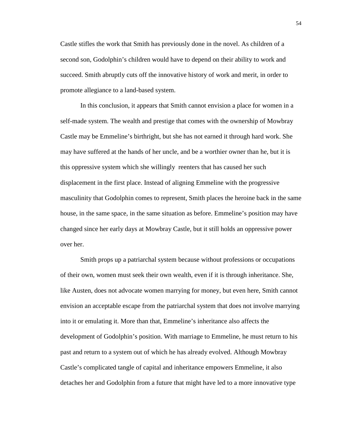Castle stifles the work that Smith has previously done in the novel. As children of a second son, Godolphin's children would have to depend on their ability to work and succeed. Smith abruptly cuts off the innovative history of work and merit, in order to promote allegiance to a land-based system.

In this conclusion, it appears that Smith cannot envision a place for women in a self-made system. The wealth and prestige that comes with the ownership of Mowbray Castle may be Emmeline's birthright, but she has not earned it through hard work. She may have suffered at the hands of her uncle, and be a worthier owner than he, but it is this oppressive system which she willingly reenters that has caused her such displacement in the first place. Instead of aligning Emmeline with the progressive masculinity that Godolphin comes to represent, Smith places the heroine back in the same house, in the same space, in the same situation as before. Emmeline's position may have changed since her early days at Mowbray Castle, but it still holds an oppressive power over her.

Smith props up a patriarchal system because without professions or occupations of their own, women must seek their own wealth, even if it is through inheritance. She, like Austen, does not advocate women marrying for money, but even here, Smith cannot envision an acceptable escape from the patriarchal system that does not involve marrying into it or emulating it. More than that, Emmeline's inheritance also affects the development of Godolphin's position. With marriage to Emmeline, he must return to his past and return to a system out of which he has already evolved. Although Mowbray Castle's complicated tangle of capital and inheritance empowers Emmeline, it also detaches her and Godolphin from a future that might have led to a more innovative type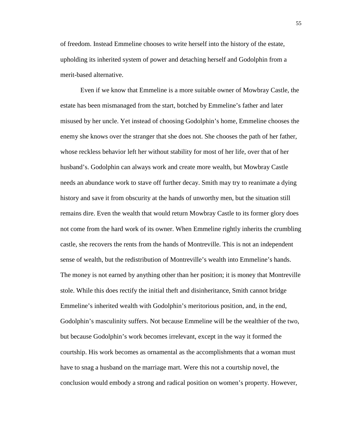of freedom. Instead Emmeline chooses to write herself into the history of the estate, upholding its inherited system of power and detaching herself and Godolphin from a merit-based alternative.

Even if we know that Emmeline is a more suitable owner of Mowbray Castle, the estate has been mismanaged from the start, botched by Emmeline's father and later misused by her uncle. Yet instead of choosing Godolphin's home, Emmeline chooses the enemy she knows over the stranger that she does not. She chooses the path of her father, whose reckless behavior left her without stability for most of her life, over that of her husband's. Godolphin can always work and create more wealth, but Mowbray Castle needs an abundance work to stave off further decay. Smith may try to reanimate a dying history and save it from obscurity at the hands of unworthy men, but the situation still remains dire. Even the wealth that would return Mowbray Castle to its former glory does not come from the hard work of its owner. When Emmeline rightly inherits the crumbling castle, she recovers the rents from the hands of Montreville. This is not an independent sense of wealth, but the redistribution of Montreville's wealth into Emmeline's hands. The money is not earned by anything other than her position; it is money that Montreville stole. While this does rectify the initial theft and disinheritance, Smith cannot bridge Emmeline's inherited wealth with Godolphin's meritorious position, and, in the end, Godolphin's masculinity suffers. Not because Emmeline will be the wealthier of the two, but because Godolphin's work becomes irrelevant, except in the way it formed the courtship. His work becomes as ornamental as the accomplishments that a woman must have to snag a husband on the marriage mart. Were this not a courtship novel, the conclusion would embody a strong and radical position on women's property. However,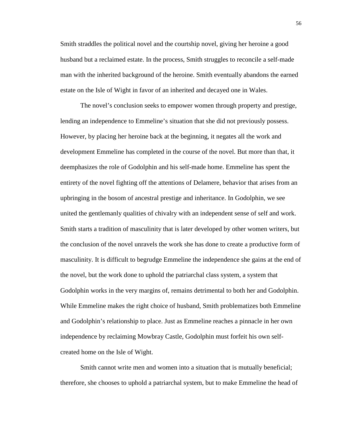Smith straddles the political novel and the courtship novel, giving her heroine a good husband but a reclaimed estate. In the process, Smith struggles to reconcile a self-made man with the inherited background of the heroine. Smith eventually abandons the earned estate on the Isle of Wight in favor of an inherited and decayed one in Wales.

The novel's conclusion seeks to empower women through property and prestige, lending an independence to Emmeline's situation that she did not previously possess. However, by placing her heroine back at the beginning, it negates all the work and development Emmeline has completed in the course of the novel. But more than that, it deemphasizes the role of Godolphin and his self-made home. Emmeline has spent the entirety of the novel fighting off the attentions of Delamere, behavior that arises from an upbringing in the bosom of ancestral prestige and inheritance. In Godolphin, we see united the gentlemanly qualities of chivalry with an independent sense of self and work. Smith starts a tradition of masculinity that is later developed by other women writers, but the conclusion of the novel unravels the work she has done to create a productive form of masculinity. It is difficult to begrudge Emmeline the independence she gains at the end of the novel, but the work done to uphold the patriarchal class system, a system that Godolphin works in the very margins of, remains detrimental to both her and Godolphin. While Emmeline makes the right choice of husband, Smith problematizes both Emmeline and Godolphin's relationship to place. Just as Emmeline reaches a pinnacle in her own independence by reclaiming Mowbray Castle, Godolphin must forfeit his own selfcreated home on the Isle of Wight.

Smith cannot write men and women into a situation that is mutually beneficial; therefore, she chooses to uphold a patriarchal system, but to make Emmeline the head of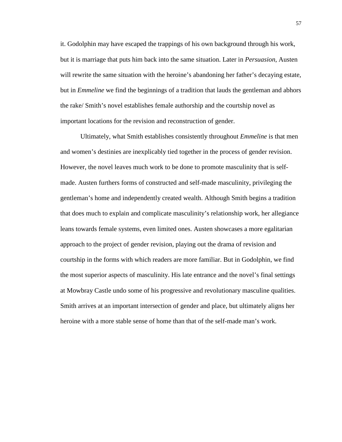it. Godolphin may have escaped the trappings of his own background through his work, but it is marriage that puts him back into the same situation. Later in *Persuasion*, Austen will rewrite the same situation with the heroine's abandoning her father's decaying estate, but in *Emmeline* we find the beginnings of a tradition that lauds the gentleman and abhors the rake/ Smith's novel establishes female authorship and the courtship novel as important locations for the revision and reconstruction of gender.

Ultimately, what Smith establishes consistently throughout *Emmeline* is that men and women's destinies are inexplicably tied together in the process of gender revision. However, the novel leaves much work to be done to promote masculinity that is selfmade. Austen furthers forms of constructed and self-made masculinity, privileging the gentleman's home and independently created wealth. Although Smith begins a tradition that does much to explain and complicate masculinity's relationship work, her allegiance leans towards female systems, even limited ones. Austen showcases a more egalitarian approach to the project of gender revision, playing out the drama of revision and courtship in the forms with which readers are more familiar. But in Godolphin, we find the most superior aspects of masculinity. His late entrance and the novel's final settings at Mowbray Castle undo some of his progressive and revolutionary masculine qualities. Smith arrives at an important intersection of gender and place, but ultimately aligns her heroine with a more stable sense of home than that of the self-made man's work.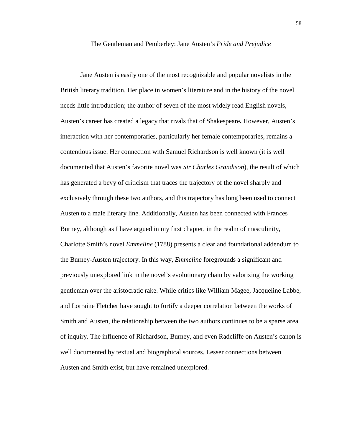## The Gentleman and Pemberley: Jane Austen's *Pride and Prejudice*

Jane Austen is easily one of the most recognizable and popular novelists in the British literary tradition. Her place in women's literature and in the history of the novel needs little introduction; the author of seven of the most widely read English novels, Austen's career has created a legacy that rivals that of Shakespeare**.** However, Austen's interaction with her contemporaries, particularly her female contemporaries, remains a contentious issue. Her connection with Samuel Richardson is well known (it is well documented that Austen's favorite novel was *Sir Charles Grandison*), the result of which has generated a bevy of criticism that traces the trajectory of the novel sharply and exclusively through these two authors, and this trajectory has long been used to connect Austen to a male literary line. Additionally, Austen has been connected with Frances Burney, although as I have argued in my first chapter, in the realm of masculinity, Charlotte Smith's novel *Emmeline* (1788) presents a clear and foundational addendum to the Burney-Austen trajectory. In this way, *Emmeline* foregrounds a significant and previously unexplored link in the novel's evolutionary chain by valorizing the working gentleman over the aristocratic rake. While critics like William Magee, Jacqueline Labbe, and Lorraine Fletcher have sought to fortify a deeper correlation between the works of Smith and Austen, the relationship between the two authors continues to be a sparse area of inquiry. The influence of Richardson, Burney, and even Radcliffe on Austen's canon is well documented by textual and biographical sources. Lesser connections between Austen and Smith exist, but have remained unexplored.

58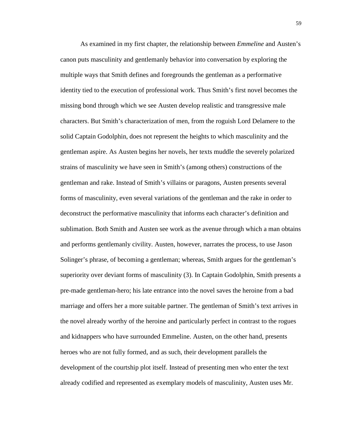As examined in my first chapter, the relationship between *Emmeline* and Austen's canon puts masculinity and gentlemanly behavior into conversation by exploring the multiple ways that Smith defines and foregrounds the gentleman as a performative identity tied to the execution of professional work. Thus Smith's first novel becomes the missing bond through which we see Austen develop realistic and transgressive male characters. But Smith's characterization of men, from the roguish Lord Delamere to the solid Captain Godolphin, does not represent the heights to which masculinity and the gentleman aspire. As Austen begins her novels, her texts muddle the severely polarized strains of masculinity we have seen in Smith's (among others) constructions of the gentleman and rake. Instead of Smith's villains or paragons, Austen presents several forms of masculinity, even several variations of the gentleman and the rake in order to deconstruct the performative masculinity that informs each character's definition and sublimation. Both Smith and Austen see work as the avenue through which a man obtains and performs gentlemanly civility. Austen, however, narrates the process, to use Jason Solinger's phrase, of becoming a gentleman; whereas, Smith argues for the gentleman's superiority over deviant forms of masculinity (3). In Captain Godolphin, Smith presents a pre-made gentleman-hero; his late entrance into the novel saves the heroine from a bad marriage and offers her a more suitable partner. The gentleman of Smith's text arrives in the novel already worthy of the heroine and particularly perfect in contrast to the rogues and kidnappers who have surrounded Emmeline. Austen, on the other hand, presents heroes who are not fully formed, and as such, their development parallels the development of the courtship plot itself. Instead of presenting men who enter the text already codified and represented as exemplary models of masculinity, Austen uses Mr.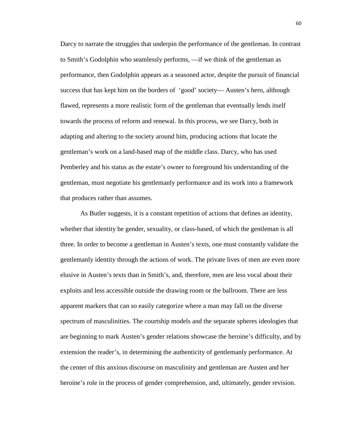Darcy to narrate the struggles that underpin the performance of the gentleman. In contrast to Smith's Godolphin who seamlessly performs, —if we think of the gentleman as performance, then Godolphin appears as a seasoned actor, despite the pursuit of financial success that has kept him on the borders of 'good' society— Austen's hero, although flawed, represents a more realistic form of the gentleman that eventually lends itself towards the process of reform and renewal. In this process, we see Darcy, both in adapting and altering to the society around him, producing actions that locate the gentleman's work on a land-based map of the middle class. Darcy, who has used Pemberley and his status as the estate's owner to foreground his understanding of the gentleman, must negotiate his gentlemanly performance and its work into a framework that produces rather than assumes.

As Butler suggests, it is a constant repetition of actions that defines an identity, whether that identity be gender, sexuality, or class-based, of which the gentleman is all three. In order to become a gentleman in Austen's texts, one must constantly validate the gentlemanly identity through the actions of work. The private lives of men are even more elusive in Austen's texts than in Smith's, and, therefore, men are less vocal about their exploits and less accessible outside the drawing room or the ballroom. There are less apparent markers that can so easily categorize where a man may fall on the diverse spectrum of masculinities. The courtship models and the separate spheres ideologies that are beginning to mark Austen's gender relations showcase the heroine's difficulty, and by extension the reader's, in determining the authenticity of gentlemanly performance. At the center of this anxious discourse on masculinity and gentleman are Austen and her heroine's role in the process of gender comprehension, and, ultimately, gender revision.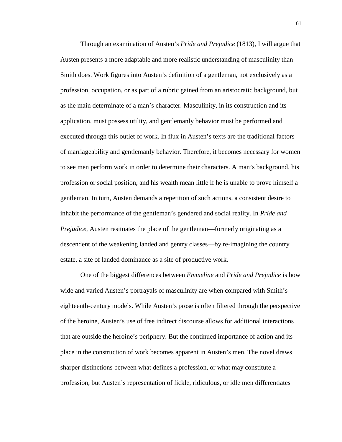Through an examination of Austen's *Pride and Prejudice* (1813), I will argue that Austen presents a more adaptable and more realistic understanding of masculinity than Smith does. Work figures into Austen's definition of a gentleman, not exclusively as a profession, occupation, or as part of a rubric gained from an aristocratic background, but as the main determinate of a man's character. Masculinity, in its construction and its application, must possess utility, and gentlemanly behavior must be performed and executed through this outlet of work. In flux in Austen's texts are the traditional factors of marriageability and gentlemanly behavior. Therefore, it becomes necessary for women to see men perform work in order to determine their characters. A man's background, his profession or social position, and his wealth mean little if he is unable to prove himself a gentleman. In turn, Austen demands a repetition of such actions, a consistent desire to inhabit the performance of the gentleman's gendered and social reality. In *Pride and Prejudice*, Austen resituates the place of the gentleman—formerly originating as a descendent of the weakening landed and gentry classes—by re-imagining the country estate, a site of landed dominance as a site of productive work.

One of the biggest differences between *Emmeline* and *Pride and Prejudice* is how wide and varied Austen's portrayals of masculinity are when compared with Smith's eighteenth-century models. While Austen's prose is often filtered through the perspective of the heroine, Austen's use of free indirect discourse allows for additional interactions that are outside the heroine's periphery. But the continued importance of action and its place in the construction of work becomes apparent in Austen's men. The novel draws sharper distinctions between what defines a profession, or what may constitute a profession, but Austen's representation of fickle, ridiculous, or idle men differentiates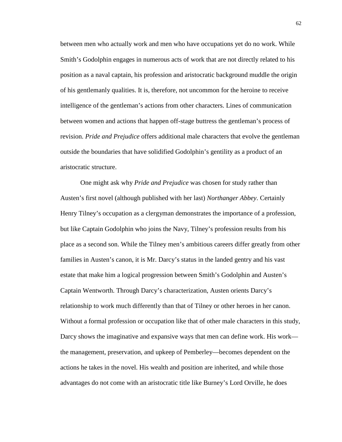between men who actually work and men who have occupations yet do no work. While Smith's Godolphin engages in numerous acts of work that are not directly related to his position as a naval captain, his profession and aristocratic background muddle the origin of his gentlemanly qualities. It is, therefore, not uncommon for the heroine to receive intelligence of the gentleman's actions from other characters. Lines of communication between women and actions that happen off-stage buttress the gentleman's process of revision. *Pride and Prejudice* offers additional male characters that evolve the gentleman outside the boundaries that have solidified Godolphin's gentility as a product of an aristocratic structure.

One might ask why *Pride and Prejudice* was chosen for study rather than Austen's first novel (although published with her last) *Northanger Abbey*. Certainly Henry Tilney's occupation as a clergyman demonstrates the importance of a profession, but like Captain Godolphin who joins the Navy, Tilney's profession results from his place as a second son. While the Tilney men's ambitious careers differ greatly from other families in Austen's canon, it is Mr. Darcy's status in the landed gentry and his vast estate that make him a logical progression between Smith's Godolphin and Austen's Captain Wentworth. Through Darcy's characterization, Austen orients Darcy's relationship to work much differently than that of Tilney or other heroes in her canon. Without a formal profession or occupation like that of other male characters in this study, Darcy shows the imaginative and expansive ways that men can define work. His work the management, preservation, and upkeep of Pemberley—becomes dependent on the actions he takes in the novel. His wealth and position are inherited, and while those advantages do not come with an aristocratic title like Burney's Lord Orville, he does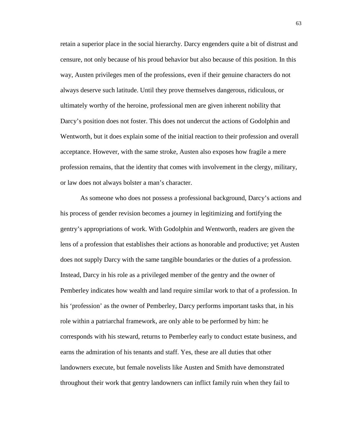retain a superior place in the social hierarchy. Darcy engenders quite a bit of distrust and censure, not only because of his proud behavior but also because of this position. In this way, Austen privileges men of the professions, even if their genuine characters do not always deserve such latitude. Until they prove themselves dangerous, ridiculous, or ultimately worthy of the heroine, professional men are given inherent nobility that Darcy's position does not foster. This does not undercut the actions of Godolphin and Wentworth, but it does explain some of the initial reaction to their profession and overall acceptance. However, with the same stroke, Austen also exposes how fragile a mere profession remains, that the identity that comes with involvement in the clergy, military, or law does not always bolster a man's character.

As someone who does not possess a professional background, Darcy's actions and his process of gender revision becomes a journey in legitimizing and fortifying the gentry's appropriations of work. With Godolphin and Wentworth, readers are given the lens of a profession that establishes their actions as honorable and productive; yet Austen does not supply Darcy with the same tangible boundaries or the duties of a profession. Instead, Darcy in his role as a privileged member of the gentry and the owner of Pemberley indicates how wealth and land require similar work to that of a profession. In his 'profession' as the owner of Pemberley, Darcy performs important tasks that, in his role within a patriarchal framework, are only able to be performed by him: he corresponds with his steward, returns to Pemberley early to conduct estate business, and earns the admiration of his tenants and staff. Yes, these are all duties that other landowners execute, but female novelists like Austen and Smith have demonstrated throughout their work that gentry landowners can inflict family ruin when they fail to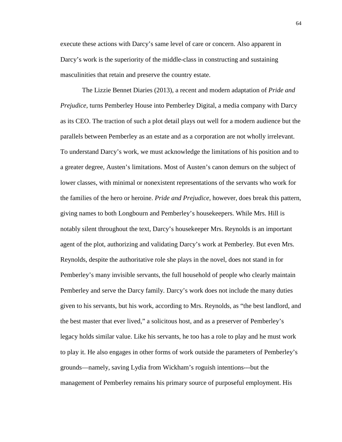execute these actions with Darcy's same level of care or concern. Also apparent in Darcy's work is the superiority of the middle-class in constructing and sustaining masculinities that retain and preserve the country estate.

 The Lizzie Bennet Diaries (2013), a recent and modern adaptation of *Pride and Prejudice,* turns Pemberley House into Pemberley Digital, a media company with Darcy as its CEO. The traction of such a plot detail plays out well for a modern audience but the parallels between Pemberley as an estate and as a corporation are not wholly irrelevant. To understand Darcy's work, we must acknowledge the limitations of his position and to a greater degree, Austen's limitations. Most of Austen's canon demurs on the subject of lower classes, with minimal or nonexistent representations of the servants who work for the families of the hero or heroine. *Pride and Prejudice*, however, does break this pattern, giving names to both Longbourn and Pemberley's housekeepers. While Mrs. Hill is notably silent throughout the text, Darcy's housekeeper Mrs. Reynolds is an important agent of the plot, authorizing and validating Darcy's work at Pemberley. But even Mrs. Reynolds, despite the authoritative role she plays in the novel, does not stand in for Pemberley's many invisible servants, the full household of people who clearly maintain Pemberley and serve the Darcy family. Darcy's work does not include the many duties given to his servants, but his work, according to Mrs. Reynolds, as "the best landlord, and the best master that ever lived," a solicitous host, and as a preserver of Pemberley's legacy holds similar value. Like his servants, he too has a role to play and he must work to play it. He also engages in other forms of work outside the parameters of Pemberley's grounds—namely, saving Lydia from Wickham's roguish intentions---but the management of Pemberley remains his primary source of purposeful employment. His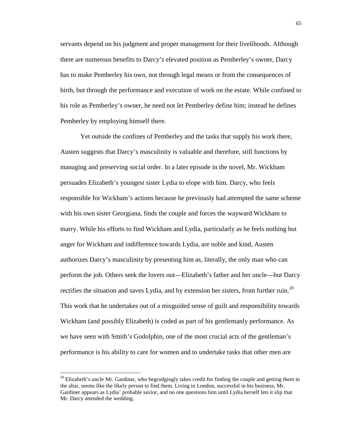servants depend on his judgment and proper management for their livelihoods. Although there are numerous benefits to Darcy's elevated position as Pemberley's owner, Darcy has to make Pemberley his own, not through legal means or from the consequences of birth, but through the performance and execution of work on the estate. While confined to his role as Pemberley's owner, he need not let Pemberley define him; instead he defines Pemberley by employing himself there.

Yet outside the confines of Pemberley and the tasks that supply his work there, Austen suggests that Darcy's masculinity is valuable and therefore, still functions by managing and preserving social order. In a later episode in the novel, Mr. Wickham persuades Elizabeth's youngest sister Lydia to elope with him. Darcy, who feels responsible for Wickham's actions because he previously had attempted the same scheme with his own sister Georgiana, finds the couple and forces the wayward Wickham to marry. While his efforts to find Wickham and Lydia, particularly as he feels nothing but anger for Wickham and indifference towards Lydia, are noble and kind, Austen authorizes Darcy's masculinity by presenting him as, literally, the only man who can perform the job. Others seek the lovers out—Elizabeth's father and her uncle—but Darcy rectifies the situation and saves Lydia, and by extension her sisters, from further ruin.<sup>20</sup> This work that he undertakes out of a misguided sense of guilt and responsibility towards Wickham (and possibly Elizabeth) is coded as part of his gentlemanly performance. As we have seen with Smith's Godolphin, one of the most crucial acts of the gentleman's performance is his ability to care for women and to undertake tasks that other men are

 $^{20}$  Elizabeth's uncle Mr. Gardiner, who begrudgingly takes credit for finding the couple and getting them to the altar, seems like the likely person to find them. Living in London, successful in his business, Mr. Gardiner appears as Lydia' probable savior, and no one questions him until Lydia herself lets it slip that Mr. Darcy attended the wedding.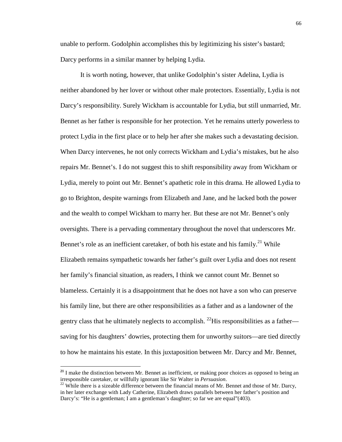unable to perform. Godolphin accomplishes this by legitimizing his sister's bastard; Darcy performs in a similar manner by helping Lydia.

It is worth noting, however, that unlike Godolphin's sister Adelina, Lydia is neither abandoned by her lover or without other male protectors. Essentially, Lydia is not Darcy's responsibility. Surely Wickham is accountable for Lydia, but still unmarried, Mr. Bennet as her father is responsible for her protection. Yet he remains utterly powerless to protect Lydia in the first place or to help her after she makes such a devastating decision. When Darcy intervenes, he not only corrects Wickham and Lydia's mistakes, but he also repairs Mr. Bennet's. I do not suggest this to shift responsibility away from Wickham or Lydia, merely to point out Mr. Bennet's apathetic role in this drama. He allowed Lydia to go to Brighton, despite warnings from Elizabeth and Jane, and he lacked both the power and the wealth to compel Wickham to marry her. But these are not Mr. Bennet's only oversights. There is a pervading commentary throughout the novel that underscores Mr. Bennet's role as an inefficient caretaker, of both his estate and his family.<sup>21</sup> While Elizabeth remains sympathetic towards her father's guilt over Lydia and does not resent her family's financial situation, as readers, I think we cannot count Mr. Bennet so blameless. Certainly it is a disappointment that he does not have a son who can preserve his family line, but there are other responsibilities as a father and as a landowner of the gentry class that he ultimately neglects to accomplish. <sup>22</sup>His responsibilities as a father saving for his daughters' dowries, protecting them for unworthy suitors—are tied directly to how he maintains his estate. In this juxtaposition between Mr. Darcy and Mr. Bennet,

<u>.</u>

**<sup>21</sup>** I make the distinction between Mr. Bennet as inefficient, or making poor choices as opposed to being an irresponsible caretaker, or willfully ignorant like Sir Walter in *Persuasion*.

 $^{22}$  While there is a sizeable difference between the financial means of Mr. Bennet and those of Mr. Darcy, in her later exchange with Lady Catherine, Elizabeth draws parallels between her father's position and Darcy's: "He is a gentleman; I am a gentleman's daughter; so far we are equal"(403).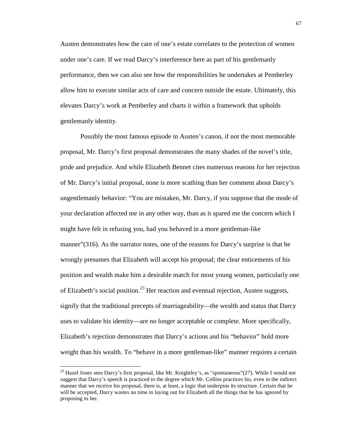Austen demonstrates how the care of one's estate correlates to the protection of women under one's care. If we read Darcy's interference here as part of his gentlemanly performance, then we can also see how the responsibilities he undertakes at Pemberley allow him to execute similar acts of care and concern outside the estate. Ultimately, this elevates Darcy's work at Pemberley and charts it within a framework that upholds gentlemanly identity.

Possibly the most famous episode in Austen's canon, if not the most memorable proposal, Mr. Darcy's first proposal demonstrates the many shades of the novel's title, pride and prejudice. And while Elizabeth Bennet cites numerous reasons for her rejection of Mr. Darcy's initial proposal, none is more scathing than her comment about Darcy's ungentlemanly behavior: "You are mistaken, Mr. Darcy, if you suppose that the mode of your declaration affected me in any other way, than as it spared me the concern which I might have felt in refusing you, had you behaved in a more gentleman-like manner" $(316)$ . As the narrator notes, one of the reasons for Darcy's surprise is that he wrongly presumes that Elizabeth will accept his proposal; the clear enticements of his position and wealth make him a desirable match for most young women, particularly one of Elizabeth's social position.<sup>23</sup> Her reaction and eventual rejection, Austen suggests, signify that the traditional precepts of marriageability—the wealth and status that Darcy uses to validate his identity—are no longer acceptable or complete. More specifically, Elizabeth's rejection demonstrates that Darcy's actions and his "behavior" hold more weight than his wealth. To "behave in a more gentleman-like" manner requires a certain

 $^{23}$  Hazel Jones sees Darcy's first proposal, like Mr. Knightley's, as "spontaneous"(27). While I would not suggest that Darcy's speech is practiced to the degree which Mr. Collins practices his, even in the indirect manner that we receive his proposal, there is, at least, a logic that underpins its structure. Certain that he will be accepted, Darcy wastes no time in laying out for Elizabeth all the things that he has ignored by proposing to her.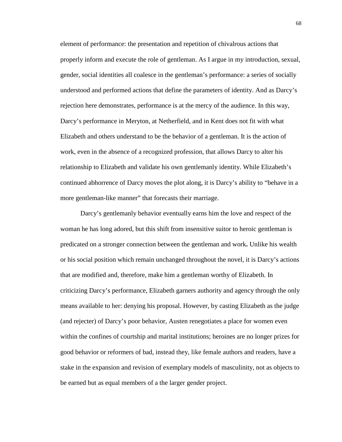element of performance: the presentation and repetition of chivalrous actions that properly inform and execute the role of gentleman. As I argue in my introduction, sexual, gender, social identities all coalesce in the gentleman's performance: a series of socially understood and performed actions that define the parameters of identity. And as Darcy's rejection here demonstrates, performance is at the mercy of the audience. In this way, Darcy's performance in Meryton, at Netherfield, and in Kent does not fit with what Elizabeth and others understand to be the behavior of a gentleman. It is the action of work, even in the absence of a recognized profession, that allows Darcy to alter his relationship to Elizabeth and validate his own gentlemanly identity. While Elizabeth's continued abhorrence of Darcy moves the plot along, it is Darcy's ability to "behave in a more gentleman-like manner" that forecasts their marriage.

Darcy's gentlemanly behavior eventually earns him the love and respect of the woman he has long adored, but this shift from insensitive suitor to heroic gentleman is predicated on a stronger connection between the gentleman and work**.** Unlike his wealth or his social position which remain unchanged throughout the novel, it is Darcy's actions that are modified and, therefore, make him a gentleman worthy of Elizabeth. In criticizing Darcy's performance, Elizabeth garners authority and agency through the only means available to her: denying his proposal. However, by casting Elizabeth as the judge (and rejecter) of Darcy's poor behavior, Austen renegotiates a place for women even within the confines of courtship and marital institutions; heroines are no longer prizes for good behavior or reformers of bad, instead they, like female authors and readers, have a stake in the expansion and revision of exemplary models of masculinity, not as objects to be earned but as equal members of a the larger gender project.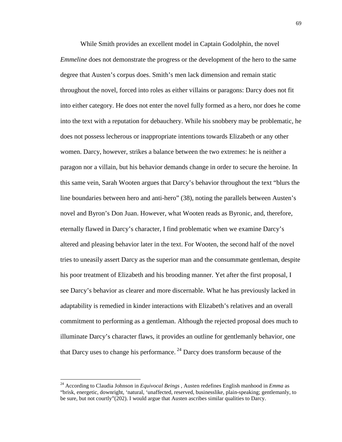While Smith provides an excellent model in Captain Godolphin, the novel *Emmeline* does not demonstrate the progress or the development of the hero to the same degree that Austen's corpus does. Smith's men lack dimension and remain static throughout the novel, forced into roles as either villains or paragons: Darcy does not fit into either category. He does not enter the novel fully formed as a hero, nor does he come into the text with a reputation for debauchery. While his snobbery may be problematic, he does not possess lecherous or inappropriate intentions towards Elizabeth or any other women. Darcy, however, strikes a balance between the two extremes: he is neither a paragon nor a villain, but his behavior demands change in order to secure the heroine. In this same vein, Sarah Wooten argues that Darcy's behavior throughout the text "blurs the line boundaries between hero and anti-hero" (38), noting the parallels between Austen's novel and Byron's Don Juan. However, what Wooten reads as Byronic, and, therefore, eternally flawed in Darcy's character, I find problematic when we examine Darcy's altered and pleasing behavior later in the text. For Wooten, the second half of the novel tries to uneasily assert Darcy as the superior man and the consummate gentleman, despite his poor treatment of Elizabeth and his brooding manner. Yet after the first proposal, I see Darcy's behavior as clearer and more discernable. What he has previously lacked in adaptability is remedied in kinder interactions with Elizabeth's relatives and an overall commitment to performing as a gentleman. Although the rejected proposal does much to illuminate Darcy's character flaws, it provides an outline for gentlemanly behavior, one that Darcy uses to change his performance.<sup>24</sup> Darcy does transform because of the

 $\overline{a}$ 

<sup>24</sup> According to Claudia Johnson in *Equivocal Beings* , Austen redefines English manhood in *Emma* as "brisk, energetic, downright, 'natural, 'unaffected, reserved, businesslike, plain-speaking; gentlemanly, to be sure, but not courtly"(202). I would argue that Austen ascribes similar qualities to Darcy.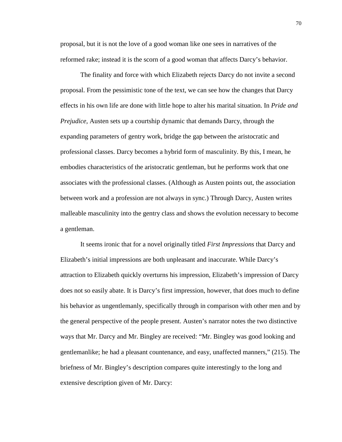proposal, but it is not the love of a good woman like one sees in narratives of the reformed rake; instead it is the scorn of a good woman that affects Darcy's behavior.

The finality and force with which Elizabeth rejects Darcy do not invite a second proposal. From the pessimistic tone of the text, we can see how the changes that Darcy effects in his own life are done with little hope to alter his marital situation. In *Pride and Prejudice*, Austen sets up a courtship dynamic that demands Darcy, through the expanding parameters of gentry work, bridge the gap between the aristocratic and professional classes. Darcy becomes a hybrid form of masculinity. By this, I mean, he embodies characteristics of the aristocratic gentleman, but he performs work that one associates with the professional classes. (Although as Austen points out, the association between work and a profession are not always in sync.) Through Darcy, Austen writes malleable masculinity into the gentry class and shows the evolution necessary to become a gentleman.

It seems ironic that for a novel originally titled *First Impressions* that Darcy and Elizabeth's initial impressions are both unpleasant and inaccurate. While Darcy's attraction to Elizabeth quickly overturns his impression, Elizabeth's impression of Darcy does not so easily abate. It is Darcy's first impression, however, that does much to define his behavior as ungentlemanly, specifically through in comparison with other men and by the general perspective of the people present. Austen's narrator notes the two distinctive ways that Mr. Darcy and Mr. Bingley are received: "Mr. Bingley was good looking and gentlemanlike; he had a pleasant countenance, and easy, unaffected manners," (215). The briefness of Mr. Bingley's description compares quite interestingly to the long and extensive description given of Mr. Darcy: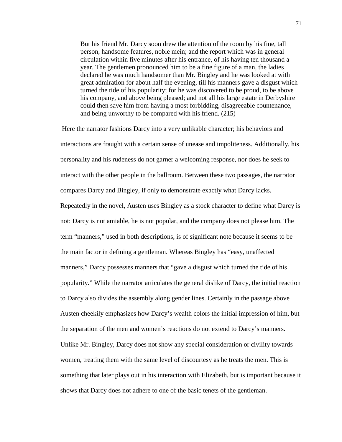But his friend Mr. Darcy soon drew the attention of the room by his fine, tall person, handsome features, noble mein; and the report which was in general circulation within five minutes after his entrance, of his having ten thousand a year. The gentlemen pronounced him to be a fine figure of a man, the ladies declared he was much handsomer than Mr. Bingley and he was looked at with great admiration for about half the evening, till his manners gave a disgust which turned the tide of his popularity; for he was discovered to be proud, to be above his company, and above being pleased; and not all his large estate in Derbyshire could then save him from having a most forbidding, disagreeable countenance, and being unworthy to be compared with his friend. (215)

 Here the narrator fashions Darcy into a very unlikable character; his behaviors and interactions are fraught with a certain sense of unease and impoliteness. Additionally, his personality and his rudeness do not garner a welcoming response, nor does he seek to interact with the other people in the ballroom. Between these two passages, the narrator compares Darcy and Bingley, if only to demonstrate exactly what Darcy lacks. Repeatedly in the novel, Austen uses Bingley as a stock character to define what Darcy is not: Darcy is not amiable, he is not popular, and the company does not please him. The term "manners," used in both descriptions, is of significant note because it seems to be the main factor in defining a gentleman. Whereas Bingley has "easy, unaffected manners," Darcy possesses manners that "gave a disgust which turned the tide of his popularity." While the narrator articulates the general dislike of Darcy, the initial reaction to Darcy also divides the assembly along gender lines. Certainly in the passage above Austen cheekily emphasizes how Darcy's wealth colors the initial impression of him, but the separation of the men and women's reactions do not extend to Darcy's manners. Unlike Mr. Bingley, Darcy does not show any special consideration or civility towards women, treating them with the same level of discourtesy as he treats the men. This is something that later plays out in his interaction with Elizabeth, but is important because it shows that Darcy does not adhere to one of the basic tenets of the gentleman.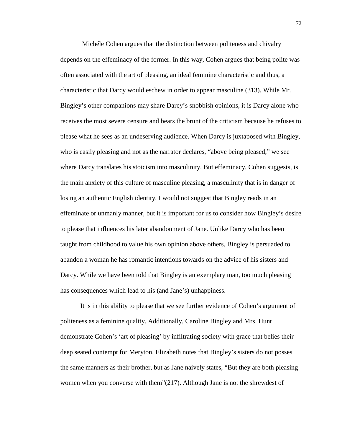Michéle Cohen argues that the distinction between politeness and chivalry depends on the effeminacy of the former. In this way, Cohen argues that being polite was often associated with the art of pleasing, an ideal feminine characteristic and thus, a characteristic that Darcy would eschew in order to appear masculine (313). While Mr. Bingley's other companions may share Darcy's snobbish opinions, it is Darcy alone who receives the most severe censure and bears the brunt of the criticism because he refuses to please what he sees as an undeserving audience. When Darcy is juxtaposed with Bingley, who is easily pleasing and not as the narrator declares, "above being pleased," we see where Darcy translates his stoicism into masculinity. But effeminacy, Cohen suggests, is the main anxiety of this culture of masculine pleasing, a masculinity that is in danger of losing an authentic English identity. I would not suggest that Bingley reads in an effeminate or unmanly manner, but it is important for us to consider how Bingley's desire to please that influences his later abandonment of Jane. Unlike Darcy who has been taught from childhood to value his own opinion above others, Bingley is persuaded to abandon a woman he has romantic intentions towards on the advice of his sisters and Darcy. While we have been told that Bingley is an exemplary man, too much pleasing has consequences which lead to his (and Jane's) unhappiness.

It is in this ability to please that we see further evidence of Cohen's argument of politeness as a feminine quality. Additionally, Caroline Bingley and Mrs. Hunt demonstrate Cohen's 'art of pleasing' by infiltrating society with grace that belies their deep seated contempt for Meryton. Elizabeth notes that Bingley's sisters do not posses the same manners as their brother, but as Jane naively states, "But they are both pleasing women when you converse with them"(217). Although Jane is not the shrewdest of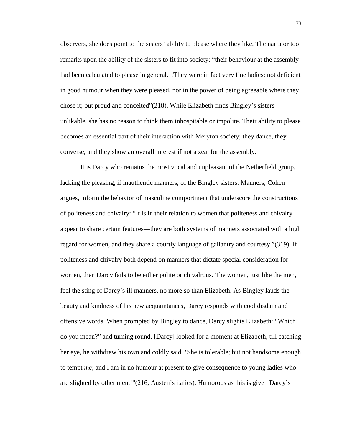observers, she does point to the sisters' ability to please where they like. The narrator too remarks upon the ability of the sisters to fit into society: "their behaviour at the assembly had been calculated to please in general...They were in fact very fine ladies; not deficient in good humour when they were pleased, nor in the power of being agreeable where they chose it; but proud and conceited"(218). While Elizabeth finds Bingley's sisters unlikable, she has no reason to think them inhospitable or impolite. Their ability to please becomes an essential part of their interaction with Meryton society; they dance, they converse, and they show an overall interest if not a zeal for the assembly.

It is Darcy who remains the most vocal and unpleasant of the Netherfield group, lacking the pleasing, if inauthentic manners, of the Bingley sisters. Manners, Cohen argues, inform the behavior of masculine comportment that underscore the constructions of politeness and chivalry: "It is in their relation to women that politeness and chivalry appear to share certain features—they are both systems of manners associated with a high regard for women, and they share a courtly language of gallantry and courtesy "(319). If politeness and chivalry both depend on manners that dictate special consideration for women, then Darcy fails to be either polite or chivalrous. The women, just like the men, feel the sting of Darcy's ill manners, no more so than Elizabeth. As Bingley lauds the beauty and kindness of his new acquaintances, Darcy responds with cool disdain and offensive words. When prompted by Bingley to dance, Darcy slights Elizabeth: "Which do you mean?" and turning round, [Darcy] looked for a moment at Elizabeth, till catching her eye, he withdrew his own and coldly said, 'She is tolerable; but not handsome enough to tempt *me*; and I am in no humour at present to give consequence to young ladies who are slighted by other men,'"(216, Austen's italics). Humorous as this is given Darcy's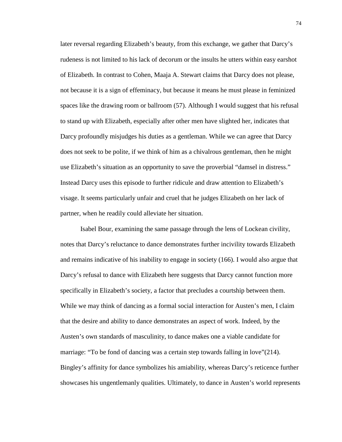later reversal regarding Elizabeth's beauty, from this exchange, we gather that Darcy's rudeness is not limited to his lack of decorum or the insults he utters within easy earshot of Elizabeth. In contrast to Cohen, Maaja A. Stewart claims that Darcy does not please, not because it is a sign of effeminacy, but because it means he must please in feminized spaces like the drawing room or ballroom (57). Although I would suggest that his refusal to stand up with Elizabeth, especially after other men have slighted her, indicates that Darcy profoundly misjudges his duties as a gentleman. While we can agree that Darcy does not seek to be polite, if we think of him as a chivalrous gentleman, then he might use Elizabeth's situation as an opportunity to save the proverbial "damsel in distress." Instead Darcy uses this episode to further ridicule and draw attention to Elizabeth's visage. It seems particularly unfair and cruel that he judges Elizabeth on her lack of partner, when he readily could alleviate her situation.

Isabel Bour, examining the same passage through the lens of Lockean civility, notes that Darcy's reluctance to dance demonstrates further incivility towards Elizabeth and remains indicative of his inability to engage in society (166). I would also argue that Darcy's refusal to dance with Elizabeth here suggests that Darcy cannot function more specifically in Elizabeth's society, a factor that precludes a courtship between them. While we may think of dancing as a formal social interaction for Austen's men, I claim that the desire and ability to dance demonstrates an aspect of work. Indeed, by the Austen's own standards of masculinity, to dance makes one a viable candidate for marriage: "To be fond of dancing was a certain step towards falling in love"(214). Bingley's affinity for dance symbolizes his amiability, whereas Darcy's reticence further showcases his ungentlemanly qualities. Ultimately, to dance in Austen's world represents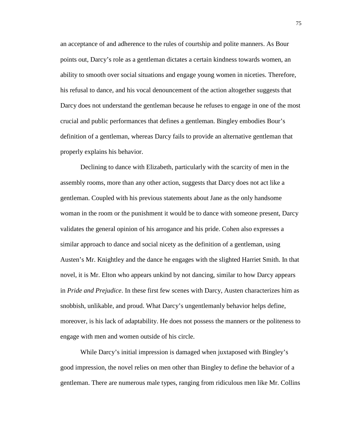an acceptance of and adherence to the rules of courtship and polite manners. As Bour points out, Darcy's role as a gentleman dictates a certain kindness towards women, an ability to smooth over social situations and engage young women in niceties. Therefore, his refusal to dance, and his vocal denouncement of the action altogether suggests that Darcy does not understand the gentleman because he refuses to engage in one of the most crucial and public performances that defines a gentleman. Bingley embodies Bour's definition of a gentleman, whereas Darcy fails to provide an alternative gentleman that properly explains his behavior.

Declining to dance with Elizabeth, particularly with the scarcity of men in the assembly rooms, more than any other action, suggests that Darcy does not act like a gentleman. Coupled with his previous statements about Jane as the only handsome woman in the room or the punishment it would be to dance with someone present, Darcy validates the general opinion of his arrogance and his pride. Cohen also expresses a similar approach to dance and social nicety as the definition of a gentleman, using Austen's Mr. Knightley and the dance he engages with the slighted Harriet Smith. In that novel, it is Mr. Elton who appears unkind by not dancing, similar to how Darcy appears in *Pride and Prejudice*. In these first few scenes with Darcy, Austen characterizes him as snobbish, unlikable, and proud. What Darcy's ungentlemanly behavior helps define, moreover, is his lack of adaptability. He does not possess the manners or the politeness to engage with men and women outside of his circle.

While Darcy's initial impression is damaged when juxtaposed with Bingley's good impression, the novel relies on men other than Bingley to define the behavior of a gentleman. There are numerous male types, ranging from ridiculous men like Mr. Collins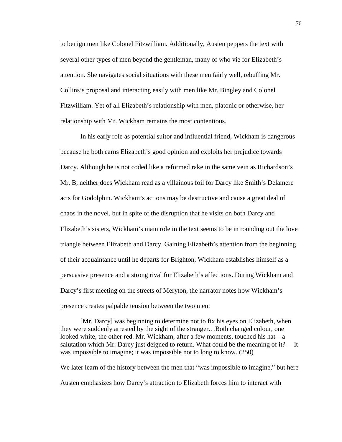to benign men like Colonel Fitzwilliam. Additionally, Austen peppers the text with several other types of men beyond the gentleman, many of who vie for Elizabeth's attention. She navigates social situations with these men fairly well, rebuffing Mr. Collins's proposal and interacting easily with men like Mr. Bingley and Colonel Fitzwilliam. Yet of all Elizabeth's relationship with men, platonic or otherwise, her relationship with Mr. Wickham remains the most contentious.

In his early role as potential suitor and influential friend, Wickham is dangerous because he both earns Elizabeth's good opinion and exploits her prejudice towards Darcy. Although he is not coded like a reformed rake in the same vein as Richardson's Mr. B, neither does Wickham read as a villainous foil for Darcy like Smith's Delamere acts for Godolphin. Wickham's actions may be destructive and cause a great deal of chaos in the novel, but in spite of the disruption that he visits on both Darcy and Elizabeth's sisters, Wickham's main role in the text seems to be in rounding out the love triangle between Elizabeth and Darcy. Gaining Elizabeth's attention from the beginning of their acquaintance until he departs for Brighton, Wickham establishes himself as a persuasive presence and a strong rival for Elizabeth's affections**.** During Wickham and Darcy's first meeting on the streets of Meryton, the narrator notes how Wickham's presence creates palpable tension between the two men:

[Mr. Darcy] was beginning to determine not to fix his eyes on Elizabeth, when they were suddenly arrested by the sight of the stranger…Both changed colour, one looked white, the other red. Mr. Wickham, after a few moments, touched his hat—a salutation which Mr. Darcy just deigned to return. What could be the meaning of it? —It was impossible to imagine; it was impossible not to long to know. (250)

We later learn of the history between the men that "was impossible to imagine," but here Austen emphasizes how Darcy's attraction to Elizabeth forces him to interact with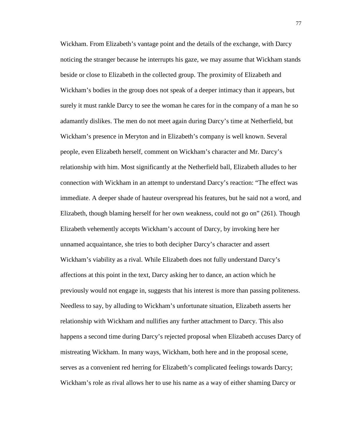Wickham. From Elizabeth's vantage point and the details of the exchange, with Darcy noticing the stranger because he interrupts his gaze, we may assume that Wickham stands beside or close to Elizabeth in the collected group. The proximity of Elizabeth and Wickham's bodies in the group does not speak of a deeper intimacy than it appears, but surely it must rankle Darcy to see the woman he cares for in the company of a man he so adamantly dislikes. The men do not meet again during Darcy's time at Netherfield, but Wickham's presence in Meryton and in Elizabeth's company is well known. Several people, even Elizabeth herself, comment on Wickham's character and Mr. Darcy's relationship with him. Most significantly at the Netherfield ball, Elizabeth alludes to her connection with Wickham in an attempt to understand Darcy's reaction: "The effect was immediate. A deeper shade of hauteur overspread his features, but he said not a word, and Elizabeth, though blaming herself for her own weakness, could not go on" (261). Though Elizabeth vehemently accepts Wickham's account of Darcy, by invoking here her unnamed acquaintance, she tries to both decipher Darcy's character and assert Wickham's viability as a rival. While Elizabeth does not fully understand Darcy's affections at this point in the text, Darcy asking her to dance, an action which he previously would not engage in, suggests that his interest is more than passing politeness. Needless to say, by alluding to Wickham's unfortunate situation, Elizabeth asserts her relationship with Wickham and nullifies any further attachment to Darcy. This also happens a second time during Darcy's rejected proposal when Elizabeth accuses Darcy of mistreating Wickham. In many ways, Wickham, both here and in the proposal scene, serves as a convenient red herring for Elizabeth's complicated feelings towards Darcy; Wickham's role as rival allows her to use his name as a way of either shaming Darcy or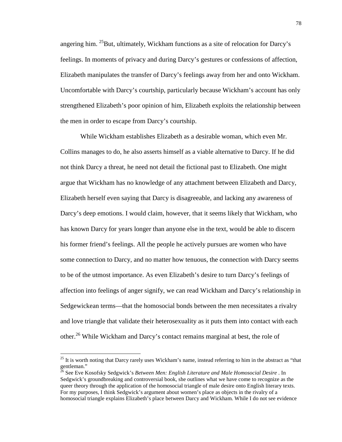angering him.  $^{25}$ But, ultimately, Wickham functions as a site of relocation for Darcy's feelings. In moments of privacy and during Darcy's gestures or confessions of affection, Elizabeth manipulates the transfer of Darcy's feelings away from her and onto Wickham. Uncomfortable with Darcy's courtship, particularly because Wickham's account has only strengthened Elizabeth's poor opinion of him, Elizabeth exploits the relationship between the men in order to escape from Darcy's courtship.

While Wickham establishes Elizabeth as a desirable woman, which even Mr. Collins manages to do, he also asserts himself as a viable alternative to Darcy. If he did not think Darcy a threat, he need not detail the fictional past to Elizabeth. One might argue that Wickham has no knowledge of any attachment between Elizabeth and Darcy, Elizabeth herself even saying that Darcy is disagreeable, and lacking any awareness of Darcy's deep emotions. I would claim, however, that it seems likely that Wickham, who has known Darcy for years longer than anyone else in the text, would be able to discern his former friend's feelings. All the people he actively pursues are women who have some connection to Darcy, and no matter how tenuous, the connection with Darcy seems to be of the utmost importance. As even Elizabeth's desire to turn Darcy's feelings of affection into feelings of anger signify, we can read Wickham and Darcy's relationship in Sedgewickean terms—that the homosocial bonds between the men necessitates a rivalry and love triangle that validate their heterosexuality as it puts them into contact with each other.<sup>26</sup> While Wickham and Darcy's contact remains marginal at best, the role of

 $\overline{a}$ 

<sup>&</sup>lt;sup>25</sup> It is worth noting that Darcy rarely uses Wickham's name, instead referring to him in the abstract as "that gentleman."

<sup>&</sup>lt;sup>26</sup> See Eve Kosofsky Sedgwick's *Between Men: English Literature and Male Homosocial Desire*. In Sedgwick's groundbreaking and controversial book, she outlines what we have come to recognize as the queer theory through the application of the homosocial triangle of male desire onto English literary texts. For my purposes, I think Sedgwick's argument about women's place as objects in the rivalry of a homosocial triangle explains Elizabeth's place between Darcy and Wickham. While I do not see evidence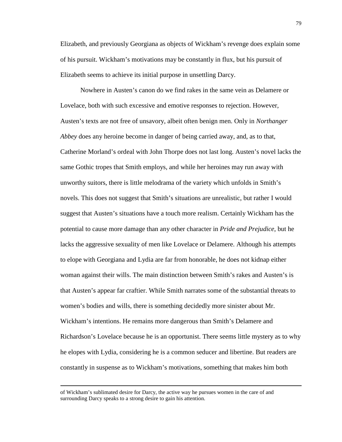Elizabeth, and previously Georgiana as objects of Wickham's revenge does explain some of his pursuit. Wickham's motivations may be constantly in flux, but his pursuit of Elizabeth seems to achieve its initial purpose in unsettling Darcy.

Nowhere in Austen's canon do we find rakes in the same vein as Delamere or Lovelace, both with such excessive and emotive responses to rejection. However, Austen's texts are not free of unsavory, albeit often benign men. Only in *Northanger Abbey* does any heroine become in danger of being carried away, and, as to that, Catherine Morland's ordeal with John Thorpe does not last long. Austen's novel lacks the same Gothic tropes that Smith employs, and while her heroines may run away with unworthy suitors, there is little melodrama of the variety which unfolds in Smith's novels. This does not suggest that Smith's situations are unrealistic, but rather I would suggest that Austen's situations have a touch more realism. Certainly Wickham has the potential to cause more damage than any other character in *Pride and Prejudice*, but he lacks the aggressive sexuality of men like Lovelace or Delamere. Although his attempts to elope with Georgiana and Lydia are far from honorable, he does not kidnap either woman against their wills. The main distinction between Smith's rakes and Austen's is that Austen's appear far craftier. While Smith narrates some of the substantial threats to women's bodies and wills, there is something decidedly more sinister about Mr. Wickham's intentions. He remains more dangerous than Smith's Delamere and Richardson's Lovelace because he is an opportunist. There seems little mystery as to why he elopes with Lydia, considering he is a common seducer and libertine. But readers are constantly in suspense as to Wickham's motivations, something that makes him both

 $\overline{a}$ 

of Wickham's sublimated desire for Darcy, the active way he pursues women in the care of and surrounding Darcy speaks to a strong desire to gain his attention.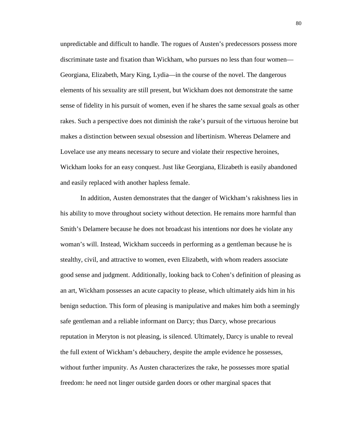unpredictable and difficult to handle. The rogues of Austen's predecessors possess more discriminate taste and fixation than Wickham, who pursues no less than four women— Georgiana, Elizabeth, Mary King, Lydia—in the course of the novel. The dangerous elements of his sexuality are still present, but Wickham does not demonstrate the same sense of fidelity in his pursuit of women, even if he shares the same sexual goals as other rakes. Such a perspective does not diminish the rake's pursuit of the virtuous heroine but makes a distinction between sexual obsession and libertinism. Whereas Delamere and Lovelace use any means necessary to secure and violate their respective heroines, Wickham looks for an easy conquest. Just like Georgiana, Elizabeth is easily abandoned and easily replaced with another hapless female.

In addition, Austen demonstrates that the danger of Wickham's rakishness lies in his ability to move throughout society without detection. He remains more harmful than Smith's Delamere because he does not broadcast his intentions nor does he violate any woman's will. Instead, Wickham succeeds in performing as a gentleman because he is stealthy, civil, and attractive to women, even Elizabeth, with whom readers associate good sense and judgment. Additionally, looking back to Cohen's definition of pleasing as an art, Wickham possesses an acute capacity to please, which ultimately aids him in his benign seduction. This form of pleasing is manipulative and makes him both a seemingly safe gentleman and a reliable informant on Darcy; thus Darcy, whose precarious reputation in Meryton is not pleasing, is silenced. Ultimately, Darcy is unable to reveal the full extent of Wickham's debauchery, despite the ample evidence he possesses, without further impunity. As Austen characterizes the rake, he possesses more spatial freedom: he need not linger outside garden doors or other marginal spaces that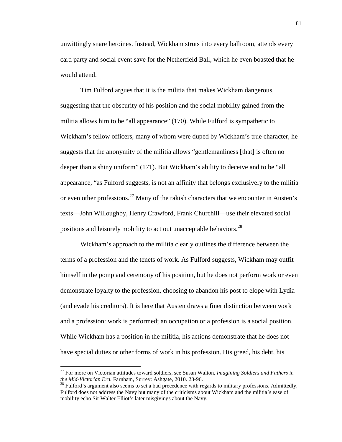unwittingly snare heroines. Instead, Wickham struts into every ballroom, attends every card party and social event save for the Netherfield Ball, which he even boasted that he would attend.

Tim Fulford argues that it is the militia that makes Wickham dangerous, suggesting that the obscurity of his position and the social mobility gained from the militia allows him to be "all appearance" (170). While Fulford is sympathetic to Wickham's fellow officers, many of whom were duped by Wickham's true character, he suggests that the anonymity of the militia allows "gentlemanliness [that] is often no deeper than a shiny uniform" (171). But Wickham's ability to deceive and to be "all appearance, "as Fulford suggests, is not an affinity that belongs exclusively to the militia or even other professions.<sup>27</sup> Many of the rakish characters that we encounter in Austen's texts—John Willoughby, Henry Crawford, Frank Churchill—use their elevated social positions and leisurely mobility to act out unacceptable behaviors.<sup>28</sup>

Wickham's approach to the militia clearly outlines the difference between the terms of a profession and the tenets of work. As Fulford suggests, Wickham may outfit himself in the pomp and ceremony of his position, but he does not perform work or even demonstrate loyalty to the profession, choosing to abandon his post to elope with Lydia (and evade his creditors). It is here that Austen draws a finer distinction between work and a profession: work is performed; an occupation or a profession is a social position. While Wickham has a position in the militia, his actions demonstrate that he does not have special duties or other forms of work in his profession. His greed, his debt, his

<u>.</u>

<sup>27</sup> For more on Victorian attitudes toward soldiers, see Susan Walton, *Imagining Soldiers and Fathers in the Mid-Victorian Era.* Farnham, Surrey: Ashgate, 2010. 23-96.

 $^{28}$  Fulford's argument also seems to set a bad precedence with regards to military professions. Admittedly, Fulford does not address the Navy but many of the criticisms about Wickham and the militia's ease of mobility echo Sir Walter Elliot's later misgivings about the Navy.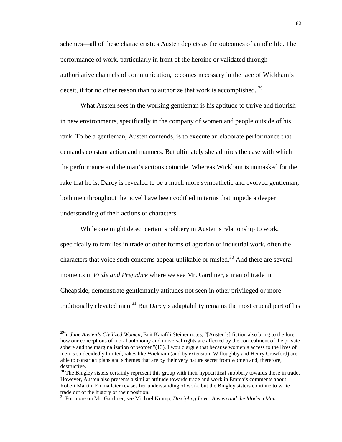schemes—all of these characteristics Austen depicts as the outcomes of an idle life. The performance of work, particularly in front of the heroine or validated through authoritative channels of communication, becomes necessary in the face of Wickham's deceit, if for no other reason than to authorize that work is accomplished. <sup>29</sup>

What Austen sees in the working gentleman is his aptitude to thrive and flourish in new environments, specifically in the company of women and people outside of his rank. To be a gentleman, Austen contends, is to execute an elaborate performance that demands constant action and manners. But ultimately she admires the ease with which the performance and the man's actions coincide. Whereas Wickham is unmasked for the rake that he is, Darcy is revealed to be a much more sympathetic and evolved gentleman; both men throughout the novel have been codified in terms that impede a deeper understanding of their actions or characters.

While one might detect certain snobbery in Austen's relationship to work, specifically to families in trade or other forms of agrarian or industrial work, often the characters that voice such concerns appear unlikable or misled.<sup>30</sup> And there are several moments in *Pride and Prejudice* where we see Mr. Gardiner, a man of trade in Cheapside, demonstrate gentlemanly attitudes not seen in other privileged or more traditionally elevated men.<sup>31</sup> But Darcy's adaptability remains the most crucial part of his

 $\overline{a}$ 

<sup>29</sup>In *Jane Austen's Civilized Women,* Enit Karafili Steiner notes, "[Austen's] fiction also bring to the fore how our conceptions of moral autonomy and universal rights are affected by the concealment of the private sphere and the marginalization of women"(13). I would argue that because women's access to the lives of men is so decidedly limited, rakes like Wickham (and by extension, Willoughby and Henry Crawford) are able to construct plans and schemes that are by their very nature secret from women and, therefore, destructive.

<sup>&</sup>lt;sup>30</sup> The Bingley sisters certainly represent this group with their hypocritical snobbery towards those in trade. However, Austen also presents a similar attitude towards trade and work in Emma's comments about Robert Martin. Emma later revises her understanding of work, but the Bingley sisters continue to write trade out of the history of their position.

<sup>31</sup> For more on Mr. Gardiner, see Michael Kramp, *Discipling Love: Austen and the Modern Man*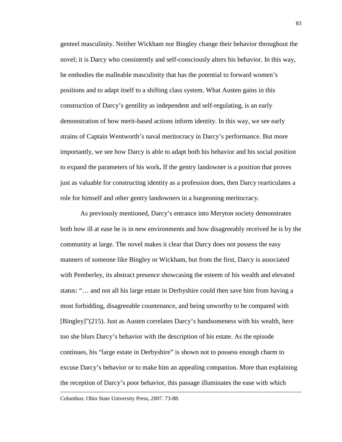genteel masculinity. Neither Wickham nor Bingley change their behavior throughout the novel; it is Darcy who consistently and self-consciously alters his behavior. In this way, he embodies the malleable masculinity that has the potential to forward women's positions and to adapt itself to a shifting class system. What Austen gains in this construction of Darcy's gentility as independent and self-regulating, is an early demonstration of how merit-based actions inform identity. In this way, we see early strains of Captain Wentworth's naval meritocracy in Darcy's performance. But more importantly, we see how Darcy is able to adapt both his behavior and his social position to expand the parameters of his work**.** If the gentry landowner is a position that proves just as valuable for constructing identity as a profession does, then Darcy rearticulates a role for himself and other gentry landowners in a burgeoning meritocracy.

As previously mentioned, Darcy's entrance into Meryton society demonstrates both how ill at ease he is in new environments and how disagreeably received he is by the community at large. The novel makes it clear that Darcy does not possess the easy manners of someone like Bingley or Wickham, but from the first, Darcy is associated with Pemberley, its abstract presence showcasing the esteem of his wealth and elevated status: "… and not all his large estate in Derbyshire could then save him from having a most forbidding, disagreeable countenance, and being unworthy to be compared with [Bingley]"(215). Just as Austen correlates Darcy's handsomeness with his wealth, here too she blurs Darcy's behavior with the description of his estate. As the episode continues, his "large estate in Derbyshire" is shown not to possess enough charm to excuse Darcy's behavior or to make him an appealing companion. More than explaining the reception of Darcy's poor behavior, this passage illuminates the ease with which

Columbus: Ohio State University Press, 2007. 73-88.

<u>.</u>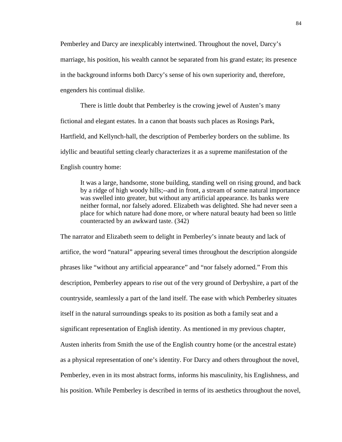Pemberley and Darcy are inexplicably intertwined. Throughout the novel, Darcy's marriage, his position, his wealth cannot be separated from his grand estate; its presence in the background informs both Darcy's sense of his own superiority and, therefore, engenders his continual dislike.

There is little doubt that Pemberley is the crowing jewel of Austen's many fictional and elegant estates. In a canon that boasts such places as Rosings Park, Hartfield, and Kellynch-hall, the description of Pemberley borders on the sublime. Its idyllic and beautiful setting clearly characterizes it as a supreme manifestation of the English country home:

It was a large, handsome, stone building, standing well on rising ground, and back by a ridge of high woody hills;--and in front, a stream of some natural importance was swelled into greater, but without any artificial appearance. Its banks were neither formal, nor falsely adored. Elizabeth was delighted. She had never seen a place for which nature had done more, or where natural beauty had been so little counteracted by an awkward taste. (342)

The narrator and Elizabeth seem to delight in Pemberley's innate beauty and lack of artifice, the word "natural" appearing several times throughout the description alongside phrases like "without any artificial appearance" and "nor falsely adorned." From this description, Pemberley appears to rise out of the very ground of Derbyshire, a part of the countryside, seamlessly a part of the land itself. The ease with which Pemberley situates itself in the natural surroundings speaks to its position as both a family seat and a significant representation of English identity. As mentioned in my previous chapter, Austen inherits from Smith the use of the English country home (or the ancestral estate) as a physical representation of one's identity. For Darcy and others throughout the novel, Pemberley, even in its most abstract forms, informs his masculinity, his Englishness, and his position. While Pemberley is described in terms of its aesthetics throughout the novel,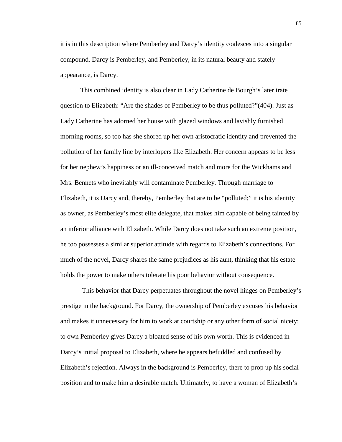it is in this description where Pemberley and Darcy's identity coalesces into a singular compound. Darcy is Pemberley, and Pemberley, in its natural beauty and stately appearance, is Darcy.

This combined identity is also clear in Lady Catherine de Bourgh's later irate question to Elizabeth: "Are the shades of Pemberley to be thus polluted?"(404). Just as Lady Catherine has adorned her house with glazed windows and lavishly furnished morning rooms, so too has she shored up her own aristocratic identity and prevented the pollution of her family line by interlopers like Elizabeth. Her concern appears to be less for her nephew's happiness or an ill-conceived match and more for the Wickhams and Mrs. Bennets who inevitably will contaminate Pemberley. Through marriage to Elizabeth, it is Darcy and, thereby, Pemberley that are to be "polluted;" it is his identity as owner, as Pemberley's most elite delegate, that makes him capable of being tainted by an inferior alliance with Elizabeth. While Darcy does not take such an extreme position, he too possesses a similar superior attitude with regards to Elizabeth's connections. For much of the novel, Darcy shares the same prejudices as his aunt, thinking that his estate holds the power to make others tolerate his poor behavior without consequence.

 This behavior that Darcy perpetuates throughout the novel hinges on Pemberley's prestige in the background. For Darcy, the ownership of Pemberley excuses his behavior and makes it unnecessary for him to work at courtship or any other form of social nicety: to own Pemberley gives Darcy a bloated sense of his own worth. This is evidenced in Darcy's initial proposal to Elizabeth, where he appears befuddled and confused by Elizabeth's rejection. Always in the background is Pemberley, there to prop up his social position and to make him a desirable match. Ultimately, to have a woman of Elizabeth's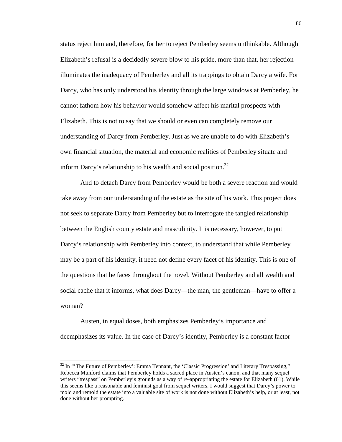status reject him and, therefore, for her to reject Pemberley seems unthinkable. Although Elizabeth's refusal is a decidedly severe blow to his pride, more than that, her rejection illuminates the inadequacy of Pemberley and all its trappings to obtain Darcy a wife. For Darcy, who has only understood his identity through the large windows at Pemberley, he cannot fathom how his behavior would somehow affect his marital prospects with Elizabeth. This is not to say that we should or even can completely remove our understanding of Darcy from Pemberley. Just as we are unable to do with Elizabeth's own financial situation, the material and economic realities of Pemberley situate and inform Darcy's relationship to his wealth and social position.<sup>32</sup>

And to detach Darcy from Pemberley would be both a severe reaction and would take away from our understanding of the estate as the site of his work. This project does not seek to separate Darcy from Pemberley but to interrogate the tangled relationship between the English county estate and masculinity. It is necessary, however, to put Darcy's relationship with Pemberley into context, to understand that while Pemberley may be a part of his identity, it need not define every facet of his identity. This is one of the questions that he faces throughout the novel. Without Pemberley and all wealth and social cache that it informs, what does Darcy—the man, the gentleman—have to offer a woman?

Austen, in equal doses, both emphasizes Pemberley's importance and deemphasizes its value. In the case of Darcy's identity, Pemberley is a constant factor

 $\overline{a}$ 

 $32$  In "The Future of Pemberley': Emma Tennant, the 'Classic Progression' and Literary Trespassing," Rebecca Munford claims that Pemberley holds a sacred place in Austen's canon, and that many sequel writers "trespass" on Pemberley's grounds as a way of re-appropriating the estate for Elizabeth (61). While this seems like a reasonable and feminist goal from sequel writers, I would suggest that Darcy's power to mold and remold the estate into a valuable site of work is not done without Elizabeth's help, or at least, not done without her prompting.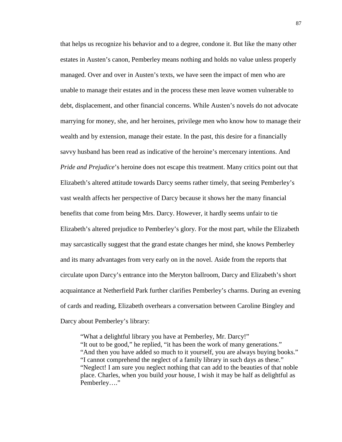that helps us recognize his behavior and to a degree, condone it. But like the many other estates in Austen's canon, Pemberley means nothing and holds no value unless properly managed. Over and over in Austen's texts, we have seen the impact of men who are unable to manage their estates and in the process these men leave women vulnerable to debt, displacement, and other financial concerns. While Austen's novels do not advocate marrying for money, she, and her heroines, privilege men who know how to manage their wealth and by extension, manage their estate. In the past, this desire for a financially savvy husband has been read as indicative of the heroine's mercenary intentions. And *Pride and Prejudice*'s heroine does not escape this treatment. Many critics point out that Elizabeth's altered attitude towards Darcy seems rather timely, that seeing Pemberley's vast wealth affects her perspective of Darcy because it shows her the many financial benefits that come from being Mrs. Darcy. However, it hardly seems unfair to tie Elizabeth's altered prejudice to Pemberley's glory. For the most part, while the Elizabeth may sarcastically suggest that the grand estate changes her mind, she knows Pemberley and its many advantages from very early on in the novel. Aside from the reports that circulate upon Darcy's entrance into the Meryton ballroom, Darcy and Elizabeth's short acquaintance at Netherfield Park further clarifies Pemberley's charms. During an evening of cards and reading, Elizabeth overhears a conversation between Caroline Bingley and Darcy about Pemberley's library:

"What a delightful library you have at Pemberley, Mr. Darcy!" "It out to be good," he replied, "it has been the work of many generations." "And then you have added so much to it yourself, you are always buying books." "I cannot comprehend the neglect of a family library in such days as these." "Neglect! I am sure you neglect nothing that can add to the beauties of that noble place. Charles, when you build *you*r house, I wish it may be half as delightful as Pemberley…."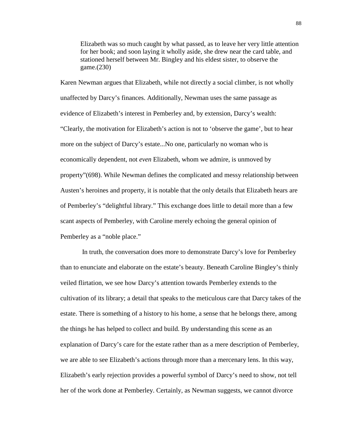Elizabeth was so much caught by what passed, as to leave her very little attention for her book; and soon laying it wholly aside, she drew near the card table, and stationed herself between Mr. Bingley and his eldest sister, to observe the game.(230)

Karen Newman argues that Elizabeth, while not directly a social climber, is not wholly unaffected by Darcy's finances. Additionally, Newman uses the same passage as evidence of Elizabeth's interest in Pemberley and, by extension, Darcy's wealth: "Clearly, the motivation for Elizabeth's action is not to 'observe the game', but to hear more on the subject of Darcy's estate...No one, particularly no woman who is economically dependent, not *even* Elizabeth, whom we admire, is unmoved by property"(698). While Newman defines the complicated and messy relationship between Austen's heroines and property, it is notable that the only details that Elizabeth hears are of Pemberley's "delightful library." This exchange does little to detail more than a few scant aspects of Pemberley, with Caroline merely echoing the general opinion of Pemberley as a "noble place."

 In truth, the conversation does more to demonstrate Darcy's love for Pemberley than to enunciate and elaborate on the estate's beauty. Beneath Caroline Bingley's thinly veiled flirtation, we see how Darcy's attention towards Pemberley extends to the cultivation of its library; a detail that speaks to the meticulous care that Darcy takes of the estate. There is something of a history to his home, a sense that he belongs there, among the things he has helped to collect and build. By understanding this scene as an explanation of Darcy's care for the estate rather than as a mere description of Pemberley, we are able to see Elizabeth's actions through more than a mercenary lens. In this way, Elizabeth's early rejection provides a powerful symbol of Darcy's need to show, not tell her of the work done at Pemberley. Certainly, as Newman suggests, we cannot divorce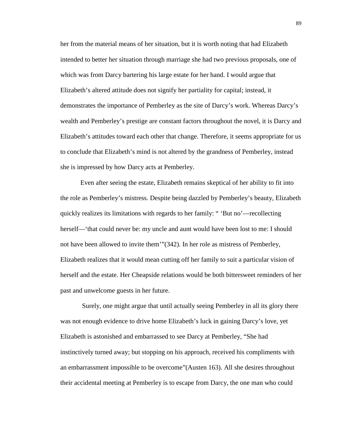her from the material means of her situation, but it is worth noting that had Elizabeth intended to better her situation through marriage she had two previous proposals, one of which was from Darcy bartering his large estate for her hand. I would argue that Elizabeth's altered attitude does not signify her partiality for capital; instead, it demonstrates the importance of Pemberley as the site of Darcy's work. Whereas Darcy's wealth and Pemberley's prestige are constant factors throughout the novel, it is Darcy and Elizabeth's attitudes toward each other that change. Therefore, it seems appropriate for us to conclude that Elizabeth's mind is not altered by the grandness of Pemberley, instead she is impressed by how Darcy acts at Pemberley.

 Even after seeing the estate, Elizabeth remains skeptical of her ability to fit into the role as Pemberley's mistress. Despite being dazzled by Pemberley's beauty, Elizabeth quickly realizes its limitations with regards to her family: " 'But no'—recollecting herself—'that could never be: my uncle and aunt would have been lost to me: I should not have been allowed to invite them'"(342). In her role as mistress of Pemberley, Elizabeth realizes that it would mean cutting off her family to suit a particular vision of herself and the estate. Her Cheapside relations would be both bittersweet reminders of her past and unwelcome guests in her future.

 Surely, one might argue that until actually seeing Pemberley in all its glory there was not enough evidence to drive home Elizabeth's luck in gaining Darcy's love, yet Elizabeth is astonished and embarrassed to see Darcy at Pemberley, "She had instinctively turned away; but stopping on his approach, received his compliments with an embarrassment impossible to be overcome"(Austen 163). All she desires throughout their accidental meeting at Pemberley is to escape from Darcy, the one man who could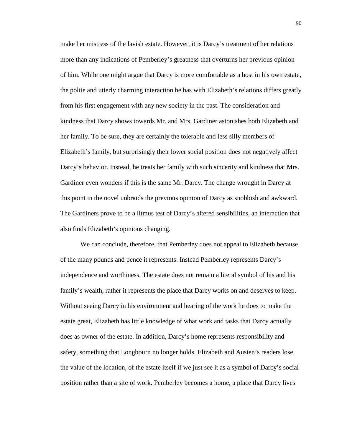make her mistress of the lavish estate. However, it is Darcy's treatment of her relations more than any indications of Pemberley's greatness that overturns her previous opinion of him. While one might argue that Darcy is more comfortable as a host in his own estate, the polite and utterly charming interaction he has with Elizabeth's relations differs greatly from his first engagement with any new society in the past. The consideration and kindness that Darcy shows towards Mr. and Mrs. Gardiner astonishes both Elizabeth and her family. To be sure, they are certainly the tolerable and less silly members of Elizabeth's family, but surprisingly their lower social position does not negatively affect Darcy's behavior. Instead, he treats her family with such sincerity and kindness that Mrs. Gardiner even wonders if this is the same Mr. Darcy. The change wrought in Darcy at this point in the novel unbraids the previous opinion of Darcy as snobbish and awkward. The Gardiners prove to be a litmus test of Darcy's altered sensibilities, an interaction that also finds Elizabeth's opinions changing.

 We can conclude, therefore, that Pemberley does not appeal to Elizabeth because of the many pounds and pence it represents. Instead Pemberley represents Darcy's independence and worthiness. The estate does not remain a literal symbol of his and his family's wealth, rather it represents the place that Darcy works on and deserves to keep. Without seeing Darcy in his environment and hearing of the work he does to make the estate great, Elizabeth has little knowledge of what work and tasks that Darcy actually does as owner of the estate. In addition, Darcy's home represents responsibility and safety, something that Longbourn no longer holds. Elizabeth and Austen's readers lose the value of the location, of the estate itself if we just see it as a symbol of Darcy's social position rather than a site of work. Pemberley becomes a home, a place that Darcy lives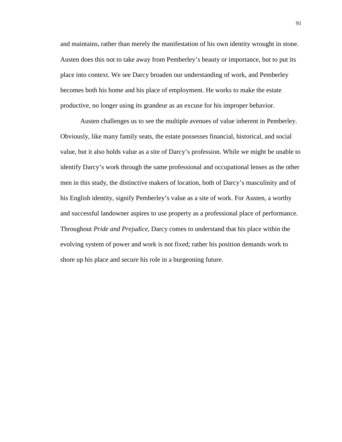and maintains, rather than merely the manifestation of his own identity wrought in stone. Austen does this not to take away from Pemberley's beauty or importance, but to put its place into context. We see Darcy broaden our understanding of work, and Pemberley becomes both his home and his place of employment. He works to make the estate productive, no longer using its grandeur as an excuse for his improper behavior.

Austen challenges us to see the multiple avenues of value inherent in Pemberley. Obviously, like many family seats, the estate possesses financial, historical, and social value, but it also holds value as a site of Darcy's profession. While we might be unable to identify Darcy's work through the same professional and occupational lenses as the other men in this study, the distinctive makers of location, both of Darcy's masculinity and of his English identity, signify Pemberley's value as a site of work. For Austen, a worthy and successful landowner aspires to use property as a professional place of performance. Throughout *Pride and Prejudice,* Darcy comes to understand that his place within the evolving system of power and work is not fixed; rather his position demands work to shore up his place and secure his role in a burgeoning future.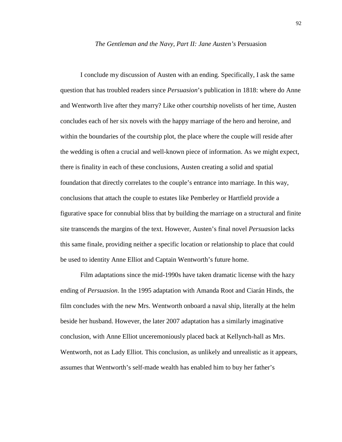## *The Gentleman and the Navy, Part II: Jane Austen's* Persuasion

I conclude my discussion of Austen with an ending. Specifically, I ask the same question that has troubled readers since *Persuasion*'s publication in 1818: where do Anne and Wentworth live after they marry? Like other courtship novelists of her time, Austen concludes each of her six novels with the happy marriage of the hero and heroine, and within the boundaries of the courtship plot, the place where the couple will reside after the wedding is often a crucial and well-known piece of information. As we might expect, there is finality in each of these conclusions, Austen creating a solid and spatial foundation that directly correlates to the couple's entrance into marriage. In this way, conclusions that attach the couple to estates like Pemberley or Hartfield provide a figurative space for connubial bliss that by building the marriage on a structural and finite site transcends the margins of the text. However, Austen's final novel *Persuasion* lacks this same finale, providing neither a specific location or relationship to place that could be used to identity Anne Elliot and Captain Wentworth's future home.

Film adaptations since the mid-1990s have taken dramatic license with the hazy ending of *Persuasion*. In the 1995 adaptation with Amanda Root and Ciarán Hinds, the film concludes with the new Mrs. Wentworth onboard a naval ship, literally at the helm beside her husband. However, the later 2007 adaptation has a similarly imaginative conclusion, with Anne Elliot unceremoniously placed back at Kellynch-hall as Mrs. Wentworth, not as Lady Elliot. This conclusion, as unlikely and unrealistic as it appears, assumes that Wentworth's self-made wealth has enabled him to buy her father's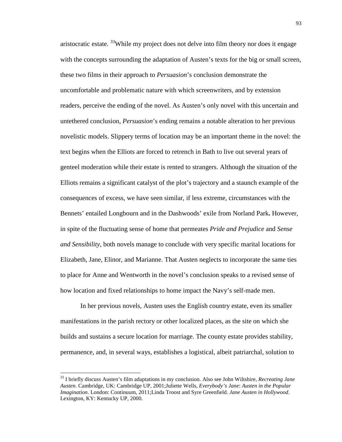aristocratic estate.  $^{33}$ While my project does not delve into film theory nor does it engage with the concepts surrounding the adaptation of Austen's texts for the big or small screen, these two films in their approach to *Persuasion*'s conclusion demonstrate the uncomfortable and problematic nature with which screenwriters, and by extension readers, perceive the ending of the novel. As Austen's only novel with this uncertain and untethered conclusion, *Persuasion*'s ending remains a notable alteration to her previous novelistic models. Slippery terms of location may be an important theme in the novel: the text begins when the Elliots are forced to retrench in Bath to live out several years of genteel moderation while their estate is rented to strangers. Although the situation of the Elliots remains a significant catalyst of the plot's trajectory and a staunch example of the consequences of excess, we have seen similar, if less extreme, circumstances with the Bennets' entailed Longbourn and in the Dashwoods' exile from Norland Park**.** However, in spite of the fluctuating sense of home that permeates *Pride and Prejudice* and *Sense and Sensibility*, both novels manage to conclude with very specific marital locations for Elizabeth, Jane, Elinor, and Marianne. That Austen neglects to incorporate the same ties to place for Anne and Wentworth in the novel's conclusion speaks to a revised sense of how location and fixed relationships to home impact the Navy's self-made men.

In her previous novels, Austen uses the English country estate, even its smaller manifestations in the parish rectory or other localized places, as the site on which she builds and sustains a secure location for marriage. The county estate provides stability, permanence, and, in several ways, establishes a logistical, albeit patriarchal, solution to

 $\overline{a}$ 

<sup>33</sup> I briefly discuss Austen's film adaptations in my conclusion. Also see John Wiltshire, *Recreating Jane Austen*. Cambridge, UK: Cambridge UP, 2001;Juliette Wells, *Everybody's Jane*: *Austen in the Popular Imagination*. London: Continuum, 2011;Linda Troost and Syre Greenfield. *Jane Austen in Hollywood*. Lexington, KY: Kentucky UP, 2000.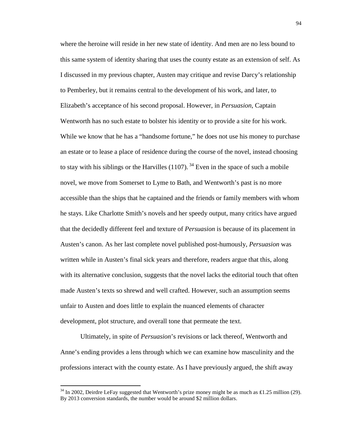where the heroine will reside in her new state of identity. And men are no less bound to this same system of identity sharing that uses the county estate as an extension of self. As I discussed in my previous chapter, Austen may critique and revise Darcy's relationship to Pemberley, but it remains central to the development of his work, and later, to Elizabeth's acceptance of his second proposal. However, in *Persuasion*, Captain Wentworth has no such estate to bolster his identity or to provide a site for his work. While we know that he has a "handsome fortune," he does not use his money to purchase an estate or to lease a place of residence during the course of the novel, instead choosing to stay with his siblings or the Harvilles  $(1107)$ .<sup>34</sup> Even in the space of such a mobile novel, we move from Somerset to Lyme to Bath, and Wentworth's past is no more accessible than the ships that he captained and the friends or family members with whom he stays. Like Charlotte Smith's novels and her speedy output, many critics have argued that the decidedly different feel and texture of *Persuasion* is because of its placement in Austen's canon. As her last complete novel published post-humously, *Persuasion* was written while in Austen's final sick years and therefore, readers argue that this, along with its alternative conclusion, suggests that the novel lacks the editorial touch that often made Austen's texts so shrewd and well crafted. However, such an assumption seems unfair to Austen and does little to explain the nuanced elements of character development, plot structure, and overall tone that permeate the text.

Ultimately, in spite of *Persuasion*'s revisions or lack thereof, Wentworth and Anne's ending provides a lens through which we can examine how masculinity and the professions interact with the county estate. As I have previously argued, the shift away

<u>.</u>

<sup>&</sup>lt;sup>34</sup> In 2002, Deirdre LeFay suggested that Wentworth's prize money might be as much as £1.25 million (29). By 2013 conversion standards, the number would be around \$2 million dollars.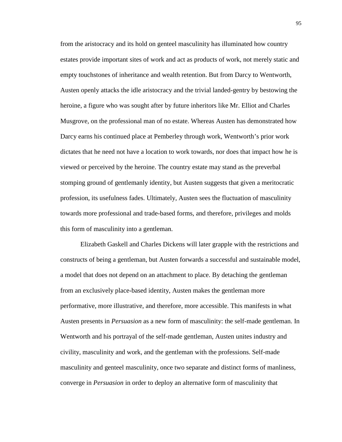from the aristocracy and its hold on genteel masculinity has illuminated how country estates provide important sites of work and act as products of work, not merely static and empty touchstones of inheritance and wealth retention. But from Darcy to Wentworth, Austen openly attacks the idle aristocracy and the trivial landed-gentry by bestowing the heroine, a figure who was sought after by future inheritors like Mr. Elliot and Charles Musgrove, on the professional man of no estate. Whereas Austen has demonstrated how Darcy earns his continued place at Pemberley through work, Wentworth's prior work dictates that he need not have a location to work towards, nor does that impact how he is viewed or perceived by the heroine. The country estate may stand as the preverbal stomping ground of gentlemanly identity, but Austen suggests that given a meritocratic profession, its usefulness fades. Ultimately, Austen sees the fluctuation of masculinity towards more professional and trade-based forms, and therefore, privileges and molds this form of masculinity into a gentleman.

Elizabeth Gaskell and Charles Dickens will later grapple with the restrictions and constructs of being a gentleman, but Austen forwards a successful and sustainable model, a model that does not depend on an attachment to place. By detaching the gentleman from an exclusively place-based identity, Austen makes the gentleman more performative, more illustrative, and therefore, more accessible. This manifests in what Austen presents in *Persuasion* as a new form of masculinity: the self-made gentleman. In Wentworth and his portrayal of the self-made gentleman, Austen unites industry and civility, masculinity and work, and the gentleman with the professions. Self-made masculinity and genteel masculinity, once two separate and distinct forms of manliness, converge in *Persuasion* in order to deploy an alternative form of masculinity that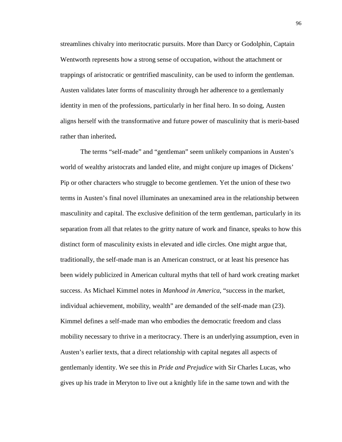streamlines chivalry into meritocratic pursuits. More than Darcy or Godolphin, Captain Wentworth represents how a strong sense of occupation, without the attachment or trappings of aristocratic or gentrified masculinity, can be used to inform the gentleman. Austen validates later forms of masculinity through her adherence to a gentlemanly identity in men of the professions, particularly in her final hero. In so doing, Austen aligns herself with the transformative and future power of masculinity that is merit-based rather than inherited**.** 

The terms "self-made" and "gentleman" seem unlikely companions in Austen's world of wealthy aristocrats and landed elite, and might conjure up images of Dickens' Pip or other characters who struggle to become gentlemen. Yet the union of these two terms in Austen's final novel illuminates an unexamined area in the relationship between masculinity and capital. The exclusive definition of the term gentleman, particularly in its separation from all that relates to the gritty nature of work and finance, speaks to how this distinct form of masculinity exists in elevated and idle circles. One might argue that, traditionally, the self-made man is an American construct, or at least his presence has been widely publicized in American cultural myths that tell of hard work creating market success. As Michael Kimmel notes in *Manhood in America*, "success in the market, individual achievement, mobility, wealth" are demanded of the self-made man (23). Kimmel defines a self-made man who embodies the democratic freedom and class mobility necessary to thrive in a meritocracy. There is an underlying assumption, even in Austen's earlier texts, that a direct relationship with capital negates all aspects of gentlemanly identity. We see this in *Pride and Prejudice* with Sir Charles Lucas, who gives up his trade in Meryton to live out a knightly life in the same town and with the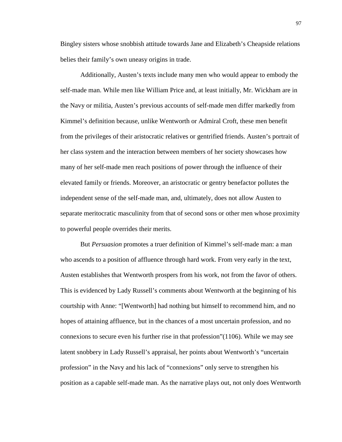Bingley sisters whose snobbish attitude towards Jane and Elizabeth's Cheapside relations belies their family's own uneasy origins in trade.

Additionally, Austen's texts include many men who would appear to embody the self-made man. While men like William Price and, at least initially, Mr. Wickham are in the Navy or militia, Austen's previous accounts of self-made men differ markedly from Kimmel's definition because, unlike Wentworth or Admiral Croft, these men benefit from the privileges of their aristocratic relatives or gentrified friends. Austen's portrait of her class system and the interaction between members of her society showcases how many of her self-made men reach positions of power through the influence of their elevated family or friends. Moreover, an aristocratic or gentry benefactor pollutes the independent sense of the self-made man, and, ultimately, does not allow Austen to separate meritocratic masculinity from that of second sons or other men whose proximity to powerful people overrides their merits.

But *Persuasion* promotes a truer definition of Kimmel's self-made man: a man who ascends to a position of affluence through hard work. From very early in the text, Austen establishes that Wentworth prospers from his work, not from the favor of others. This is evidenced by Lady Russell's comments about Wentworth at the beginning of his courtship with Anne: "[Wentworth] had nothing but himself to recommend him, and no hopes of attaining affluence, but in the chances of a most uncertain profession, and no connexions to secure even his further rise in that profession"(1106). While we may see latent snobbery in Lady Russell's appraisal, her points about Wentworth's "uncertain profession" in the Navy and his lack of "connexions" only serve to strengthen his position as a capable self-made man. As the narrative plays out, not only does Wentworth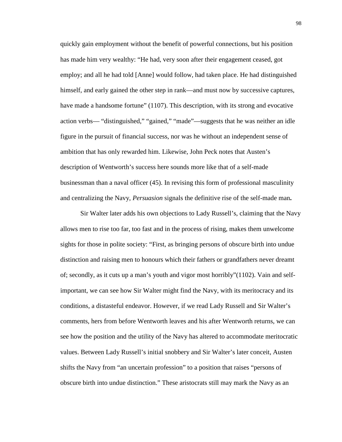quickly gain employment without the benefit of powerful connections, but his position has made him very wealthy: "He had, very soon after their engagement ceased, got employ; and all he had told [Anne] would follow, had taken place. He had distinguished himself, and early gained the other step in rank—and must now by successive captures, have made a handsome fortune" (1107). This description, with its strong and evocative action verbs— "distinguished," "gained," "made"—suggests that he was neither an idle figure in the pursuit of financial success, nor was he without an independent sense of ambition that has only rewarded him. Likewise, John Peck notes that Austen's description of Wentworth's success here sounds more like that of a self-made businessman than a naval officer (45). In revising this form of professional masculinity and centralizing the Navy, *Persuasion* signals the definitive rise of the self-made man**.**

Sir Walter later adds his own objections to Lady Russell's, claiming that the Navy allows men to rise too far, too fast and in the process of rising, makes them unwelcome sights for those in polite society: "First, as bringing persons of obscure birth into undue distinction and raising men to honours which their fathers or grandfathers never dreamt of; secondly, as it cuts up a man's youth and vigor most horribly"(1102). Vain and selfimportant, we can see how Sir Walter might find the Navy, with its meritocracy and its conditions, a distasteful endeavor. However, if we read Lady Russell and Sir Walter's comments, hers from before Wentworth leaves and his after Wentworth returns, we can see how the position and the utility of the Navy has altered to accommodate meritocratic values. Between Lady Russell's initial snobbery and Sir Walter's later conceit, Austen shifts the Navy from "an uncertain profession" to a position that raises "persons of obscure birth into undue distinction." These aristocrats still may mark the Navy as an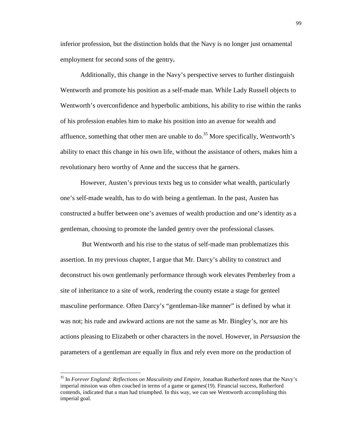inferior profession, but the distinction holds that the Navy is no longer just ornamental employment for second sons of the gentry**.** 

Additionally, this change in the Navy's perspective serves to further distinguish Wentworth and promote his position as a self-made man. While Lady Russell objects to Wentworth's overconfidence and hyperbolic ambitions, his ability to rise within the ranks of his profession enables him to make his position into an avenue for wealth and affluence, something that other men are unable to do.<sup>35</sup> More specifically, Wentworth's ability to enact this change in his own life, without the assistance of others, makes him a revolutionary hero worthy of Anne and the success that he garners.

However, Austen's previous texts beg us to consider what wealth, particularly one's self-made wealth, has to do with being a gentleman. In the past, Austen has constructed a buffer between one's avenues of wealth production and one's identity as a gentleman, choosing to promote the landed gentry over the professional classes.

 But Wentworth and his rise to the status of self-made man problematizes this assertion. In my previous chapter, I argue that Mr. Darcy's ability to construct and deconstruct his own gentlemanly performance through work elevates Pemberley from a site of inheritance to a site of work, rendering the county estate a stage for genteel masculine performance. Often Darcy's "gentleman-like manner" is defined by what it was not; his rude and awkward actions are not the same as Mr. Bingley's, nor are his actions pleasing to Elizabeth or other characters in the novel. However, in *Persuasion* the parameters of a gentleman are equally in flux and rely even more on the production of

 $\overline{a}$ 

<sup>35</sup> In *Forever England: Reflections on Masculinity and Empire*, Jonathan Rutherford notes that the Navy's imperial mission was often couched in terms of a game or games(19). Financial success, Rutherford contends, indicated that a man had triumphed. In this way, we can see Wentworth accomplishing this imperial goal.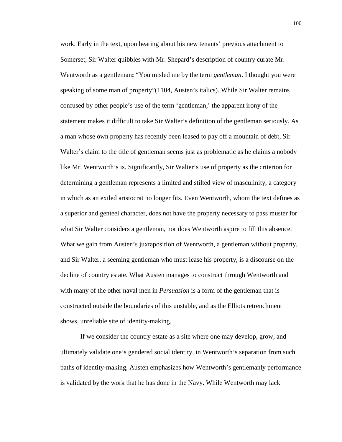work. Early in the text, upon hearing about his new tenants' previous attachment to Somerset, Sir Walter quibbles with Mr. Shepard's description of country curate Mr. Wentworth as a gentleman**:** "You misled me by the term *gentleman*. I thought you were speaking of some man of property"(1104, Austen's italics). While Sir Walter remains confused by other people's use of the term 'gentleman,' the apparent irony of the statement makes it difficult to take Sir Walter's definition of the gentleman seriously. As a man whose own property has recently been leased to pay off a mountain of debt, Sir Walter's claim to the title of gentleman seems just as problematic as he claims a nobody like Mr. Wentworth's is. Significantly, Sir Walter's use of property as the criterion for determining a gentleman represents a limited and stilted view of masculinity, a category in which as an exiled aristocrat no longer fits. Even Wentworth, whom the text defines as a superior and genteel character, does not have the property necessary to pass muster for what Sir Walter considers a gentleman, nor does Wentworth aspire to fill this absence. What we gain from Austen's juxtaposition of Wentworth, a gentleman without property, and Sir Walter, a seeming gentleman who must lease his property, is a discourse on the decline of country estate. What Austen manages to construct through Wentworth and with many of the other naval men in *Persuasion* is a form of the gentleman that is constructed outside the boundaries of this unstable, and as the Elliots retrenchment shows, unreliable site of identity-making.

If we consider the country estate as a site where one may develop, grow, and ultimately validate one's gendered social identity, in Wentworth's separation from such paths of identity-making, Austen emphasizes how Wentworth's gentlemanly performance is validated by the work that he has done in the Navy. While Wentworth may lack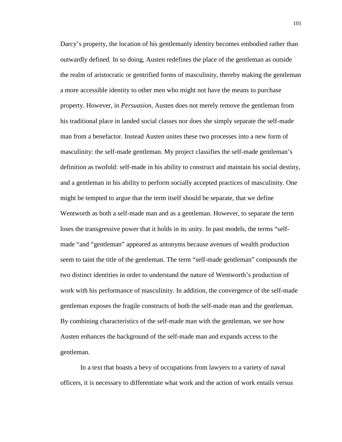Darcy's property, the location of his gentlemanly identity becomes embodied rather than outwardly defined. In so doing, Austen redefines the place of the gentleman as outside the realm of aristocratic or gentrified forms of masculinity, thereby making the gentleman a more accessible identity to other men who might not have the means to purchase property. However, in *Persuasion,* Austen does not merely remove the gentleman from his traditional place in landed social classes nor does she simply separate the self-made man from a benefactor. Instead Austen unites these two processes into a new form of masculinity: the self-made gentleman. My project classifies the self-made gentleman's definition as twofold: self-made in his ability to construct and maintain his social destiny, and a gentleman in his ability to perform socially accepted practices of masculinity. One might be tempted to argue that the term itself should be separate, that we define Wentworth as both a self-made man and as a gentleman. However, to separate the term loses the transgressive power that it holds in its unity. In past models, the terms "selfmade "and "gentleman" appeared as antonyms because avenues of wealth production seem to taint the title of the gentleman. The term "self-made gentleman" compounds the two distinct identities in order to understand the nature of Wentworth's production of work with his performance of masculinity. In addition, the convergence of the self-made gentleman exposes the fragile constructs of both the self-made man and the gentleman. By combining characteristics of the self-made man with the gentleman, we see how Austen enhances the background of the self-made man and expands access to the gentleman.

In a text that boasts a bevy of occupations from lawyers to a variety of naval officers, it is necessary to differentiate what work and the action of work entails versus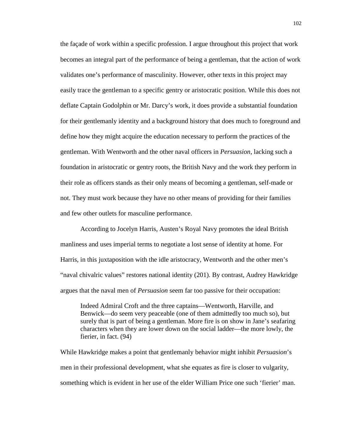the façade of work within a specific profession. I argue throughout this project that work becomes an integral part of the performance of being a gentleman, that the action of work validates one's performance of masculinity. However, other texts in this project may easily trace the gentleman to a specific gentry or aristocratic position. While this does not deflate Captain Godolphin or Mr. Darcy's work, it does provide a substantial foundation for their gentlemanly identity and a background history that does much to foreground and define how they might acquire the education necessary to perform the practices of the gentleman. With Wentworth and the other naval officers in *Persuasion*, lacking such a foundation in aristocratic or gentry roots, the British Navy and the work they perform in their role as officers stands as their only means of becoming a gentleman, self-made or not. They must work because they have no other means of providing for their families and few other outlets for masculine performance.

According to Jocelyn Harris, Austen's Royal Navy promotes the ideal British manliness and uses imperial terms to negotiate a lost sense of identity at home. For Harris, in this juxtaposition with the idle aristocracy, Wentworth and the other men's "naval chivalric values" restores national identity (201). By contrast, Audrey Hawkridge argues that the naval men of *Persuasion* seem far too passive for their occupation:

Indeed Admiral Croft and the three captains—Wentworth, Harville, and Benwick—do seem very peaceable (one of them admittedly too much so), but surely that is part of being a gentleman. More fire is on show in Jane's seafaring characters when they are lower down on the social ladder—the more lowly, the fierier, in fact. (94)

While Hawkridge makes a point that gentlemanly behavior might inhibit *Persuasion*'s men in their professional development, what she equates as fire is closer to vulgarity, something which is evident in her use of the elder William Price one such 'fierier' man.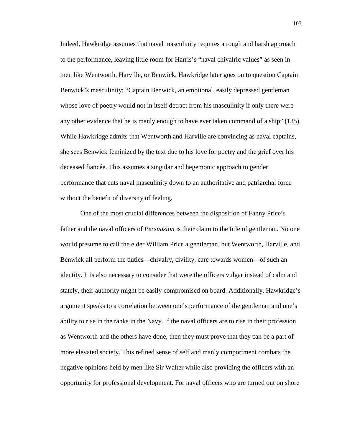Indeed, Hawkridge assumes that naval masculinity requires a rough and harsh approach to the performance, leaving little room for Harris's "naval chivalric values" as seen in men like Wentworth, Harville, or Benwick. Hawkridge later goes on to question Captain Benwick's masculinity: "Captain Benwick, an emotional, easily depressed gentleman whose love of poetry would not in itself detract from his masculinity if only there were any other evidence that he is manly enough to have ever taken command of a ship" (135). While Hawkridge admits that Wentworth and Harville are convincing as naval captains, she sees Benwick feminized by the text due to his love for poetry and the grief over his deceased fiancée. This assumes a singular and hegemonic approach to gender performance that cuts naval masculinity down to an authoritative and patriarchal force without the benefit of diversity of feeling.

One of the most crucial differences between the disposition of Fanny Price's father and the naval officers of *Persuasion* is their claim to the title of gentleman. No one would presume to call the elder William Price a gentleman, but Wentworth, Harville, and Benwick all perform the duties—chivalry, civility, care towards women—of such an identity. It is also necessary to consider that were the officers vulgar instead of calm and stately, their authority might be easily compromised on board. Additionally, Hawkridge's argument speaks to a correlation between one's performance of the gentleman and one's ability to rise in the ranks in the Navy. If the naval officers are to rise in their profession as Wentworth and the others have done, then they must prove that they can be a part of more elevated society. This refined sense of self and manly comportment combats the negative opinions held by men like Sir Walter while also providing the officers with an opportunity for professional development. For naval officers who are turned out on shore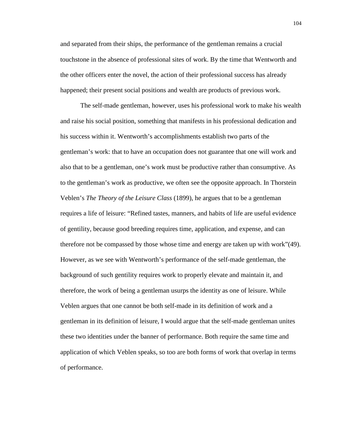and separated from their ships, the performance of the gentleman remains a crucial touchstone in the absence of professional sites of work. By the time that Wentworth and the other officers enter the novel, the action of their professional success has already happened; their present social positions and wealth are products of previous work.

The self-made gentleman, however, uses his professional work to make his wealth and raise his social position, something that manifests in his professional dedication and his success within it. Wentworth's accomplishments establish two parts of the gentleman's work: that to have an occupation does not guarantee that one will work and also that to be a gentleman, one's work must be productive rather than consumptive. As to the gentleman's work as productive, we often see the opposite approach. In Thorstein Veblen's *The Theory of the Leisure Class* (1899), he argues that to be a gentleman requires a life of leisure: "Refined tastes, manners, and habits of life are useful evidence of gentility, because good breeding requires time, application, and expense, and can therefore not be compassed by those whose time and energy are taken up with work"(49). However, as we see with Wentworth's performance of the self-made gentleman, the background of such gentility requires work to properly elevate and maintain it, and therefore, the work of being a gentleman usurps the identity as one of leisure. While Veblen argues that one cannot be both self-made in its definition of work and a gentleman in its definition of leisure, I would argue that the self-made gentleman unites these two identities under the banner of performance. Both require the same time and application of which Veblen speaks, so too are both forms of work that overlap in terms of performance.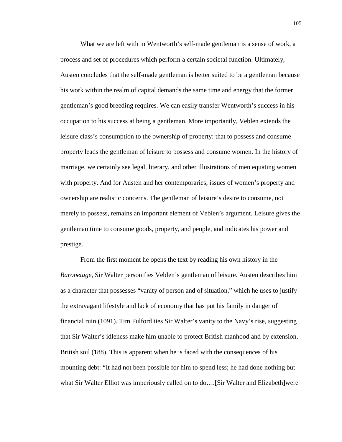What we are left with in Wentworth's self-made gentleman is a sense of work, a process and set of procedures which perform a certain societal function. Ultimately, Austen concludes that the self-made gentleman is better suited to be a gentleman because his work within the realm of capital demands the same time and energy that the former gentleman's good breeding requires. We can easily transfer Wentworth's success in his occupation to his success at being a gentleman. More importantly, Veblen extends the leisure class's consumption to the ownership of property: that to possess and consume property leads the gentleman of leisure to possess and consume women. In the history of marriage, we certainly see legal, literary, and other illustrations of men equating women with property. And for Austen and her contemporaries, issues of women's property and ownership are realistic concerns. The gentleman of leisure's desire to consume, not merely to possess, remains an important element of Veblen's argument. Leisure gives the gentleman time to consume goods, property, and people, and indicates his power and prestige.

From the first moment he opens the text by reading his own history in the *Baronetage*, Sir Walter personifies Veblen's gentleman of leisure. Austen describes him as a character that possesses "vanity of person and of situation," which he uses to justify the extravagant lifestyle and lack of economy that has put his family in danger of financial ruin (1091). Tim Fulford ties Sir Walter's vanity to the Navy's rise, suggesting that Sir Walter's idleness make him unable to protect British manhood and by extension, British soil (188). This is apparent when he is faced with the consequences of his mounting debt: "It had not been possible for him to spend less; he had done nothing but what Sir Walter Elliot was imperiously called on to do….[Sir Walter and Elizabeth]were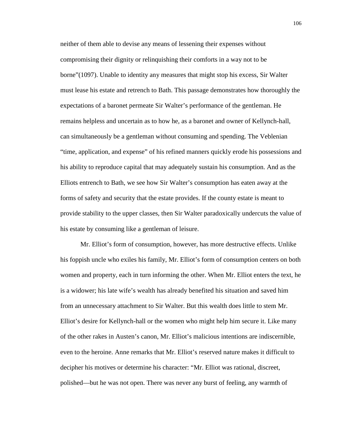neither of them able to devise any means of lessening their expenses without compromising their dignity or relinquishing their comforts in a way not to be borne"(1097). Unable to identity any measures that might stop his excess, Sir Walter must lease his estate and retrench to Bath. This passage demonstrates how thoroughly the expectations of a baronet permeate Sir Walter's performance of the gentleman. He remains helpless and uncertain as to how he, as a baronet and owner of Kellynch-hall, can simultaneously be a gentleman without consuming and spending. The Veblenian "time, application, and expense" of his refined manners quickly erode his possessions and his ability to reproduce capital that may adequately sustain his consumption. And as the Elliots entrench to Bath, we see how Sir Walter's consumption has eaten away at the forms of safety and security that the estate provides. If the county estate is meant to provide stability to the upper classes, then Sir Walter paradoxically undercuts the value of his estate by consuming like a gentleman of leisure.

Mr. Elliot's form of consumption, however, has more destructive effects. Unlike his foppish uncle who exiles his family, Mr. Elliot's form of consumption centers on both women and property, each in turn informing the other. When Mr. Elliot enters the text, he is a widower; his late wife's wealth has already benefited his situation and saved him from an unnecessary attachment to Sir Walter. But this wealth does little to stem Mr. Elliot's desire for Kellynch-hall or the women who might help him secure it. Like many of the other rakes in Austen's canon, Mr. Elliot's malicious intentions are indiscernible, even to the heroine. Anne remarks that Mr. Elliot's reserved nature makes it difficult to decipher his motives or determine his character: "Mr. Elliot was rational, discreet, polished—but he was not open. There was never any burst of feeling, any warmth of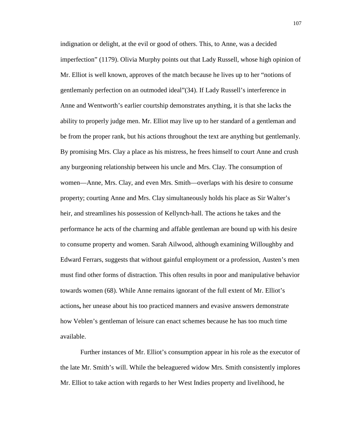indignation or delight, at the evil or good of others. This, to Anne, was a decided imperfection" (1179). Olivia Murphy points out that Lady Russell, whose high opinion of Mr. Elliot is well known, approves of the match because he lives up to her "notions of gentlemanly perfection on an outmoded ideal"(34). If Lady Russell's interference in Anne and Wentworth's earlier courtship demonstrates anything, it is that she lacks the ability to properly judge men. Mr. Elliot may live up to her standard of a gentleman and be from the proper rank, but his actions throughout the text are anything but gentlemanly. By promising Mrs. Clay a place as his mistress, he frees himself to court Anne and crush any burgeoning relationship between his uncle and Mrs. Clay. The consumption of women—Anne, Mrs. Clay, and even Mrs. Smith—overlaps with his desire to consume property; courting Anne and Mrs. Clay simultaneously holds his place as Sir Walter's heir, and streamlines his possession of Kellynch-hall. The actions he takes and the performance he acts of the charming and affable gentleman are bound up with his desire to consume property and women. Sarah Ailwood, although examining Willoughby and Edward Ferrars, suggests that without gainful employment or a profession, Austen's men must find other forms of distraction. This often results in poor and manipulative behavior towards women (68). While Anne remains ignorant of the full extent of Mr. Elliot's actions**,** her unease about his too practiced manners and evasive answers demonstrate how Veblen's gentleman of leisure can enact schemes because he has too much time available.

Further instances of Mr. Elliot's consumption appear in his role as the executor of the late Mr. Smith's will. While the beleaguered widow Mrs. Smith consistently implores Mr. Elliot to take action with regards to her West Indies property and livelihood, he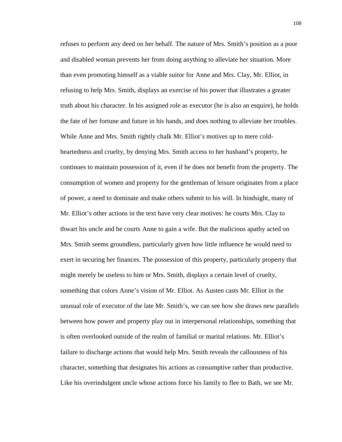refuses to perform any deed on her behalf. The nature of Mrs. Smith's position as a poor and disabled woman prevents her from doing anything to alleviate her situation. More than even promoting himself as a viable suitor for Anne and Mrs. Clay, Mr. Elliot, in refusing to help Mrs. Smith, displays an exercise of his power that illustrates a greater truth about his character. In his assigned role as executor (he is also an esquire), he holds the fate of her fortune and future in his hands, and does nothing to alleviate her troubles. While Anne and Mrs. Smith rightly chalk Mr. Elliot's motives up to mere coldheartedness and cruelty, by denying Mrs. Smith access to her husband's property, he continues to maintain possession of it, even if he does not benefit from the property. The consumption of women and property for the gentleman of leisure originates from a place of power, a need to dominate and make others submit to his will. In hindsight, many of Mr. Elliot's other actions in the text have very clear motives: he courts Mrs. Clay to thwart his uncle and he courts Anne to gain a wife. But the malicious apathy acted on Mrs. Smith seems groundless, particularly given how little influence he would need to exert in securing her finances. The possession of this property, particularly property that might merely be useless to him or Mrs. Smith, displays a certain level of cruelty, something that colors Anne's vision of Mr. Elliot. As Austen casts Mr. Elliot in the unusual role of executor of the late Mr. Smith's, we can see how she draws new parallels between how power and property play out in interpersonal relationships, something that is often overlooked outside of the realm of familial or marital relations. Mr. Elliot's failure to discharge actions that would help Mrs. Smith reveals the callousness of his character, something that designates his actions as consumptive rather than productive. Like his overindulgent uncle whose actions force his family to flee to Bath, we see Mr.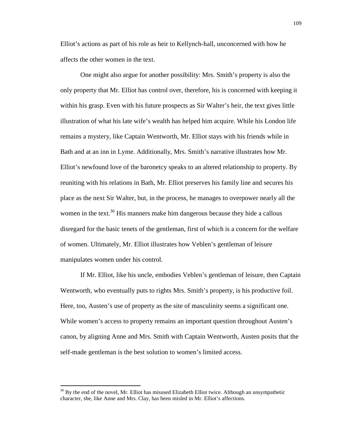Elliot's actions as part of his role as heir to Kellynch-hall, unconcerned with how he affects the other women in the text.

One might also argue for another possibility: Mrs. Smith's property is also the only property that Mr. Elliot has control over, therefore, his is concerned with keeping it within his grasp. Even with his future prospects as Sir Walter's heir, the text gives little illustration of what his late wife's wealth has helped him acquire. While his London life remains a mystery, like Captain Wentworth, Mr. Elliot stays with his friends while in Bath and at an inn in Lyme. Additionally, Mrs. Smith's narrative illustrates how Mr. Elliot's newfound love of the baronetcy speaks to an altered relationship to property. By reuniting with his relations in Bath, Mr. Elliot preserves his family line and secures his place as the next Sir Walter, but, in the process, he manages to overpower nearly all the women in the text.<sup>36</sup> His manners make him dangerous because they hide a callous disregard for the basic tenets of the gentleman, first of which is a concern for the welfare of women. Ultimately, Mr. Elliot illustrates how Veblen's gentleman of leisure manipulates women under his control.

If Mr. Elliot, like his uncle, embodies Veblen's gentleman of leisure, then Captain Wentworth, who eventually puts to rights Mrs. Smith's property, is his productive foil. Here, too, Austen's use of property as the site of masculinity seems a significant one. While women's access to property remains an important question throughout Austen's canon, by aligning Anne and Mrs. Smith with Captain Wentworth, Austen posits that the self-made gentleman is the best solution to women's limited access.

 $\overline{a}$ 

 $36$  By the end of the novel, Mr. Elliot has misused Elizabeth Elliot twice. Although an unsympathetic character, she, like Anne and Mrs. Clay, has been misled in Mr. Elliot's affections.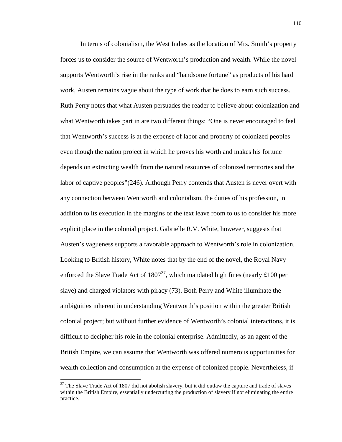In terms of colonialism, the West Indies as the location of Mrs. Smith's property forces us to consider the source of Wentworth's production and wealth. While the novel supports Wentworth's rise in the ranks and "handsome fortune" as products of his hard work, Austen remains vague about the type of work that he does to earn such success. Ruth Perry notes that what Austen persuades the reader to believe about colonization and what Wentworth takes part in are two different things: "One is never encouraged to feel that Wentworth's success is at the expense of labor and property of colonized peoples even though the nation project in which he proves his worth and makes his fortune depends on extracting wealth from the natural resources of colonized territories and the labor of captive peoples"(246). Although Perry contends that Austen is never overt with any connection between Wentworth and colonialism, the duties of his profession, in addition to its execution in the margins of the text leave room to us to consider his more explicit place in the colonial project. Gabrielle R.V. White, however, suggests that Austen's vagueness supports a favorable approach to Wentworth's role in colonization. Looking to British history, White notes that by the end of the novel, the Royal Navy enforced the Slave Trade Act of  $1807^{37}$ , which mandated high fines (nearly £100 per slave) and charged violators with piracy (73). Both Perry and White illuminate the ambiguities inherent in understanding Wentworth's position within the greater British colonial project; but without further evidence of Wentworth's colonial interactions, it is difficult to decipher his role in the colonial enterprise. Admittedly, as an agent of the British Empire, we can assume that Wentworth was offered numerous opportunities for wealth collection and consumption at the expense of colonized people. Nevertheless, if

<u>.</u>

 $37$  The Slave Trade Act of 1807 did not abolish slavery, but it did outlaw the capture and trade of slaves within the British Empire, essentially undercutting the production of slavery if not eliminating the entire practice.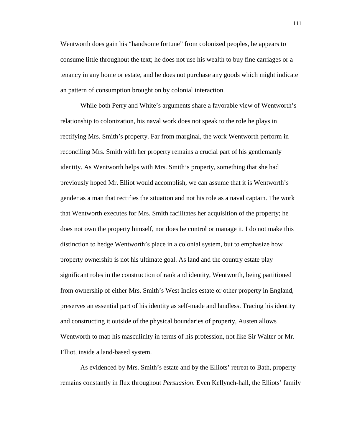Wentworth does gain his "handsome fortune" from colonized peoples, he appears to consume little throughout the text; he does not use his wealth to buy fine carriages or a tenancy in any home or estate, and he does not purchase any goods which might indicate an pattern of consumption brought on by colonial interaction.

While both Perry and White's arguments share a favorable view of Wentworth's relationship to colonization, his naval work does not speak to the role he plays in rectifying Mrs. Smith's property. Far from marginal, the work Wentworth perform in reconciling Mrs. Smith with her property remains a crucial part of his gentlemanly identity. As Wentworth helps with Mrs. Smith's property, something that she had previously hoped Mr. Elliot would accomplish, we can assume that it is Wentworth's gender as a man that rectifies the situation and not his role as a naval captain. The work that Wentworth executes for Mrs. Smith facilitates her acquisition of the property; he does not own the property himself, nor does he control or manage it. I do not make this distinction to hedge Wentworth's place in a colonial system, but to emphasize how property ownership is not his ultimate goal. As land and the country estate play significant roles in the construction of rank and identity, Wentworth, being partitioned from ownership of either Mrs. Smith's West Indies estate or other property in England, preserves an essential part of his identity as self-made and landless. Tracing his identity and constructing it outside of the physical boundaries of property, Austen allows Wentworth to map his masculinity in terms of his profession, not like Sir Walter or Mr. Elliot, inside a land-based system.

As evidenced by Mrs. Smith's estate and by the Elliots' retreat to Bath, property remains constantly in flux throughout *Persuasion*. Even Kellynch-hall, the Elliots' family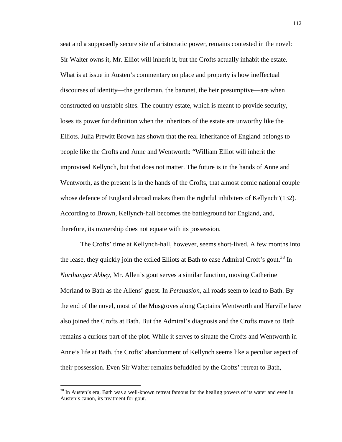seat and a supposedly secure site of aristocratic power, remains contested in the novel: Sir Walter owns it, Mr. Elliot will inherit it, but the Crofts actually inhabit the estate. What is at issue in Austen's commentary on place and property is how ineffectual discourses of identity—the gentleman, the baronet, the heir presumptive—are when constructed on unstable sites. The country estate, which is meant to provide security, loses its power for definition when the inheritors of the estate are unworthy like the Elliots. Julia Prewitt Brown has shown that the real inheritance of England belongs to people like the Crofts and Anne and Wentworth: "William Elliot will inherit the improvised Kellynch, but that does not matter. The future is in the hands of Anne and Wentworth, as the present is in the hands of the Crofts, that almost comic national couple whose defence of England abroad makes them the rightful inhibiters of Kellynch"(132). According to Brown, Kellynch-hall becomes the battleground for England, and, therefore, its ownership does not equate with its possession.

The Crofts' time at Kellynch-hall, however, seems short-lived. A few months into the lease, they quickly join the exiled Elliots at Bath to ease Admiral Croft's gout.<sup>38</sup> In *Northanger Abbey,* Mr. Allen's gout serves a similar function, moving Catherine Morland to Bath as the Allens' guest. In *Persuasion,* all roads seem to lead to Bath. By the end of the novel, most of the Musgroves along Captains Wentworth and Harville have also joined the Crofts at Bath. But the Admiral's diagnosis and the Crofts move to Bath remains a curious part of the plot. While it serves to situate the Crofts and Wentworth in Anne's life at Bath, the Crofts' abandonment of Kellynch seems like a peculiar aspect of their possession. Even Sir Walter remains befuddled by the Crofts' retreat to Bath,

 $\overline{a}$ 

 $38$  In Austen's era, Bath was a well-known retreat famous for the healing powers of its water and even in Austen's canon, its treatment for gout.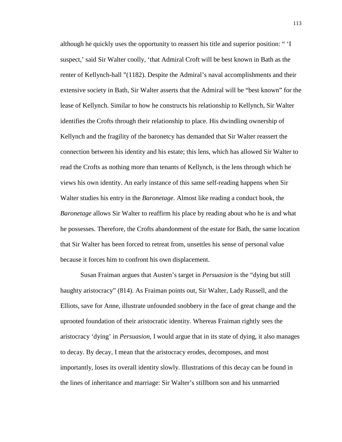although he quickly uses the opportunity to reassert his title and superior position: " 'I suspect,' said Sir Walter coolly, 'that Admiral Croft will be best known in Bath as the renter of Kellynch-hall "(1182). Despite the Admiral's naval accomplishments and their extensive society in Bath, Sir Walter asserts that the Admiral will be "best known" for the lease of Kellynch. Similar to how he constructs his relationship to Kellynch, Sir Walter identifies the Crofts through their relationship to place. His dwindling ownership of Kellynch and the fragility of the baronetcy has demanded that Sir Walter reassert the connection between his identity and his estate; this lens, which has allowed Sir Walter to read the Crofts as nothing more than tenants of Kellynch, is the lens through which he views his own identity. An early instance of this same self-reading happens when Sir Walter studies his entry in the *Baronetage*. Almost like reading a conduct book, the *Baronetage* allows Sir Walter to reaffirm his place by reading about who he is and what he possesses. Therefore, the Crofts abandonment of the estate for Bath, the same location that Sir Walter has been forced to retreat from, unsettles his sense of personal value because it forces him to confront his own displacement.

Susan Fraiman argues that Austen's target in *Persuasion* is the "dying but still haughty aristocracy" (814). As Fraiman points out, Sir Walter, Lady Russell, and the Elliots, save for Anne, illustrate unfounded snobbery in the face of great change and the uprooted foundation of their aristocratic identity. Whereas Fraiman rightly sees the aristocracy 'dying' in *Persuasion*, I would argue that in its state of dying, it also manages to decay. By decay, I mean that the aristocracy erodes, decomposes, and most importantly, loses its overall identity slowly. Illustrations of this decay can be found in the lines of inheritance and marriage: Sir Walter's stillborn son and his unmarried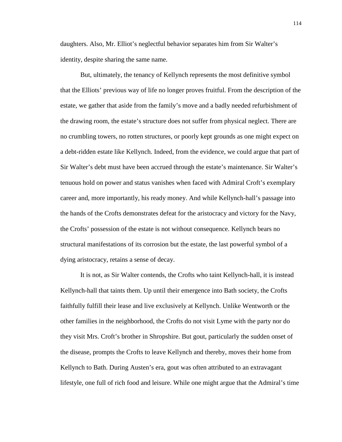daughters. Also, Mr. Elliot's neglectful behavior separates him from Sir Walter's identity, despite sharing the same name.

But, ultimately, the tenancy of Kellynch represents the most definitive symbol that the Elliots' previous way of life no longer proves fruitful. From the description of the estate, we gather that aside from the family's move and a badly needed refurbishment of the drawing room, the estate's structure does not suffer from physical neglect. There are no crumbling towers, no rotten structures, or poorly kept grounds as one might expect on a debt-ridden estate like Kellynch. Indeed, from the evidence, we could argue that part of Sir Walter's debt must have been accrued through the estate's maintenance. Sir Walter's tenuous hold on power and status vanishes when faced with Admiral Croft's exemplary career and, more importantly, his ready money. And while Kellynch-hall's passage into the hands of the Crofts demonstrates defeat for the aristocracy and victory for the Navy, the Crofts' possession of the estate is not without consequence. Kellynch bears no structural manifestations of its corrosion but the estate, the last powerful symbol of a dying aristocracy, retains a sense of decay.

It is not, as Sir Walter contends, the Crofts who taint Kellynch-hall, it is instead Kellynch-hall that taints them. Up until their emergence into Bath society, the Crofts faithfully fulfill their lease and live exclusively at Kellynch. Unlike Wentworth or the other families in the neighborhood, the Crofts do not visit Lyme with the party nor do they visit Mrs. Croft's brother in Shropshire. But gout, particularly the sudden onset of the disease, prompts the Crofts to leave Kellynch and thereby, moves their home from Kellynch to Bath. During Austen's era, gout was often attributed to an extravagant lifestyle, one full of rich food and leisure. While one might argue that the Admiral's time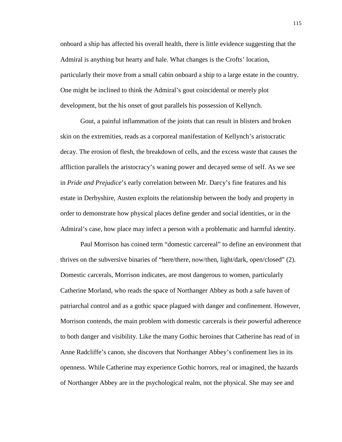onboard a ship has affected his overall health, there is little evidence suggesting that the Admiral is anything but hearty and hale. What changes is the Crofts' location, particularly their move from a small cabin onboard a ship to a large estate in the country. One might be inclined to think the Admiral's gout coincidental or merely plot development, but the his onset of gout parallels his possession of Kellynch.

Gout, a painful inflammation of the joints that can result in blisters and broken skin on the extremities, reads as a corporeal manifestation of Kellynch's aristocratic decay. The erosion of flesh, the breakdown of cells, and the excess waste that causes the affliction parallels the aristocracy's waning power and decayed sense of self. As we see in *Pride and Prejudice*'s early correlation between Mr. Darcy's fine features and his estate in Derbyshire, Austen exploits the relationship between the body and property in order to demonstrate how physical places define gender and social identities, or in the Admiral's case, how place may infect a person with a problematic and harmful identity.

Paul Morrison has coined term "domestic carcereal" to define an environment that thrives on the subversive binaries of "here/there, now/then, light/dark, open/closed" (2). Domestic carcerals, Morrison indicates, are most dangerous to women, particularly Catherine Morland, who reads the space of Northanger Abbey as both a safe haven of patriarchal control and as a gothic space plagued with danger and confinement. However, Morrison contends, the main problem with domestic carcerals is their powerful adherence to both danger and visibility. Like the many Gothic heroines that Catherine has read of in Anne Radcliffe's canon, she discovers that Northanger Abbey's confinement lies in its openness. While Catherine may experience Gothic horrors, real or imagined, the hazards of Northanger Abbey are in the psychological realm, not the physical. She may see and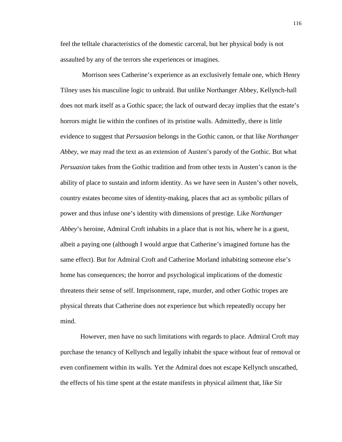feel the telltale characteristics of the domestic carceral, but her physical body is not assaulted by any of the terrors she experiences or imagines.

 Morrison sees Catherine's experience as an exclusively female one, which Henry Tilney uses his masculine logic to unbraid. But unlike Northanger Abbey, Kellynch-hall does not mark itself as a Gothic space; the lack of outward decay implies that the estate's horrors might lie within the confines of its pristine walls. Admittedly, there is little evidence to suggest that *Persuasion* belongs in the Gothic canon, or that like *Northanger Abbey*, we may read the text as an extension of Austen's parody of the Gothic. But what *Persuasion* takes from the Gothic tradition and from other texts in Austen's canon is the ability of place to sustain and inform identity. As we have seen in Austen's other novels, country estates become sites of identity-making, places that act as symbolic pillars of power and thus infuse one's identity with dimensions of prestige. Like *Northanger Abbey*'s heroine, Admiral Croft inhabits in a place that is not his, where he is a guest, albeit a paying one (although I would argue that Catherine's imagined fortune has the same effect). But for Admiral Croft and Catherine Morland inhabiting someone else's home has consequences; the horror and psychological implications of the domestic threatens their sense of self. Imprisonment, rape, murder, and other Gothic tropes are physical threats that Catherine does not experience but which repeatedly occupy her mind.

However, men have no such limitations with regards to place. Admiral Croft may purchase the tenancy of Kellynch and legally inhabit the space without fear of removal or even confinement within its walls. Yet the Admiral does not escape Kellynch unscathed, the effects of his time spent at the estate manifests in physical ailment that, like Sir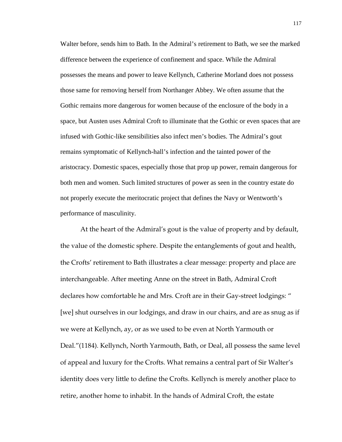Walter before, sends him to Bath. In the Admiral's retirement to Bath, we see the marked difference between the experience of confinement and space. While the Admiral possesses the means and power to leave Kellynch, Catherine Morland does not possess those same for removing herself from Northanger Abbey. We often assume that the Gothic remains more dangerous for women because of the enclosure of the body in a space, but Austen uses Admiral Croft to illuminate that the Gothic or even spaces that are infused with Gothic-like sensibilities also infect men's bodies. The Admiral's gout remains symptomatic of Kellynch-hall's infection and the tainted power of the aristocracy. Domestic spaces, especially those that prop up power, remain dangerous for both men and women. Such limited structures of power as seen in the country estate do not properly execute the meritocratic project that defines the Navy or Wentworth's performance of masculinity.

 At the heart of the Admiral's gout is the value of property and by default, the value of the domestic sphere. Despite the entanglements of gout and health, the Crofts' retirement to Bath illustrates a clear message: property and place are interchangeable. After meeting Anne on the street in Bath, Admiral Croft declares how comfortable he and Mrs. Croft are in their Gay-street lodgings: " [we] shut ourselves in our lodgings, and draw in our chairs, and are as snug as if we were at Kellynch, ay, or as we used to be even at North Yarmouth or Deal."(1184). Kellynch, North Yarmouth, Bath, or Deal, all possess the same level of appeal and luxury for the Crofts. What remains a central part of Sir Walter's identity does very little to define the Crofts. Kellynch is merely another place to retire, another home to inhabit. In the hands of Admiral Croft, the estate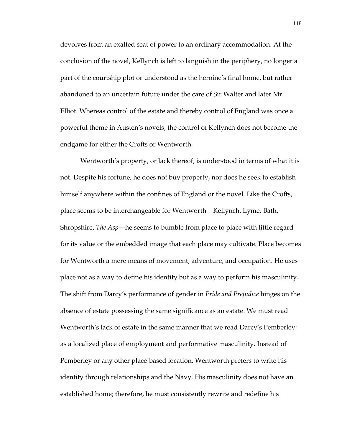devolves from an exalted seat of power to an ordinary accommodation. At the conclusion of the novel, Kellynch is left to languish in the periphery, no longer a part of the courtship plot or understood as the heroine's final home, but rather abandoned to an uncertain future under the care of Sir Walter and later Mr. Elliot. Whereas control of the estate and thereby control of England was once a powerful theme in Austen's novels, the control of Kellynch does not become the endgame for either the Crofts or Wentworth.

 Wentworth's property, or lack thereof, is understood in terms of what it is not. Despite his fortune, he does not buy property, nor does he seek to establish himself anywhere within the confines of England or the novel. Like the Crofts, place seems to be interchangeable for Wentworth—Kellynch, Lyme, Bath, Shropshire, *The Asp*—he seems to bumble from place to place with little regard for its value or the embedded image that each place may cultivate. Place becomes for Wentworth a mere means of movement, adventure, and occupation. He uses place not as a way to define his identity but as a way to perform his masculinity. The shift from Darcy's performance of gender in *Pride and Prejudice* hinges on the absence of estate possessing the same significance as an estate. We must read Wentworth's lack of estate in the same manner that we read Darcy's Pemberley: as a localized place of employment and performative masculinity. Instead of Pemberley or any other place-based location, Wentworth prefers to write his identity through relationships and the Navy. His masculinity does not have an established home; therefore, he must consistently rewrite and redefine his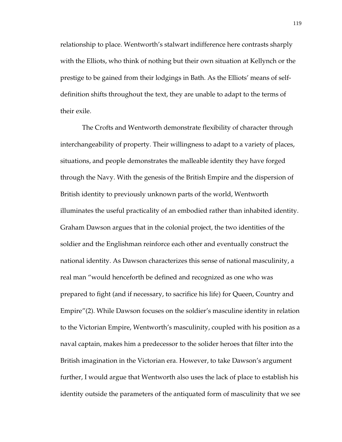relationship to place. Wentworth's stalwart indifference here contrasts sharply with the Elliots, who think of nothing but their own situation at Kellynch or the prestige to be gained from their lodgings in Bath. As the Elliots' means of selfdefinition shifts throughout the text, they are unable to adapt to the terms of their exile.

 The Crofts and Wentworth demonstrate flexibility of character through interchangeability of property. Their willingness to adapt to a variety of places, situations, and people demonstrates the malleable identity they have forged through the Navy. With the genesis of the British Empire and the dispersion of British identity to previously unknown parts of the world, Wentworth illuminates the useful practicality of an embodied rather than inhabited identity. Graham Dawson argues that in the colonial project, the two identities of the soldier and the Englishman reinforce each other and eventually construct the national identity. As Dawson characterizes this sense of national masculinity, a real man "would henceforth be defined and recognized as one who was prepared to fight (and if necessary, to sacrifice his life) for Queen, Country and Empire"(2). While Dawson focuses on the soldier's masculine identity in relation to the Victorian Empire, Wentworth's masculinity, coupled with his position as a naval captain, makes him a predecessor to the solider heroes that filter into the British imagination in the Victorian era. However, to take Dawson's argument further, I would argue that Wentworth also uses the lack of place to establish his identity outside the parameters of the antiquated form of masculinity that we see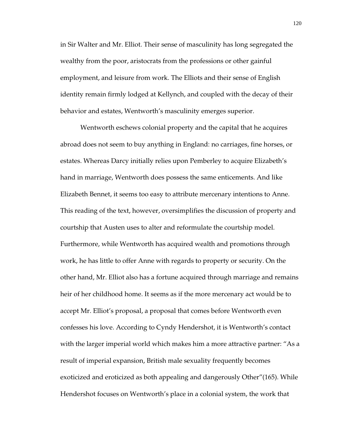in Sir Walter and Mr. Elliot. Their sense of masculinity has long segregated the wealthy from the poor, aristocrats from the professions or other gainful employment, and leisure from work. The Elliots and their sense of English identity remain firmly lodged at Kellynch, and coupled with the decay of their behavior and estates, Wentworth's masculinity emerges superior.

 Wentworth eschews colonial property and the capital that he acquires abroad does not seem to buy anything in England: no carriages, fine horses, or estates. Whereas Darcy initially relies upon Pemberley to acquire Elizabeth's hand in marriage, Wentworth does possess the same enticements. And like Elizabeth Bennet, it seems too easy to attribute mercenary intentions to Anne. This reading of the text, however, oversimplifies the discussion of property and courtship that Austen uses to alter and reformulate the courtship model. Furthermore, while Wentworth has acquired wealth and promotions through work, he has little to offer Anne with regards to property or security. On the other hand, Mr. Elliot also has a fortune acquired through marriage and remains heir of her childhood home. It seems as if the more mercenary act would be to accept Mr. Elliot's proposal, a proposal that comes before Wentworth even confesses his love. According to Cyndy Hendershot, it is Wentworth's contact with the larger imperial world which makes him a more attractive partner: "As a result of imperial expansion, British male sexuality frequently becomes exoticized and eroticized as both appealing and dangerously Other"(165). While Hendershot focuses on Wentworth's place in a colonial system, the work that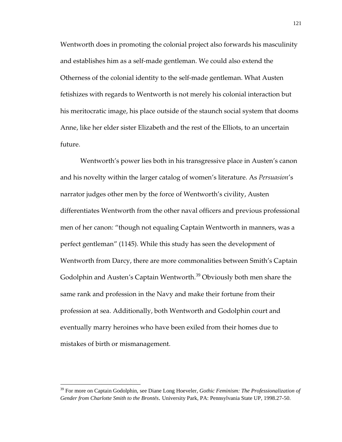Wentworth does in promoting the colonial project also forwards his masculinity and establishes him as a self-made gentleman. We could also extend the Otherness of the colonial identity to the self-made gentleman. What Austen fetishizes with regards to Wentworth is not merely his colonial interaction but his meritocratic image, his place outside of the staunch social system that dooms Anne, like her elder sister Elizabeth and the rest of the Elliots, to an uncertain future.

 Wentworth's power lies both in his transgressive place in Austen's canon and his novelty within the larger catalog of women's literature. As *Persuasion*'s narrator judges other men by the force of Wentworth's civility, Austen differentiates Wentworth from the other naval officers and previous professional men of her canon: "though not equaling Captain Wentworth in manners, was a perfect gentleman" (1145). While this study has seen the development of Wentworth from Darcy, there are more commonalities between Smith's Captain Godolphin and Austen's Captain Wentworth.<sup>39</sup> Obviously both men share the same rank and profession in the Navy and make their fortune from their profession at sea. Additionally, both Wentworth and Godolphin court and eventually marry heroines who have been exiled from their homes due to mistakes of birth or mismanagement.

 $\overline{a}$ 

<sup>39</sup> For more on Captain Godolphin, see Diane Long Hoeveler, *Gothic Feminism: The Professionalization of Gender from Charlotte Smith to the Brontës*. University Park, PA: Pennsylvania State UP, 1998.27-50.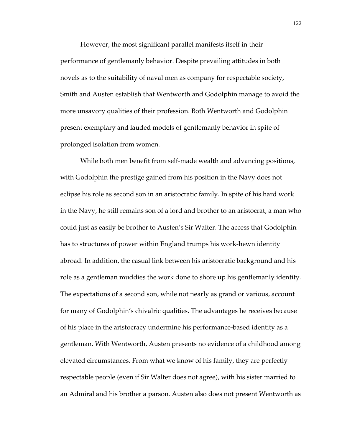However, the most significant parallel manifests itself in their performance of gentlemanly behavior. Despite prevailing attitudes in both novels as to the suitability of naval men as company for respectable society, Smith and Austen establish that Wentworth and Godolphin manage to avoid the more unsavory qualities of their profession. Both Wentworth and Godolphin present exemplary and lauded models of gentlemanly behavior in spite of prolonged isolation from women.

 While both men benefit from self-made wealth and advancing positions, with Godolphin the prestige gained from his position in the Navy does not eclipse his role as second son in an aristocratic family. In spite of his hard work in the Navy, he still remains son of a lord and brother to an aristocrat, a man who could just as easily be brother to Austen's Sir Walter. The access that Godolphin has to structures of power within England trumps his work-hewn identity abroad. In addition, the casual link between his aristocratic background and his role as a gentleman muddies the work done to shore up his gentlemanly identity. The expectations of a second son, while not nearly as grand or various, account for many of Godolphin's chivalric qualities. The advantages he receives because of his place in the aristocracy undermine his performance-based identity as a gentleman. With Wentworth, Austen presents no evidence of a childhood among elevated circumstances. From what we know of his family, they are perfectly respectable people (even if Sir Walter does not agree), with his sister married to an Admiral and his brother a parson. Austen also does not present Wentworth as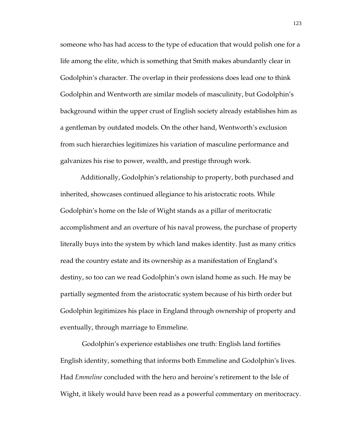someone who has had access to the type of education that would polish one for a life among the elite, which is something that Smith makes abundantly clear in Godolphin's character. The overlap in their professions does lead one to think Godolphin and Wentworth are similar models of masculinity, but Godolphin's background within the upper crust of English society already establishes him as a gentleman by outdated models. On the other hand, Wentworth's exclusion from such hierarchies legitimizes his variation of masculine performance and galvanizes his rise to power, wealth, and prestige through work.

 Additionally, Godolphin's relationship to property, both purchased and inherited, showcases continued allegiance to his aristocratic roots. While Godolphin's home on the Isle of Wight stands as a pillar of meritocratic accomplishment and an overture of his naval prowess, the purchase of property literally buys into the system by which land makes identity. Just as many critics read the country estate and its ownership as a manifestation of England's destiny, so too can we read Godolphin's own island home as such. He may be partially segmented from the aristocratic system because of his birth order but Godolphin legitimizes his place in England through ownership of property and eventually, through marriage to Emmeline.

 Godolphin's experience establishes one truth: English land fortifies English identity, something that informs both Emmeline and Godolphin's lives. Had *Emmeline* concluded with the hero and heroine's retirement to the Isle of Wight, it likely would have been read as a powerful commentary on meritocracy.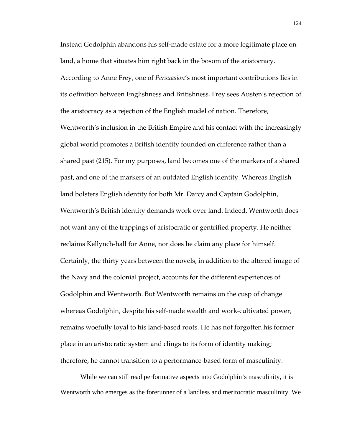Instead Godolphin abandons his self-made estate for a more legitimate place on land, a home that situates him right back in the bosom of the aristocracy. According to Anne Frey, one of *Persuasion*'s most important contributions lies in its definition between Englishness and Britishness. Frey sees Austen's rejection of the aristocracy as a rejection of the English model of nation. Therefore, Wentworth's inclusion in the British Empire and his contact with the increasingly global world promotes a British identity founded on difference rather than a shared past (215). For my purposes, land becomes one of the markers of a shared past, and one of the markers of an outdated English identity. Whereas English land bolsters English identity for both Mr. Darcy and Captain Godolphin, Wentworth's British identity demands work over land. Indeed, Wentworth does not want any of the trappings of aristocratic or gentrified property. He neither reclaims Kellynch-hall for Anne, nor does he claim any place for himself. Certainly, the thirty years between the novels, in addition to the altered image of the Navy and the colonial project, accounts for the different experiences of Godolphin and Wentworth. But Wentworth remains on the cusp of change whereas Godolphin, despite his self-made wealth and work-cultivated power, remains woefully loyal to his land-based roots. He has not forgotten his former place in an aristocratic system and clings to its form of identity making; therefore, he cannot transition to a performance-based form of masculinity.

While we can still read performative aspects into Godolphin's masculinity, it is Wentworth who emerges as the forerunner of a landless and meritocratic masculinity. We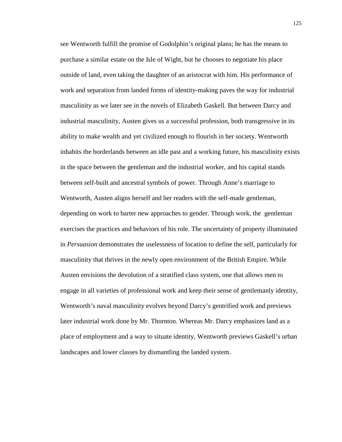see Wentworth fulfill the promise of Godolphin's original plans; he has the means to purchase a similar estate on the Isle of Wight, but he chooses to negotiate his place outside of land, even taking the daughter of an aristocrat with him. His performance of work and separation from landed forms of identity-making paves the way for industrial masculinity as we later see in the novels of Elizabeth Gaskell. But between Darcy and industrial masculinity, Austen gives us a successful profession, both transgressive in its ability to make wealth and yet civilized enough to flourish in her society. Wentworth inhabits the borderlands between an idle past and a working future, his masculinity exists in the space between the gentleman and the industrial worker, and his capital stands between self-built and ancestral symbols of power. Through Anne's marriage to Wentworth, Austen aligns herself and her readers with the self-made gentleman, depending on work to barter new approaches to gender. Through work, the gentleman exercises the practices and behaviors of his role. The uncertainty of property illuminated in *Persuasion* demonstrates the uselessness of location to define the self, particularly for masculinity that thrives in the newly open environment of the British Empire. While Austen envisions the devolution of a stratified class system, one that allows men to engage in all varieties of professional work and keep their sense of gentlemanly identity, Wentworth's naval masculinity evolves beyond Darcy's gentrified work and previews later industrial work done by Mr. Thornton. Whereas Mr. Darcy emphasizes land as a place of employment and a way to situate identity, Wentworth previews Gaskell's urban landscapes and lower classes by dismantling the landed system.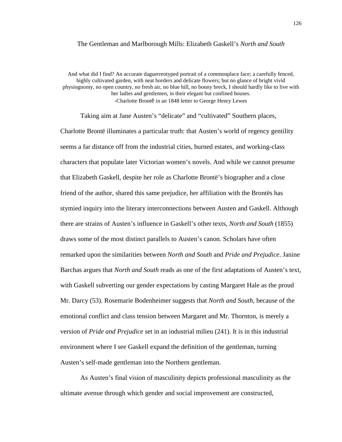## The Gentleman and Marlborough Mills: Elizabeth Gaskell's *North and South*

And what did I find? An accurate daguerreotyped portrait of a commonplace face; a carefully fenced, highly cultivated garden, with neat borders and delicate flowers; but no glance of bright vivid physiognomy, no open country, no fresh air, no blue hill, no bonny breck, I should hardly like to live with her ladies and gentlemen, in their elegant but confined houses. -Charlotte Brontë in an 1848 letter to George Henry Lewes

Taking aim at Jane Austen's "delicate" and "cultivated" Southern places, Charlotte Brontë illuminates a particular truth: that Austen's world of regency gentility seems a far distance off from the industrial cities, burned estates, and working-class characters that populate later Victorian women's novels. And while we cannot presume that Elizabeth Gaskell, despite her role as Charlotte Brontë's biographer and a close friend of the author, shared this same prejudice, her affiliation with the Brontës has stymied inquiry into the literary interconnections between Austen and Gaskell. Although there are strains of Austen's influence in Gaskell's other texts, *North and South* (1855) draws some of the most distinct parallels to Austen's canon. Scholars have often remarked upon the similarities between *North and South* and *Pride and Prejudice*. Janine Barchas argues that *North and South* reads as one of the first adaptations of Austen's text, with Gaskell subverting our gender expectations by casting Margaret Hale as the proud Mr. Darcy (53). Rosemarie Bodenheimer suggests that *North and South*, because of the emotional conflict and class tension between Margaret and Mr. Thornton, is merely a version of *Pride and Prejudice* set in an industrial milieu (241). It is in this industrial environment where I see Gaskell expand the definition of the gentleman, turning Austen's self-made gentleman into the Northern gentleman.

As Austen's final vision of masculinity depicts professional masculinity as the ultimate avenue through which gender and social improvement are constructed,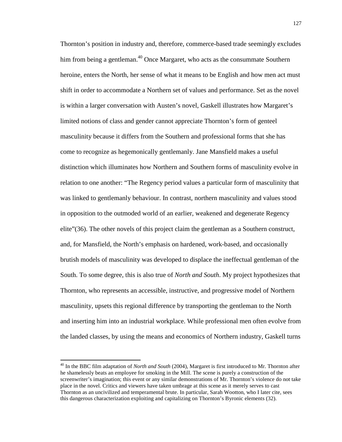Thornton's position in industry and, therefore, commerce-based trade seemingly excludes him from being a gentleman.<sup>40</sup> Once Margaret, who acts as the consummate Southern heroine, enters the North, her sense of what it means to be English and how men act must shift in order to accommodate a Northern set of values and performance. Set as the novel is within a larger conversation with Austen's novel, Gaskell illustrates how Margaret's limited notions of class and gender cannot appreciate Thornton's form of genteel masculinity because it differs from the Southern and professional forms that she has come to recognize as hegemonically gentlemanly. Jane Mansfield makes a useful distinction which illuminates how Northern and Southern forms of masculinity evolve in relation to one another: "The Regency period values a particular form of masculinity that was linked to gentlemanly behaviour. In contrast, northern masculinity and values stood in opposition to the outmoded world of an earlier, weakened and degenerate Regency elite"(36). The other novels of this project claim the gentleman as a Southern construct, and, for Mansfield, the North's emphasis on hardened, work-based, and occasionally brutish models of masculinity was developed to displace the ineffectual gentleman of the South. To some degree, this is also true of *North and South*. My project hypothesizes that Thornton, who represents an accessible, instructive, and progressive model of Northern masculinity, upsets this regional difference by transporting the gentleman to the North and inserting him into an industrial workplace. While professional men often evolve from the landed classes, by using the means and economics of Northern industry, Gaskell turns

 $\overline{a}$ 

<sup>40</sup> In the BBC film adaptation of *North and South* (2004), Margaret is first introduced to Mr. Thornton after he shamelessly beats an employee for smoking in the Mill. The scene is purely a construction of the screenwriter's imagination; this event or any similar demonstrations of Mr. Thornton's violence do not take place in the novel. Critics and viewers have taken umbrage at this scene as it merely serves to cast Thornton as an uncivilized and temperamental brute. In particular, Sarah Wootton, who I later cite, sees this dangerous characterization exploiting and capitalizing on Thornton's Byronic elements (32).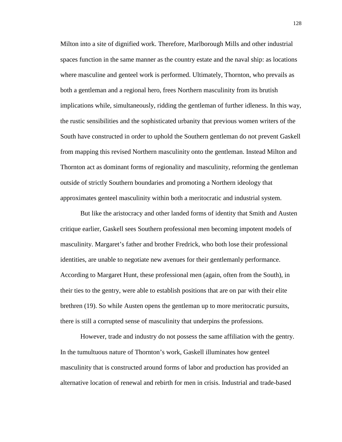Milton into a site of dignified work. Therefore, Marlborough Mills and other industrial spaces function in the same manner as the country estate and the naval ship: as locations where masculine and genteel work is performed. Ultimately, Thornton, who prevails as both a gentleman and a regional hero, frees Northern masculinity from its brutish implications while, simultaneously, ridding the gentleman of further idleness. In this way, the rustic sensibilities and the sophisticated urbanity that previous women writers of the South have constructed in order to uphold the Southern gentleman do not prevent Gaskell from mapping this revised Northern masculinity onto the gentleman. Instead Milton and Thornton act as dominant forms of regionality and masculinity, reforming the gentleman outside of strictly Southern boundaries and promoting a Northern ideology that approximates genteel masculinity within both a meritocratic and industrial system.

But like the aristocracy and other landed forms of identity that Smith and Austen critique earlier, Gaskell sees Southern professional men becoming impotent models of masculinity. Margaret's father and brother Fredrick, who both lose their professional identities, are unable to negotiate new avenues for their gentlemanly performance. According to Margaret Hunt, these professional men (again, often from the South), in their ties to the gentry, were able to establish positions that are on par with their elite brethren (19). So while Austen opens the gentleman up to more meritocratic pursuits, there is still a corrupted sense of masculinity that underpins the professions.

However, trade and industry do not possess the same affiliation with the gentry. In the tumultuous nature of Thornton's work, Gaskell illuminates how genteel masculinity that is constructed around forms of labor and production has provided an alternative location of renewal and rebirth for men in crisis. Industrial and trade-based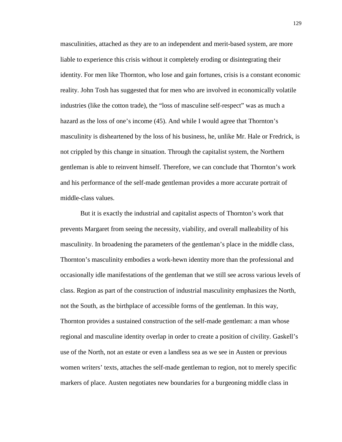masculinities, attached as they are to an independent and merit-based system, are more liable to experience this crisis without it completely eroding or disintegrating their identity. For men like Thornton, who lose and gain fortunes, crisis is a constant economic reality. John Tosh has suggested that for men who are involved in economically volatile industries (like the cotton trade), the "loss of masculine self-respect" was as much a hazard as the loss of one's income (45). And while I would agree that Thornton's masculinity is disheartened by the loss of his business, he, unlike Mr. Hale or Fredrick, is not crippled by this change in situation. Through the capitalist system, the Northern gentleman is able to reinvent himself. Therefore, we can conclude that Thornton's work and his performance of the self-made gentleman provides a more accurate portrait of middle-class values.

But it is exactly the industrial and capitalist aspects of Thornton's work that prevents Margaret from seeing the necessity, viability, and overall malleability of his masculinity. In broadening the parameters of the gentleman's place in the middle class, Thornton's masculinity embodies a work-hewn identity more than the professional and occasionally idle manifestations of the gentleman that we still see across various levels of class. Region as part of the construction of industrial masculinity emphasizes the North, not the South, as the birthplace of accessible forms of the gentleman. In this way, Thornton provides a sustained construction of the self-made gentleman: a man whose regional and masculine identity overlap in order to create a position of civility. Gaskell's use of the North, not an estate or even a landless sea as we see in Austen or previous women writers' texts, attaches the self-made gentleman to region, not to merely specific markers of place. Austen negotiates new boundaries for a burgeoning middle class in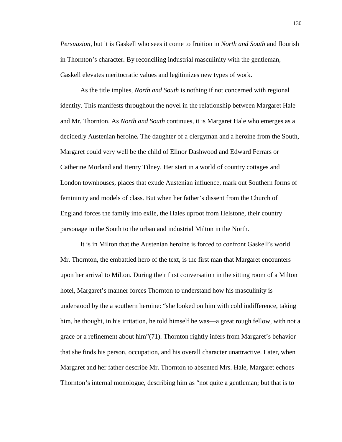*Persuasion*, but it is Gaskell who sees it come to fruition in *North and South* and flourish in Thornton's character**.** By reconciling industrial masculinity with the gentleman, Gaskell elevates meritocratic values and legitimizes new types of work.

As the title implies, *North and South* is nothing if not concerned with regional identity. This manifests throughout the novel in the relationship between Margaret Hale and Mr. Thornton. As *North and South* continues, it is Margaret Hale who emerges as a decidedly Austenian heroine**.** The daughter of a clergyman and a heroine from the South, Margaret could very well be the child of Elinor Dashwood and Edward Ferrars or Catherine Morland and Henry Tilney. Her start in a world of country cottages and London townhouses, places that exude Austenian influence, mark out Southern forms of femininity and models of class. But when her father's dissent from the Church of England forces the family into exile, the Hales uproot from Helstone, their country parsonage in the South to the urban and industrial Milton in the North.

It is in Milton that the Austenian heroine is forced to confront Gaskell's world. Mr. Thornton, the embattled hero of the text, is the first man that Margaret encounters upon her arrival to Milton. During their first conversation in the sitting room of a Milton hotel, Margaret's manner forces Thornton to understand how his masculinity is understood by the a southern heroine: "she looked on him with cold indifference, taking him, he thought, in his irritation, he told himself he was—a great rough fellow, with not a grace or a refinement about him"(71). Thornton rightly infers from Margaret's behavior that she finds his person, occupation, and his overall character unattractive. Later, when Margaret and her father describe Mr. Thornton to absented Mrs. Hale, Margaret echoes Thornton's internal monologue, describing him as "not quite a gentleman; but that is to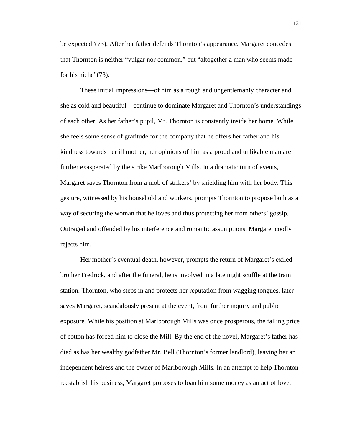be expected"(73). After her father defends Thornton's appearance, Margaret concedes that Thornton is neither "vulgar nor common," but "altogether a man who seems made for his niche" (73).

 These initial impressions—of him as a rough and ungentlemanly character and she as cold and beautiful—continue to dominate Margaret and Thornton's understandings of each other. As her father's pupil, Mr. Thornton is constantly inside her home. While she feels some sense of gratitude for the company that he offers her father and his kindness towards her ill mother, her opinions of him as a proud and unlikable man are further exasperated by the strike Marlborough Mills. In a dramatic turn of events, Margaret saves Thornton from a mob of strikers' by shielding him with her body. This gesture, witnessed by his household and workers, prompts Thornton to propose both as a way of securing the woman that he loves and thus protecting her from others' gossip. Outraged and offended by his interference and romantic assumptions, Margaret coolly rejects him.

Her mother's eventual death, however, prompts the return of Margaret's exiled brother Fredrick, and after the funeral, he is involved in a late night scuffle at the train station. Thornton, who steps in and protects her reputation from wagging tongues, later saves Margaret, scandalously present at the event, from further inquiry and public exposure. While his position at Marlborough Mills was once prosperous, the falling price of cotton has forced him to close the Mill. By the end of the novel, Margaret's father has died as has her wealthy godfather Mr. Bell (Thornton's former landlord), leaving her an independent heiress and the owner of Marlborough Mills. In an attempt to help Thornton reestablish his business, Margaret proposes to loan him some money as an act of love.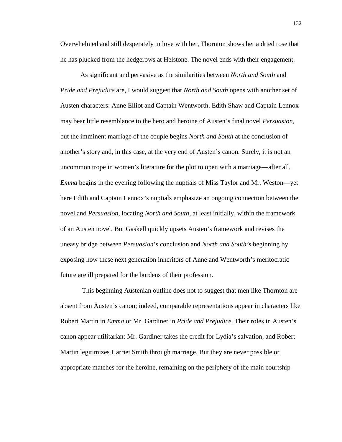Overwhelmed and still desperately in love with her, Thornton shows her a dried rose that he has plucked from the hedgerows at Helstone. The novel ends with their engagement.

As significant and pervasive as the similarities between *North and South* and *Pride and Prejudice* are, I would suggest that *North and South* opens with another set of Austen characters: Anne Elliot and Captain Wentworth. Edith Shaw and Captain Lennox may bear little resemblance to the hero and heroine of Austen's final novel *Persuasion*, but the imminent marriage of the couple begins *North and South* at the conclusion of another's story and, in this case, at the very end of Austen's canon. Surely, it is not an uncommon trope in women's literature for the plot to open with a marriage—after all, *Emma* begins in the evening following the nuptials of Miss Taylor and Mr. Weston—yet here Edith and Captain Lennox's nuptials emphasize an ongoing connection between the novel and *Persuasion*, locating *North and South*, at least initially, within the framework of an Austen novel. But Gaskell quickly upsets Austen's framework and revises the uneasy bridge between *Persuasion*'s conclusion and *North and South'*s beginning by exposing how these next generation inheritors of Anne and Wentworth's meritocratic future are ill prepared for the burdens of their profession.

 This beginning Austenian outline does not to suggest that men like Thornton are absent from Austen's canon; indeed, comparable representations appear in characters like Robert Martin in *Emma* or Mr. Gardiner in *Pride and Prejudice*. Their roles in Austen's canon appear utilitarian: Mr. Gardiner takes the credit for Lydia's salvation, and Robert Martin legitimizes Harriet Smith through marriage. But they are never possible or appropriate matches for the heroine, remaining on the periphery of the main courtship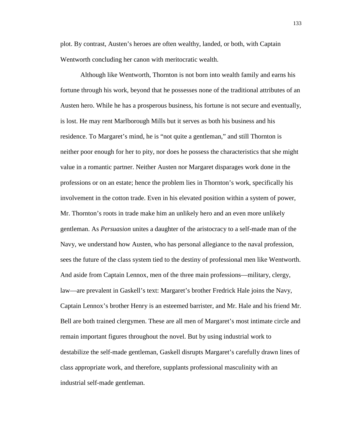plot. By contrast, Austen's heroes are often wealthy, landed, or both, with Captain Wentworth concluding her canon with meritocratic wealth.

Although like Wentworth, Thornton is not born into wealth family and earns his fortune through his work, beyond that he possesses none of the traditional attributes of an Austen hero. While he has a prosperous business, his fortune is not secure and eventually, is lost. He may rent Marlborough Mills but it serves as both his business and his residence. To Margaret's mind, he is "not quite a gentleman," and still Thornton is neither poor enough for her to pity, nor does he possess the characteristics that she might value in a romantic partner. Neither Austen nor Margaret disparages work done in the professions or on an estate; hence the problem lies in Thornton's work, specifically his involvement in the cotton trade. Even in his elevated position within a system of power, Mr. Thornton's roots in trade make him an unlikely hero and an even more unlikely gentleman. As *Persuasion* unites a daughter of the aristocracy to a self-made man of the Navy, we understand how Austen, who has personal allegiance to the naval profession, sees the future of the class system tied to the destiny of professional men like Wentworth. And aside from Captain Lennox, men of the three main professions—military, clergy, law—are prevalent in Gaskell's text: Margaret's brother Fredrick Hale joins the Navy, Captain Lennox's brother Henry is an esteemed barrister, and Mr. Hale and his friend Mr. Bell are both trained clergymen. These are all men of Margaret's most intimate circle and remain important figures throughout the novel. But by using industrial work to destabilize the self-made gentleman, Gaskell disrupts Margaret's carefully drawn lines of class appropriate work, and therefore, supplants professional masculinity with an industrial self-made gentleman.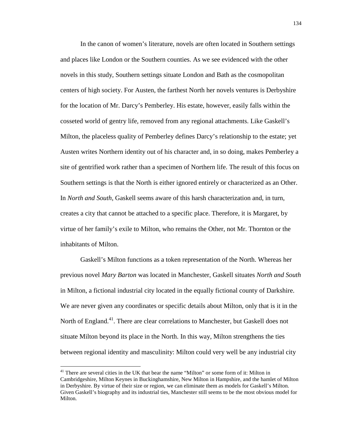In the canon of women's literature, novels are often located in Southern settings and places like London or the Southern counties. As we see evidenced with the other novels in this study, Southern settings situate London and Bath as the cosmopolitan centers of high society. For Austen, the farthest North her novels ventures is Derbyshire for the location of Mr. Darcy's Pemberley. His estate, however, easily falls within the cosseted world of gentry life, removed from any regional attachments. Like Gaskell's Milton, the placeless quality of Pemberley defines Darcy's relationship to the estate; yet Austen writes Northern identity out of his character and, in so doing, makes Pemberley a site of gentrified work rather than a specimen of Northern life. The result of this focus on Southern settings is that the North is either ignored entirely or characterized as an Other. In *North and South*, Gaskell seems aware of this harsh characterization and, in turn, creates a city that cannot be attached to a specific place. Therefore, it is Margaret, by virtue of her family's exile to Milton, who remains the Other, not Mr. Thornton or the inhabitants of Milton.

Gaskell's Milton functions as a token representation of the North. Whereas her previous novel *Mary Barton* was located in Manchester, Gaskell situates *North and South* in Milton, a fictional industrial city located in the equally fictional county of Darkshire. We are never given any coordinates or specific details about Milton, only that is it in the North of England.<sup>41</sup>. There are clear correlations to Manchester, but Gaskell does not situate Milton beyond its place in the North. In this way, Milton strengthens the ties between regional identity and masculinity: Milton could very well be any industrial city

 $\overline{a}$ 

<sup>&</sup>lt;sup>41</sup> There are several cities in the UK that bear the name "Milton" or some form of it: Milton in Cambridgeshire, Milton Keynes in Buckinghamshire, New Milton in Hampshire, and the hamlet of Milton in Derbyshire. By virtue of their size or region, we can eliminate them as models for Gaskell's Milton. Given Gaskell's biography and its industrial ties, Manchester still seems to be the most obvious model for Milton.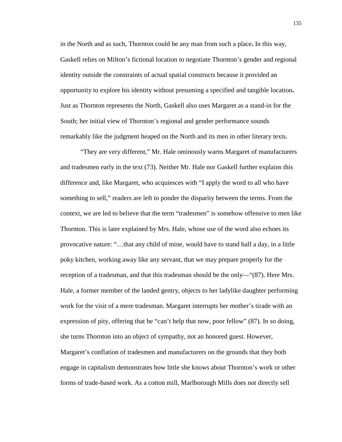in the North and as such, Thornton could be any man from such a place**.** In this way, Gaskell relies on Milton's fictional location to negotiate Thornton's gender and regional identity outside the constraints of actual spatial constructs because it provided an opportunity to explore his identity without presuming a specified and tangible location**.** Just as Thornton represents the North, Gaskell also uses Margaret as a stand-in for the South; her initial view of Thornton's regional and gender performance sounds remarkably like the judgment heaped on the North and its men in other literary texts.

"They are very different," Mr. Hale ominously warns Margaret of manufacturers and tradesmen early in the text (73). Neither Mr. Hale nor Gaskell further explains this difference and, like Margaret, who acquiesces with "I apply the word to all who have something to sell," readers are left to ponder the disparity between the terms. From the context, we are led to believe that the term "tradesmen" is somehow offensive to men like Thornton. This is later explained by Mrs. Hale, whose use of the word also echoes its provocative nature: "…that any child of mine, would have to stand half a day, in a little poky kitchen, working away like any servant, that we may prepare properly for the reception of a tradesman, and that this tradesman should be the only—"(87). Here Mrs. Hale, a former member of the landed gentry, objects to her ladylike daughter performing work for the visit of a mere tradesman. Margaret interrupts her mother's tirade with an expression of pity, offering that he "can't help that now, poor fellow" (87). In so doing, she turns Thornton into an object of sympathy, not an honored guest. However, Margaret's conflation of tradesmen and manufacturers on the grounds that they both engage in capitalism demonstrates how little she knows about Thornton's work or other forms of trade-based work. As a cotton mill, Marlborough Mills does not directly sell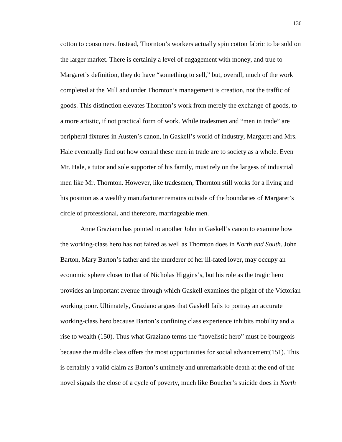cotton to consumers. Instead, Thornton's workers actually spin cotton fabric to be sold on the larger market. There is certainly a level of engagement with money, and true to Margaret's definition, they do have "something to sell," but, overall, much of the work completed at the Mill and under Thornton's management is creation, not the traffic of goods. This distinction elevates Thornton's work from merely the exchange of goods, to a more artistic, if not practical form of work. While tradesmen and "men in trade" are peripheral fixtures in Austen's canon, in Gaskell's world of industry, Margaret and Mrs. Hale eventually find out how central these men in trade are to society as a whole. Even Mr. Hale, a tutor and sole supporter of his family, must rely on the largess of industrial men like Mr. Thornton. However, like tradesmen, Thornton still works for a living and his position as a wealthy manufacturer remains outside of the boundaries of Margaret's circle of professional, and therefore, marriageable men.

Anne Graziano has pointed to another John in Gaskell's canon to examine how the working-class hero has not faired as well as Thornton does in *North and South*. John Barton, Mary Barton's father and the murderer of her ill-fated lover, may occupy an economic sphere closer to that of Nicholas Higgins's, but his role as the tragic hero provides an important avenue through which Gaskell examines the plight of the Victorian working poor. Ultimately, Graziano argues that Gaskell fails to portray an accurate working-class hero because Barton's confining class experience inhibits mobility and a rise to wealth (150). Thus what Graziano terms the "novelistic hero" must be bourgeois because the middle class offers the most opportunities for social advancement(151). This is certainly a valid claim as Barton's untimely and unremarkable death at the end of the novel signals the close of a cycle of poverty, much like Boucher's suicide does in *North*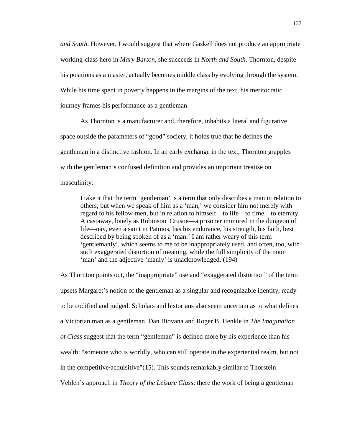*and South*. However, I would suggest that where Gaskell does not produce an appropriate working-class hero in *Mary Barton*, she succeeds in *North and South*. Thornton, despite his positions as a master, actually becomes middle class by evolving through the system. While his time spent in poverty happens in the margins of the text, his meritocratic journey frames his performance as a gentleman.

As Thornton is a manufacturer and, therefore, inhabits a literal and figurative space outside the parameters of "good" society, it holds true that he defines the gentleman in a distinctive fashion. In an early exchange in the text, Thornton grapples with the gentleman's confused definition and provides an important treatise on masculinity:

I take it that the term 'gentleman' is a term that only describes a man in relation to others; but when we speak of him as a 'man,' we consider him not merely with regard to his fellow-men, but in relation to himself—to life—to time—to eternity. A castaway, lonely as Robinson Crusoe—a prisoner immured in the dungeon of life—nay, even a saint in Patmos, has his endurance, his strength, his faith, best described by being spoken of as a 'man.' I am rather weary of this term 'gentlemanly', which seems to me to be inappropriately used, and often, too, with such exaggerated distortion of meaning, while the full simplicity of the noun 'man' and the adjective 'manly' is unacknowledged. (194)

As Thornton points out, the "inappropriate" use and "exaggerated distortion" of the term upsets Margaret's notion of the gentleman as a singular and recognizable identity, ready to be codified and judged. Scholars and historians also seem uncertain as to what defines a Victorian man as a gentleman. Dan Biovana and Roger B. Henkle in *The Imagination of Class* suggest that the term "gentleman" is defined more by his experience than his wealth: "someone who is worldly, who can still operate in the experiential realm, but not in the competitive/acquisitive"(15). This sounds remarkably similar to Thorstein Veblen's approach in *Theory of the Leisure Class*; there the work of being a gentleman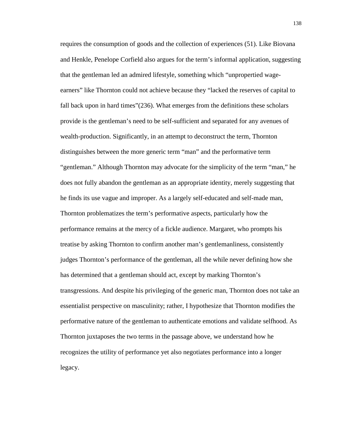requires the consumption of goods and the collection of experiences (51). Like Biovana and Henkle, Penelope Corfield also argues for the term's informal application, suggesting that the gentleman led an admired lifestyle, something which "unpropertied wageearners" like Thornton could not achieve because they "lacked the reserves of capital to fall back upon in hard times"(236). What emerges from the definitions these scholars provide is the gentleman's need to be self-sufficient and separated for any avenues of wealth-production. Significantly, in an attempt to deconstruct the term, Thornton distinguishes between the more generic term "man" and the performative term "gentleman." Although Thornton may advocate for the simplicity of the term "man," he does not fully abandon the gentleman as an appropriate identity, merely suggesting that he finds its use vague and improper. As a largely self-educated and self-made man, Thornton problematizes the term's performative aspects, particularly how the performance remains at the mercy of a fickle audience. Margaret, who prompts his treatise by asking Thornton to confirm another man's gentlemanliness, consistently judges Thornton's performance of the gentleman, all the while never defining how she has determined that a gentleman should act, except by marking Thornton's transgressions. And despite his privileging of the generic man, Thornton does not take an essentialist perspective on masculinity; rather, I hypothesize that Thornton modifies the performative nature of the gentleman to authenticate emotions and validate selfhood. As Thornton juxtaposes the two terms in the passage above, we understand how he recognizes the utility of performance yet also negotiates performance into a longer legacy.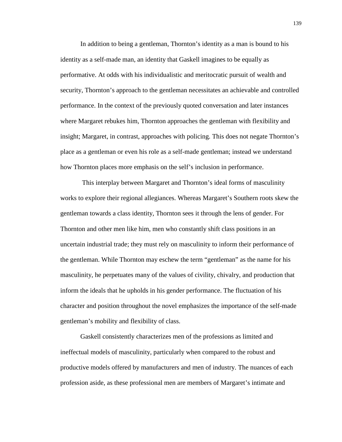In addition to being a gentleman, Thornton's identity as a man is bound to his identity as a self-made man, an identity that Gaskell imagines to be equally as performative. At odds with his individualistic and meritocratic pursuit of wealth and security, Thornton's approach to the gentleman necessitates an achievable and controlled performance. In the context of the previously quoted conversation and later instances where Margaret rebukes him, Thornton approaches the gentleman with flexibility and insight; Margaret, in contrast, approaches with policing. This does not negate Thornton's place as a gentleman or even his role as a self-made gentleman; instead we understand how Thornton places more emphasis on the self's inclusion in performance.

 This interplay between Margaret and Thornton's ideal forms of masculinity works to explore their regional allegiances. Whereas Margaret's Southern roots skew the gentleman towards a class identity, Thornton sees it through the lens of gender. For Thornton and other men like him, men who constantly shift class positions in an uncertain industrial trade; they must rely on masculinity to inform their performance of the gentleman. While Thornton may eschew the term "gentleman" as the name for his masculinity, he perpetuates many of the values of civility, chivalry, and production that inform the ideals that he upholds in his gender performance. The fluctuation of his character and position throughout the novel emphasizes the importance of the self-made gentleman's mobility and flexibility of class.

Gaskell consistently characterizes men of the professions as limited and ineffectual models of masculinity, particularly when compared to the robust and productive models offered by manufacturers and men of industry. The nuances of each profession aside, as these professional men are members of Margaret's intimate and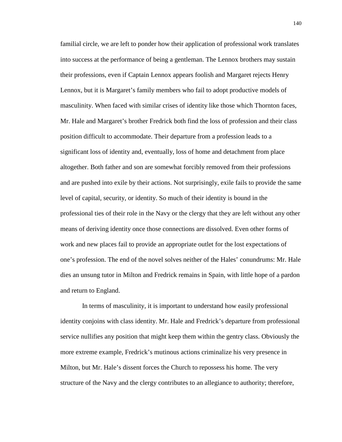familial circle, we are left to ponder how their application of professional work translates into success at the performance of being a gentleman. The Lennox brothers may sustain their professions, even if Captain Lennox appears foolish and Margaret rejects Henry Lennox, but it is Margaret's family members who fail to adopt productive models of masculinity. When faced with similar crises of identity like those which Thornton faces, Mr. Hale and Margaret's brother Fredrick both find the loss of profession and their class position difficult to accommodate. Their departure from a profession leads to a significant loss of identity and, eventually, loss of home and detachment from place altogether. Both father and son are somewhat forcibly removed from their professions and are pushed into exile by their actions. Not surprisingly, exile fails to provide the same level of capital, security, or identity. So much of their identity is bound in the professional ties of their role in the Navy or the clergy that they are left without any other means of deriving identity once those connections are dissolved. Even other forms of work and new places fail to provide an appropriate outlet for the lost expectations of one's profession. The end of the novel solves neither of the Hales' conundrums: Mr. Hale dies an unsung tutor in Milton and Fredrick remains in Spain, with little hope of a pardon and return to England.

 In terms of masculinity, it is important to understand how easily professional identity conjoins with class identity. Mr. Hale and Fredrick's departure from professional service nullifies any position that might keep them within the gentry class. Obviously the more extreme example, Fredrick's mutinous actions criminalize his very presence in Milton, but Mr. Hale's dissent forces the Church to repossess his home. The very structure of the Navy and the clergy contributes to an allegiance to authority; therefore,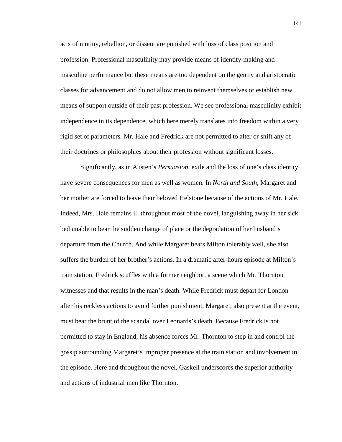acts of mutiny, rebellion, or dissent are punished with loss of class position and profession. Professional masculinity may provide means of identity-making and masculine performance but these means are too dependent on the gentry and aristocratic classes for advancement and do not allow men to reinvent themselves or establish new means of support outside of their past profession. We see professional masculinity exhibit independence in its dependence, which here merely translates into freedom within a very rigid set of parameters. Mr. Hale and Fredrick are not permitted to alter or shift any of their doctrines or philosophies about their profession without significant losses.

Significantly, as in Austen's *Persuasion*, exile and the loss of one's class identity have severe consequences for men as well as women. In *North and South*, Margaret and her mother are forced to leave their beloved Helstone because of the actions of Mr. Hale. Indeed, Mrs. Hale remains ill throughout most of the novel, languishing away in her sick bed unable to bear the sudden change of place or the degradation of her husband's departure from the Church. And while Margaret bears Milton tolerably well, she also suffers the burden of her brother's actions. In a dramatic after-hours episode at Milton's train station, Fredrick scuffles with a former neighbor, a scene which Mr. Thornton witnesses and that results in the man's death. While Fredrick must depart for London after his reckless actions to avoid further punishment, Margaret, also present at the event, must bear the brunt of the scandal over Leonards's death. Because Fredrick is not permitted to stay in England, his absence forces Mr. Thornton to step in and control the gossip surrounding Margaret's improper presence at the train station and involvement in the episode. Here and throughout the novel, Gaskell underscores the superior authority and actions of industrial men like Thornton.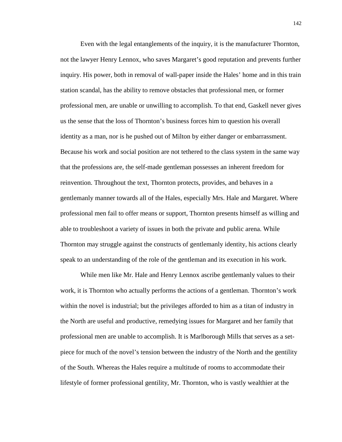Even with the legal entanglements of the inquiry, it is the manufacturer Thornton, not the lawyer Henry Lennox, who saves Margaret's good reputation and prevents further inquiry. His power, both in removal of wall-paper inside the Hales' home and in this train station scandal, has the ability to remove obstacles that professional men, or former professional men, are unable or unwilling to accomplish. To that end, Gaskell never gives us the sense that the loss of Thornton's business forces him to question his overall identity as a man, nor is he pushed out of Milton by either danger or embarrassment. Because his work and social position are not tethered to the class system in the same way that the professions are, the self-made gentleman possesses an inherent freedom for reinvention. Throughout the text, Thornton protects, provides, and behaves in a gentlemanly manner towards all of the Hales, especially Mrs. Hale and Margaret. Where professional men fail to offer means or support, Thornton presents himself as willing and able to troubleshoot a variety of issues in both the private and public arena. While Thornton may struggle against the constructs of gentlemanly identity, his actions clearly speak to an understanding of the role of the gentleman and its execution in his work.

While men like Mr. Hale and Henry Lennox ascribe gentlemanly values to their work, it is Thornton who actually performs the actions of a gentleman. Thornton's work within the novel is industrial; but the privileges afforded to him as a titan of industry in the North are useful and productive, remedying issues for Margaret and her family that professional men are unable to accomplish. It is Marlborough Mills that serves as a setpiece for much of the novel's tension between the industry of the North and the gentility of the South. Whereas the Hales require a multitude of rooms to accommodate their lifestyle of former professional gentility, Mr. Thornton, who is vastly wealthier at the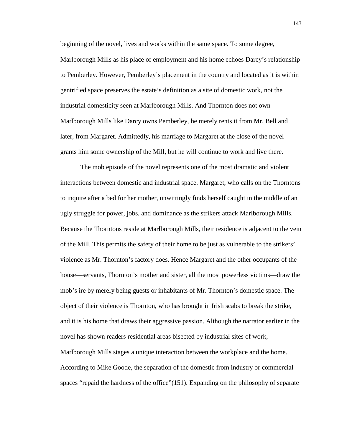beginning of the novel, lives and works within the same space. To some degree,

Marlborough Mills as his place of employment and his home echoes Darcy's relationship to Pemberley. However, Pemberley's placement in the country and located as it is within gentrified space preserves the estate's definition as a site of domestic work, not the industrial domesticity seen at Marlborough Mills. And Thornton does not own Marlborough Mills like Darcy owns Pemberley, he merely rents it from Mr. Bell and later, from Margaret. Admittedly, his marriage to Margaret at the close of the novel grants him some ownership of the Mill, but he will continue to work and live there.

The mob episode of the novel represents one of the most dramatic and violent interactions between domestic and industrial space. Margaret, who calls on the Thorntons to inquire after a bed for her mother, unwittingly finds herself caught in the middle of an ugly struggle for power, jobs, and dominance as the strikers attack Marlborough Mills. Because the Thorntons reside at Marlborough Mills, their residence is adjacent to the vein of the Mill. This permits the safety of their home to be just as vulnerable to the strikers' violence as Mr. Thornton's factory does. Hence Margaret and the other occupants of the house—servants, Thornton's mother and sister, all the most powerless victims—draw the mob's ire by merely being guests or inhabitants of Mr. Thornton's domestic space. The object of their violence is Thornton, who has brought in Irish scabs to break the strike, and it is his home that draws their aggressive passion. Although the narrator earlier in the novel has shown readers residential areas bisected by industrial sites of work, Marlborough Mills stages a unique interaction between the workplace and the home. According to Mike Goode, the separation of the domestic from industry or commercial spaces "repaid the hardness of the office"(151). Expanding on the philosophy of separate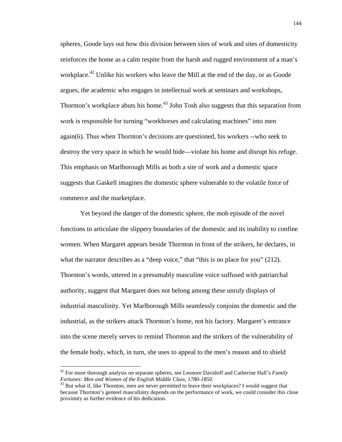spheres, Goode lays out how this division between sites of work and sites of domesticity reinforces the home as a calm respite from the harsh and rugged environment of a man's workplace.<sup>42</sup> Unlike his workers who leave the Mill at the end of the day, or as Goode argues, the academic who engages in intellectual work at seminars and workshops, Thornton's workplace abuts his home.<sup>43</sup> John Tosh also suggests that this separation from work is responsible for turning "workhorses and calculating machines" into men again(6). Thus when Thornton's decisions are questioned, his workers --who seek to destroy the very space in which he would hide—violate his home and disrupt his refuge. This emphasis on Marlborough Mills as both a site of work and a domestic space suggests that Gaskell imagines the domestic sphere vulnerable to the volatile force of commerce and the marketplace.

Yet beyond the danger of the domestic sphere, the mob episode of the novel functions to articulate the slippery boundaries of the domestic and its inability to confine women. When Margaret appears beside Thornton in front of the strikers, he declares, in what the narrator describes as a "deep voice," that "this is no place for you" (212). Thornton's words, uttered in a presumably masculine voice suffused with patriarchal authority, suggest that Margaret does not belong among these unruly displays of industrial masculinity. Yet Marlborough Mills seamlessly conjoins the domestic and the industrial, as the strikers attack Thornton's home, not his factory. Margaret's entrance into the scene merely serves to remind Thornton and the strikers of the vulnerability of the female body, which, in turn, she uses to appeal to the men's reason and to shield

<sup>42</sup> For more thorough analysis on separate spheres, see Leonore Davidoff and Catherine Hall's *Family Fortunes: Men and Women of the English Middle Class, 1780-1850.* 

 $43$  But what if, like Thornton, men are never permitted to leave their workplaces? I would suggest that because Thornton's genteel masculinity depends on the performance of work, we could consider this close proximity as further evidence of his dedication.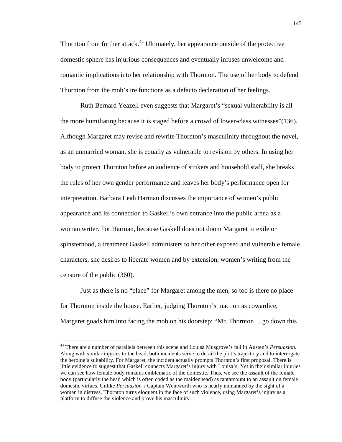Thornton from further attack.<sup>44</sup> Ultimately, her appearance outside of the protective domestic sphere has injurious consequences and eventually infuses unwelcome and romantic implications into her relationship with Thornton. The use of her body to defend Thornton from the mob's ire functions as a defacto declaration of her feelings.

Ruth Bernard Yeazell even suggests that Margaret's "sexual vulnerability is all the more humiliating because it is staged before a crowd of lower-class witnesses"(136). Although Margaret may revise and rewrite Thornton's masculinity throughout the novel, as an unmarried woman, she is equally as vulnerable to revision by others. In using her body to protect Thornton before an audience of strikers and household staff, she breaks the rules of her own gender performance and leaves her body's performance open for interpretation. Barbara Leah Harman discusses the importance of women's public appearance and its connection to Gaskell's own entrance into the public arena as a woman writer. For Harman, because Gaskell does not doom Margaret to exile or spinsterhood, a treatment Gaskell administers to her other exposed and vulnerable female characters, she desires to liberate women and by extension, women's writing from the censure of the public (360).

Just as there is no "place" for Margaret among the men, so too is there no place for Thornton inside the house. Earlier, judging Thornton's inaction as cowardice, Margaret goads him into facing the mob on his doorstep: "Mr. Thornton….go down this

<sup>44</sup> There are a number of parallels between this scene and Louisa Musgrove's fall in Austen's *Persuasion*. Along with similar injuries to the head, both incidents serve to derail the plot's trajectory and to interrogate the heroine's suitability. For Margaret, the incident actually prompts Thornton's first proposal. There is little evidence to suggest that Gaskell connects Margaret's injury with Louisa's. Yet in their similar injuries we can see how female body remains emblematic of the domestic. Thus, we see the assault of the female body (particularly the head which is often coded as the maidenhead) as tantamount to an assault on female domestic virtues. Unlike *Persuasion's* Captain Wentworth who is nearly unmanned by the sight of a woman in distress, Thornton turns eloquent in the face of such violence, using Margaret's injury as a platform to diffuse the violence and prove his masculinity.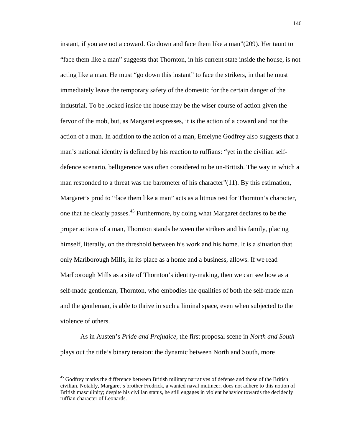instant, if you are not a coward. Go down and face them like a man"(209). Her taunt to "face them like a man" suggests that Thornton, in his current state inside the house, is not acting like a man. He must "go down this instant" to face the strikers, in that he must immediately leave the temporary safety of the domestic for the certain danger of the industrial. To be locked inside the house may be the wiser course of action given the fervor of the mob, but, as Margaret expresses, it is the action of a coward and not the action of a man. In addition to the action of a man, Emelyne Godfrey also suggests that a man's national identity is defined by his reaction to ruffians: "yet in the civilian selfdefence scenario, belligerence was often considered to be un-British. The way in which a man responded to a threat was the barometer of his character"(11). By this estimation, Margaret's prod to "face them like a man" acts as a litmus test for Thornton's character, one that he clearly passes.<sup>45</sup> Furthermore, by doing what Margaret declares to be the proper actions of a man, Thornton stands between the strikers and his family, placing himself, literally, on the threshold between his work and his home. It is a situation that only Marlborough Mills, in its place as a home and a business, allows. If we read Marlborough Mills as a site of Thornton's identity-making, then we can see how as a self-made gentleman, Thornton, who embodies the qualities of both the self-made man and the gentleman, is able to thrive in such a liminal space, even when subjected to the violence of others.

As in Austen's *Pride and Prejudice,* the first proposal scene in *North and South* plays out the title's binary tension: the dynamic between North and South, more

<sup>&</sup>lt;sup>45</sup> Godfrey marks the difference between British military narratives of defense and those of the British civilian. Notably, Margaret's brother Fredrick, a wanted naval mutineer, does not adhere to this notion of British masculinity; despite his civilian status, he still engages in violent behavior towards the decidedly ruffian character of Leonards.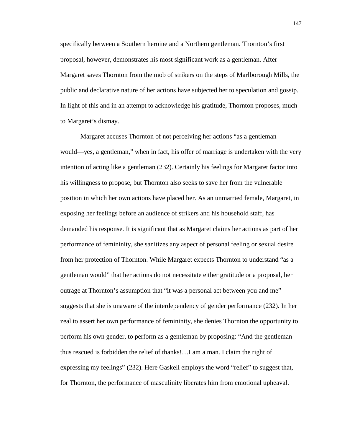specifically between a Southern heroine and a Northern gentleman. Thornton's first proposal, however, demonstrates his most significant work as a gentleman. After Margaret saves Thornton from the mob of strikers on the steps of Marlborough Mills, the public and declarative nature of her actions have subjected her to speculation and gossip. In light of this and in an attempt to acknowledge his gratitude, Thornton proposes, much to Margaret's dismay.

 Margaret accuses Thornton of not perceiving her actions "as a gentleman would—yes, a gentleman," when in fact, his offer of marriage is undertaken with the very intention of acting like a gentleman (232). Certainly his feelings for Margaret factor into his willingness to propose, but Thornton also seeks to save her from the vulnerable position in which her own actions have placed her. As an unmarried female, Margaret, in exposing her feelings before an audience of strikers and his household staff, has demanded his response. It is significant that as Margaret claims her actions as part of her performance of femininity, she sanitizes any aspect of personal feeling or sexual desire from her protection of Thornton. While Margaret expects Thornton to understand "as a gentleman would" that her actions do not necessitate either gratitude or a proposal, her outrage at Thornton's assumption that "it was a personal act between you and me" suggests that she is unaware of the interdependency of gender performance (232). In her zeal to assert her own performance of femininity, she denies Thornton the opportunity to perform his own gender, to perform as a gentleman by proposing: "And the gentleman thus rescued is forbidden the relief of thanks!…I am a man. I claim the right of expressing my feelings" (232). Here Gaskell employs the word "relief" to suggest that, for Thornton, the performance of masculinity liberates him from emotional upheaval.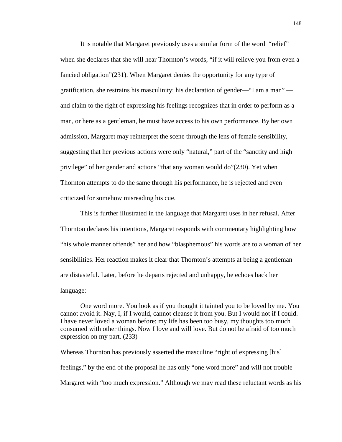It is notable that Margaret previously uses a similar form of the word "relief" when she declares that she will hear Thornton's words, "if it will relieve you from even a fancied obligation"(231). When Margaret denies the opportunity for any type of gratification, she restrains his masculinity; his declaration of gender—"I am a man" and claim to the right of expressing his feelings recognizes that in order to perform as a man, or here as a gentleman, he must have access to his own performance. By her own admission, Margaret may reinterpret the scene through the lens of female sensibility, suggesting that her previous actions were only "natural," part of the "sanctity and high privilege" of her gender and actions "that any woman would do"(230). Yet when Thornton attempts to do the same through his performance, he is rejected and even criticized for somehow misreading his cue.

This is further illustrated in the language that Margaret uses in her refusal. After Thornton declares his intentions, Margaret responds with commentary highlighting how "his whole manner offends" her and how "blasphemous" his words are to a woman of her sensibilities. Her reaction makes it clear that Thornton's attempts at being a gentleman are distasteful. Later, before he departs rejected and unhappy, he echoes back her language:

One word more. You look as if you thought it tainted you to be loved by me. You cannot avoid it. Nay, I, if I would, cannot cleanse it from you. But I would not if I could. I have never loved a woman before: my life has been too busy, my thoughts too much consumed with other things. Now I love and will love. But do not be afraid of too much expression on my part. (233)

Whereas Thornton has previously asserted the masculine "right of expressing [his] feelings," by the end of the proposal he has only "one word more" and will not trouble Margaret with "too much expression." Although we may read these reluctant words as his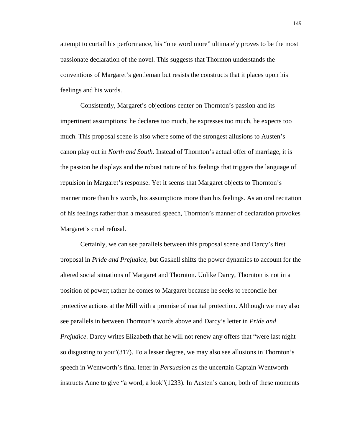attempt to curtail his performance, his "one word more" ultimately proves to be the most passionate declaration of the novel. This suggests that Thornton understands the conventions of Margaret's gentleman but resists the constructs that it places upon his feelings and his words.

Consistently, Margaret's objections center on Thornton's passion and its impertinent assumptions: he declares too much, he expresses too much, he expects too much. This proposal scene is also where some of the strongest allusions to Austen's canon play out in *North and South*. Instead of Thornton's actual offer of marriage, it is the passion he displays and the robust nature of his feelings that triggers the language of repulsion in Margaret's response. Yet it seems that Margaret objects to Thornton's manner more than his words, his assumptions more than his feelings. As an oral recitation of his feelings rather than a measured speech, Thornton's manner of declaration provokes Margaret's cruel refusal.

Certainly, we can see parallels between this proposal scene and Darcy's first proposal in *Pride and Prejudice*, but Gaskell shifts the power dynamics to account for the altered social situations of Margaret and Thornton. Unlike Darcy, Thornton is not in a position of power; rather he comes to Margaret because he seeks to reconcile her protective actions at the Mill with a promise of marital protection. Although we may also see parallels in between Thornton's words above and Darcy's letter in *Pride and Prejudice*. Darcy writes Elizabeth that he will not renew any offers that "were last night so disgusting to you"(317). To a lesser degree, we may also see allusions in Thornton's speech in Wentworth's final letter in *Persuasion* as the uncertain Captain Wentworth instructs Anne to give "a word, a look"(1233). In Austen's canon, both of these moments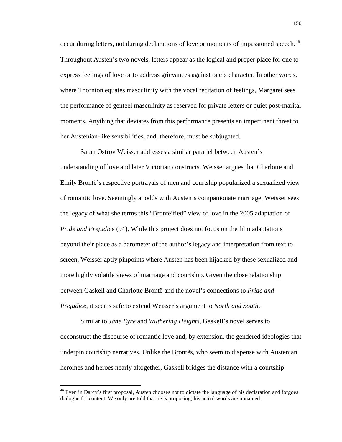occur during letters, not during declarations of love or moments of impassioned speech.<sup>46</sup> Throughout Austen's two novels, letters appear as the logical and proper place for one to express feelings of love or to address grievances against one's character. In other words, where Thornton equates masculinity with the vocal recitation of feelings, Margaret sees the performance of genteel masculinity as reserved for private letters or quiet post-marital moments. Anything that deviates from this performance presents an impertinent threat to her Austenian-like sensibilities, and, therefore, must be subjugated.

Sarah Ostrov Weisser addresses a similar parallel between Austen's understanding of love and later Victorian constructs. Weisser argues that Charlotte and Emily Brontë's respective portrayals of men and courtship popularized a sexualized view of romantic love. Seemingly at odds with Austen's companionate marriage, Weisser sees the legacy of what she terms this "Brontëified" view of love in the 2005 adaptation of *Pride and Prejudice* (94). While this project does not focus on the film adaptations beyond their place as a barometer of the author's legacy and interpretation from text to screen, Weisser aptly pinpoints where Austen has been hijacked by these sexualized and more highly volatile views of marriage and courtship. Given the close relationship between Gaskell and Charlotte Brontë and the novel's connections to *Pride and Prejudice*, it seems safe to extend Weisser's argument to *North and South*.

Similar to *Jane Eyre* and *Wuthering Heights*, Gaskell's novel serves to deconstruct the discourse of romantic love and, by extension, the gendered ideologies that underpin courtship narratives. Unlike the Brontës, who seem to dispense with Austenian heroines and heroes nearly altogether, Gaskell bridges the distance with a courtship

<sup>&</sup>lt;sup>46</sup> Even in Darcy's first proposal, Austen chooses not to dictate the language of his declaration and forgoes dialogue for content. We only are told that he is proposing; his actual words are unnamed.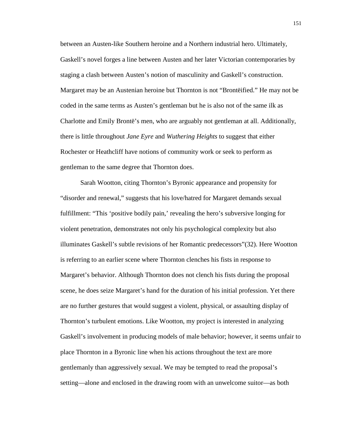between an Austen-like Southern heroine and a Northern industrial hero. Ultimately, Gaskell's novel forges a line between Austen and her later Victorian contemporaries by staging a clash between Austen's notion of masculinity and Gaskell's construction. Margaret may be an Austenian heroine but Thornton is not "Brontëified." He may not be coded in the same terms as Austen's gentleman but he is also not of the same ilk as Charlotte and Emily Brontë's men, who are arguably not gentleman at all. Additionally, there is little throughout *Jane Eyre* and *Wuthering Heights* to suggest that either Rochester or Heathcliff have notions of community work or seek to perform as gentleman to the same degree that Thornton does.

Sarah Wootton, citing Thornton's Byronic appearance and propensity for "disorder and renewal," suggests that his love/hatred for Margaret demands sexual fulfillment: "This 'positive bodily pain,' revealing the hero's subversive longing for violent penetration, demonstrates not only his psychological complexity but also illuminates Gaskell's subtle revisions of her Romantic predecessors"(32). Here Wootton is referring to an earlier scene where Thornton clenches his fists in response to Margaret's behavior. Although Thornton does not clench his fists during the proposal scene, he does seize Margaret's hand for the duration of his initial profession. Yet there are no further gestures that would suggest a violent, physical, or assaulting display of Thornton's turbulent emotions. Like Wootton, my project is interested in analyzing Gaskell's involvement in producing models of male behavior; however, it seems unfair to place Thornton in a Byronic line when his actions throughout the text are more gentlemanly than aggressively sexual. We may be tempted to read the proposal's setting—alone and enclosed in the drawing room with an unwelcome suitor—as both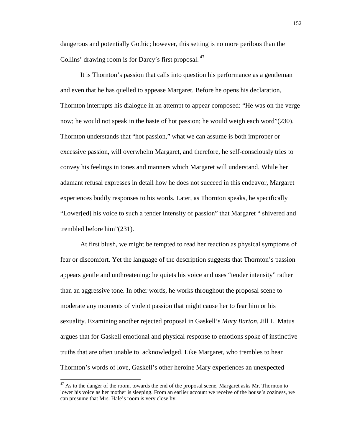dangerous and potentially Gothic; however, this setting is no more perilous than the Collins' drawing room is for Darcy's first proposal.<sup>47</sup>

It is Thornton's passion that calls into question his performance as a gentleman and even that he has quelled to appease Margaret. Before he opens his declaration, Thornton interrupts his dialogue in an attempt to appear composed: "He was on the verge now; he would not speak in the haste of hot passion; he would weigh each word"(230). Thornton understands that "hot passion," what we can assume is both improper or excessive passion, will overwhelm Margaret, and therefore, he self-consciously tries to convey his feelings in tones and manners which Margaret will understand. While her adamant refusal expresses in detail how he does not succeed in this endeavor, Margaret experiences bodily responses to his words. Later, as Thornton speaks, he specifically "Lower[ed] his voice to such a tender intensity of passion" that Margaret " shivered and trembled before him"(231).

At first blush, we might be tempted to read her reaction as physical symptoms of fear or discomfort. Yet the language of the description suggests that Thornton's passion appears gentle and unthreatening: he quiets his voice and uses "tender intensity" rather than an aggressive tone. In other words, he works throughout the proposal scene to moderate any moments of violent passion that might cause her to fear him or his sexuality. Examining another rejected proposal in Gaskell's *Mary Barton*, Jill L. Matus argues that for Gaskell emotional and physical response to emotions spoke of instinctive truths that are often unable to acknowledged. Like Margaret, who trembles to hear Thornton's words of love, Gaskell's other heroine Mary experiences an unexpected

<u>.</u>

 $47$  As to the danger of the room, towards the end of the proposal scene, Margaret asks Mr. Thornton to lower his voice as her mother is sleeping. From an earlier account we receive of the house's coziness, we can presume that Mrs. Hale's room is very close by.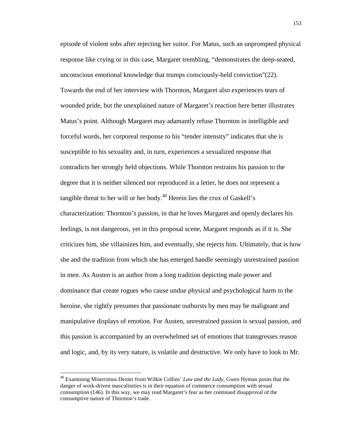episode of violent sobs after rejecting her suitor. For Matus, such an unprompted physical response like crying or in this case, Margaret trembling, "demonstrates the deep-seated, unconscious emotional knowledge that trumps consciously-held conviction"(22). Towards the end of her interview with Thornton, Margaret also experiences tears of wounded pride, but the unexplained nature of Margaret's reaction here better illustrates Matus's point. Although Margaret may adamantly refuse Thornton in intelligible and forceful words, her corporeal response to his "tender intensity" indicates that she is susceptible to his sexuality and, in turn, experiences a sexualized response that contradicts her strongly held objections. While Thornton restrains his passion to the degree that it is neither silenced nor reproduced in a letter, he does not represent a tangible threat to her will or her body. $48$  Herein lies the crux of Gaskell's characterization: Thornton's passion, in that he loves Margaret and openly declares his feelings, is not dangerous, yet in this proposal scene, Margaret responds as if it is. She criticizes him, she villainizes him, and eventually, she rejects him. Ultimately, that is how she and the tradition from which she has emerged handle seemingly unrestrained passion in men. As Austen is an author from a long tradition depicting male power and dominance that create rogues who cause undue physical and psychological harm to the heroine, she rightly presumes that passionate outbursts by men may be malignant and manipulative displays of emotion. For Austen, unrestrained passion is sexual passion, and this passion is accompanied by an overwhelmed set of emotions that transgresses reason and logic, and, by its very nature, is volatile and destructive. We only have to look to Mr.

<sup>48</sup> Examining Miserrimus Dexter from Wilkie Collins' *Law and the Lady*, Gwen Hyman posits that the danger of work-driven masculinities is in their equation of commerce consumption with sexual consumption (146). In this way, we may read Margaret's fear as her continued disapproval of the consumptive nature of Thornton's trade.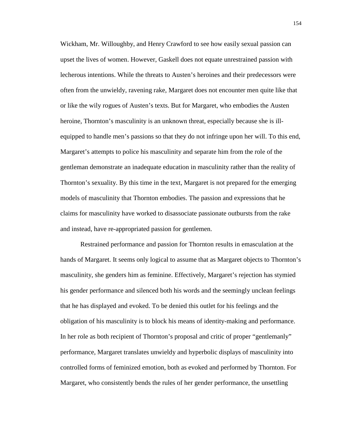Wickham, Mr. Willoughby, and Henry Crawford to see how easily sexual passion can upset the lives of women. However, Gaskell does not equate unrestrained passion with lecherous intentions. While the threats to Austen's heroines and their predecessors were often from the unwieldy, ravening rake, Margaret does not encounter men quite like that or like the wily rogues of Austen's texts. But for Margaret, who embodies the Austen heroine, Thornton's masculinity is an unknown threat, especially because she is illequipped to handle men's passions so that they do not infringe upon her will. To this end, Margaret's attempts to police his masculinity and separate him from the role of the gentleman demonstrate an inadequate education in masculinity rather than the reality of Thornton's sexuality. By this time in the text, Margaret is not prepared for the emerging models of masculinity that Thornton embodies. The passion and expressions that he claims for masculinity have worked to disassociate passionate outbursts from the rake and instead, have re-appropriated passion for gentlemen.

Restrained performance and passion for Thornton results in emasculation at the hands of Margaret. It seems only logical to assume that as Margaret objects to Thornton's masculinity, she genders him as feminine. Effectively, Margaret's rejection has stymied his gender performance and silenced both his words and the seemingly unclean feelings that he has displayed and evoked. To be denied this outlet for his feelings and the obligation of his masculinity is to block his means of identity-making and performance. In her role as both recipient of Thornton's proposal and critic of proper "gentlemanly" performance, Margaret translates unwieldy and hyperbolic displays of masculinity into controlled forms of feminized emotion, both as evoked and performed by Thornton. For Margaret, who consistently bends the rules of her gender performance, the unsettling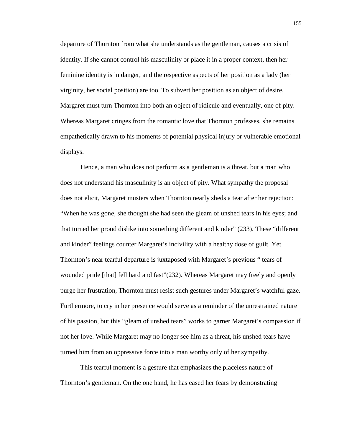departure of Thornton from what she understands as the gentleman, causes a crisis of identity. If she cannot control his masculinity or place it in a proper context, then her feminine identity is in danger, and the respective aspects of her position as a lady (her virginity, her social position) are too. To subvert her position as an object of desire, Margaret must turn Thornton into both an object of ridicule and eventually, one of pity. Whereas Margaret cringes from the romantic love that Thornton professes, she remains empathetically drawn to his moments of potential physical injury or vulnerable emotional displays.

Hence, a man who does not perform as a gentleman is a threat, but a man who does not understand his masculinity is an object of pity. What sympathy the proposal does not elicit, Margaret musters when Thornton nearly sheds a tear after her rejection: "When he was gone, she thought she had seen the gleam of unshed tears in his eyes; and that turned her proud dislike into something different and kinder" (233). These "different and kinder" feelings counter Margaret's incivility with a healthy dose of guilt. Yet Thornton's near tearful departure is juxtaposed with Margaret's previous " tears of wounded pride [that] fell hard and fast"(232). Whereas Margaret may freely and openly purge her frustration, Thornton must resist such gestures under Margaret's watchful gaze. Furthermore, to cry in her presence would serve as a reminder of the unrestrained nature of his passion, but this "gleam of unshed tears" works to garner Margaret's compassion if not her love. While Margaret may no longer see him as a threat, his unshed tears have turned him from an oppressive force into a man worthy only of her sympathy.

This tearful moment is a gesture that emphasizes the placeless nature of Thornton's gentleman. On the one hand, he has eased her fears by demonstrating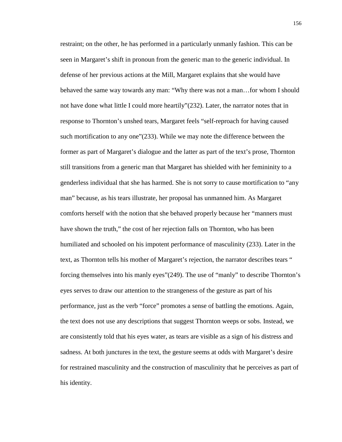restraint; on the other, he has performed in a particularly unmanly fashion. This can be seen in Margaret's shift in pronoun from the generic man to the generic individual. In defense of her previous actions at the Mill, Margaret explains that she would have behaved the same way towards any man: "Why there was not a man…for whom I should not have done what little I could more heartily"(232). Later, the narrator notes that in response to Thornton's unshed tears, Margaret feels "self-reproach for having caused such mortification to any one"(233). While we may note the difference between the former as part of Margaret's dialogue and the latter as part of the text's prose, Thornton still transitions from a generic man that Margaret has shielded with her femininity to a genderless individual that she has harmed. She is not sorry to cause mortification to "any man" because, as his tears illustrate, her proposal has unmanned him. As Margaret comforts herself with the notion that she behaved properly because her "manners must have shown the truth," the cost of her rejection falls on Thornton, who has been humiliated and schooled on his impotent performance of masculinity (233). Later in the text, as Thornton tells his mother of Margaret's rejection, the narrator describes tears " forcing themselves into his manly eyes"(249). The use of "manly" to describe Thornton's eyes serves to draw our attention to the strangeness of the gesture as part of his performance, just as the verb "force" promotes a sense of battling the emotions. Again, the text does not use any descriptions that suggest Thornton weeps or sobs. Instead, we are consistently told that his eyes water, as tears are visible as a sign of his distress and sadness. At both junctures in the text, the gesture seems at odds with Margaret's desire for restrained masculinity and the construction of masculinity that he perceives as part of his identity.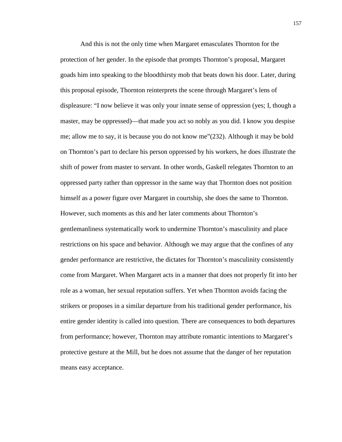And this is not the only time when Margaret emasculates Thornton for the protection of her gender. In the episode that prompts Thornton's proposal, Margaret goads him into speaking to the bloodthirsty mob that beats down his door. Later, during this proposal episode, Thornton reinterprets the scene through Margaret's lens of displeasure: "I now believe it was only your innate sense of oppression (yes; I, though a master, may be oppressed)—that made you act so nobly as you did. I know you despise me; allow me to say, it is because you do not know me"(232). Although it may be bold on Thornton's part to declare his person oppressed by his workers, he does illustrate the shift of power from master to servant. In other words, Gaskell relegates Thornton to an oppressed party rather than oppressor in the same way that Thornton does not position himself as a power figure over Margaret in courtship, she does the same to Thornton. However, such moments as this and her later comments about Thornton's gentlemanliness systematically work to undermine Thornton's masculinity and place restrictions on his space and behavior. Although we may argue that the confines of any gender performance are restrictive, the dictates for Thornton's masculinity consistently come from Margaret. When Margaret acts in a manner that does not properly fit into her role as a woman, her sexual reputation suffers. Yet when Thornton avoids facing the strikers or proposes in a similar departure from his traditional gender performance, his entire gender identity is called into question. There are consequences to both departures from performance; however, Thornton may attribute romantic intentions to Margaret's protective gesture at the Mill, but he does not assume that the danger of her reputation means easy acceptance.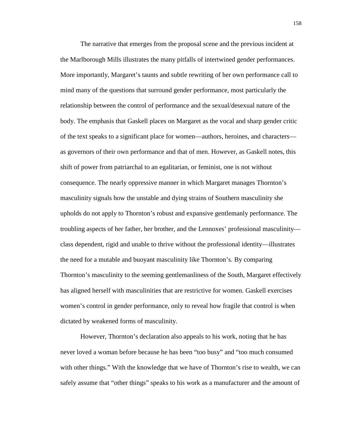The narrative that emerges from the proposal scene and the previous incident at the Marlborough Mills illustrates the many pitfalls of intertwined gender performances. More importantly, Margaret's taunts and subtle rewriting of her own performance call to mind many of the questions that surround gender performance, most particularly the relationship between the control of performance and the sexual/desexual nature of the body. The emphasis that Gaskell places on Margaret as the vocal and sharp gender critic of the text speaks to a significant place for women—authors, heroines, and characters as governors of their own performance and that of men. However, as Gaskell notes, this shift of power from patriarchal to an egalitarian, or feminist, one is not without consequence. The nearly oppressive manner in which Margaret manages Thornton's masculinity signals how the unstable and dying strains of Southern masculinity she upholds do not apply to Thornton's robust and expansive gentlemanly performance. The troubling aspects of her father, her brother, and the Lennoxes' professional masculinity class dependent, rigid and unable to thrive without the professional identity—illustrates the need for a mutable and buoyant masculinity like Thornton's. By comparing Thornton's masculinity to the seeming gentlemanliness of the South, Margaret effectively has aligned herself with masculinities that are restrictive for women. Gaskell exercises women's control in gender performance, only to reveal how fragile that control is when dictated by weakened forms of masculinity.

However, Thornton's declaration also appeals to his work, noting that he has never loved a woman before because he has been "too busy" and "too much consumed with other things." With the knowledge that we have of Thornton's rise to wealth, we can safely assume that "other things" speaks to his work as a manufacturer and the amount of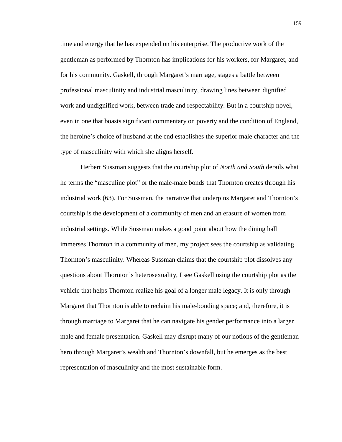time and energy that he has expended on his enterprise. The productive work of the gentleman as performed by Thornton has implications for his workers, for Margaret, and for his community. Gaskell, through Margaret's marriage, stages a battle between professional masculinity and industrial masculinity, drawing lines between dignified work and undignified work, between trade and respectability. But in a courtship novel, even in one that boasts significant commentary on poverty and the condition of England, the heroine's choice of husband at the end establishes the superior male character and the type of masculinity with which she aligns herself.

Herbert Sussman suggests that the courtship plot of *North and South* derails what he terms the "masculine plot" or the male-male bonds that Thornton creates through his industrial work (63). For Sussman, the narrative that underpins Margaret and Thornton's courtship is the development of a community of men and an erasure of women from industrial settings. While Sussman makes a good point about how the dining hall immerses Thornton in a community of men, my project sees the courtship as validating Thornton's masculinity. Whereas Sussman claims that the courtship plot dissolves any questions about Thornton's heterosexuality, I see Gaskell using the courtship plot as the vehicle that helps Thornton realize his goal of a longer male legacy. It is only through Margaret that Thornton is able to reclaim his male-bonding space; and, therefore, it is through marriage to Margaret that he can navigate his gender performance into a larger male and female presentation. Gaskell may disrupt many of our notions of the gentleman hero through Margaret's wealth and Thornton's downfall, but he emerges as the best representation of masculinity and the most sustainable form.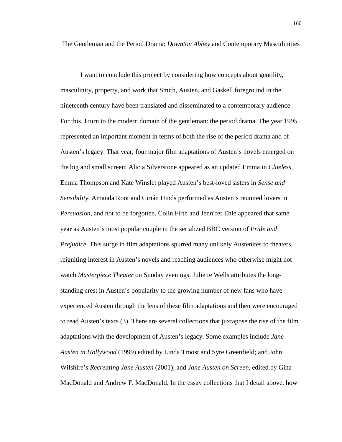The Gentleman and the Period Drama: *Downton Abbey* and Contemporary Masculinities

I want to conclude this project by considering how concepts about gentility, masculinity, property, and work that Smith, Austen, and Gaskell foreground in the nineteenth century have been translated and disseminated to a contemporary audience. For this, I turn to the modern domain of the gentleman: the period drama. The year 1995 represented an important moment in terms of both the rise of the period drama and of Austen's legacy. That year, four major film adaptations of Austen's novels emerged on the big and small screen: Alicia Silverstone appeared as an updated Emma in *Clueless*, Emma Thompson and Kate Winslet played Austen's best-loved sisters in *Sense and Sensibility*, Amanda Root and Cirián Hinds performed as Austen's reunited lovers in *Persuasion,* and not to be forgotten, Colin Firth and Jennifer Ehle appeared that same year as Austen's most popular couple in the serialized BBC version of *Pride and Prejudice*. This surge in film adaptations spurred many unlikely Austenites to theaters, reigniting interest in Austen's novels and reaching audiences who otherwise might not watch *Masterpiece Theater* on Sunday evenings. Juliette Wells attributes the longstanding crest in Austen's popularity to the growing number of new fans who have experienced Austen through the lens of these film adaptations and then were encouraged to read Austen's texts (3). There are several collections that juxtapose the rise of the film adaptations with the development of Austen's legacy. Some examples include *Jane Austen in Hollywood* (1999) edited by Linda Troost and Syre Greenfield; and John Wilshire's *Recreating Jane Austen* (2001); and *Jane Austen on Screen*, edited by Gina MacDonald and Andrew F. MacDonald. In the essay collections that I detail above, how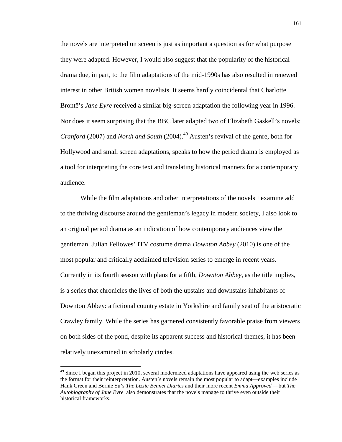the novels are interpreted on screen is just as important a question as for what purpose they were adapted. However, I would also suggest that the popularity of the historical drama due, in part, to the film adaptations of the mid-1990s has also resulted in renewed interest in other British women novelists. It seems hardly coincidental that Charlotte Brontë's *Jane Eyre* received a similar big-screen adaptation the following year in 1996. Nor does it seem surprising that the BBC later adapted two of Elizabeth Gaskell's novels: *Cranford* (2007) and *North and South* (2004).<sup>49</sup> Austen's revival of the genre, both for Hollywood and small screen adaptations, speaks to how the period drama is employed as a tool for interpreting the core text and translating historical manners for a contemporary audience.

While the film adaptations and other interpretations of the novels I examine add to the thriving discourse around the gentleman's legacy in modern society, I also look to an original period drama as an indication of how contemporary audiences view the gentleman. Julian Fellowes' ITV costume drama *Downton Abbey* (2010) is one of the most popular and critically acclaimed television series to emerge in recent years. Currently in its fourth season with plans for a fifth, *Downton Abbey*, as the title implies, is a series that chronicles the lives of both the upstairs and downstairs inhabitants of Downton Abbey: a fictional country estate in Yorkshire and family seat of the aristocratic Crawley family. While the series has garnered consistently favorable praise from viewers on both sides of the pond, despite its apparent success and historical themes, it has been relatively unexamined in scholarly circles.

 $49$  Since I began this project in 2010, several modernized adaptations have appeared using the web series as the format for their reinterpretation. Austen's novels remain the most popular to adapt—examples include Hank Green and Bernie Su's *The Lizzie Bennet Diaries* and their more recent *Emma Approved* —but *The Autobiography of Jane Eyre* also demonstrates that the novels manage to thrive even outside their historical frameworks.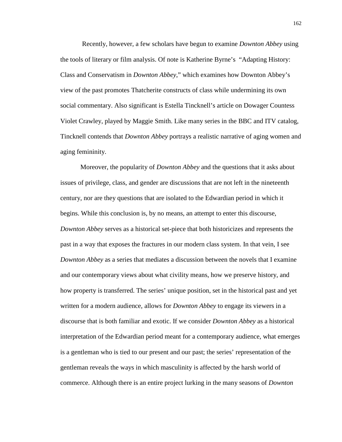Recently, however, a few scholars have begun to examine *Downton Abbey* using the tools of literary or film analysis. Of note is Katherine Byrne's "Adapting History: Class and Conservatism in *Downton Abbey*," which examines how Downton Abbey's view of the past promotes Thatcherite constructs of class while undermining its own social commentary. Also significant is Estella Tincknell's article on Dowager Countess Violet Crawley, played by Maggie Smith. Like many series in the BBC and ITV catalog, Tincknell contends that *Downton Abbey* portrays a realistic narrative of aging women and aging femininity.

Moreover, the popularity of *Downton Abbey* and the questions that it asks about issues of privilege, class, and gender are discussions that are not left in the nineteenth century, nor are they questions that are isolated to the Edwardian period in which it begins. While this conclusion is, by no means, an attempt to enter this discourse, *Downton Abbey* serves as a historical set-piece that both historicizes and represents the past in a way that exposes the fractures in our modern class system. In that vein, I see *Downton Abbey* as a series that mediates a discussion between the novels that I examine and our contemporary views about what civility means, how we preserve history, and how property is transferred. The series' unique position, set in the historical past and yet written for a modern audience, allows for *Downton Abbey* to engage its viewers in a discourse that is both familiar and exotic. If we consider *Downton Abbey* as a historical interpretation of the Edwardian period meant for a contemporary audience, what emerges is a gentleman who is tied to our present and our past; the series' representation of the gentleman reveals the ways in which masculinity is affected by the harsh world of commerce. Although there is an entire project lurking in the many seasons of *Downton*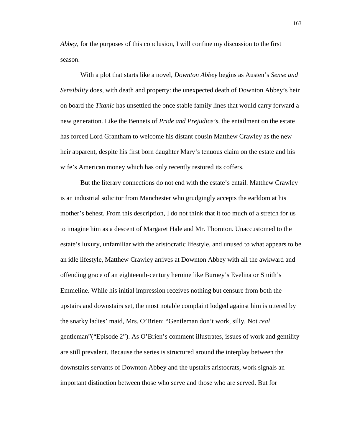*Abbey*, for the purposes of this conclusion, I will confine my discussion to the first season.

With a plot that starts like a novel, *Downton Abbey* begins as Austen's *Sense and Sensibility* does, with death and property: the unexpected death of Downton Abbey's heir on board the *Titanic* has unsettled the once stable family lines that would carry forward a new generation. Like the Bennets of *Pride and Prejudice's*, the entailment on the estate has forced Lord Grantham to welcome his distant cousin Matthew Crawley as the new heir apparent, despite his first born daughter Mary's tenuous claim on the estate and his wife's American money which has only recently restored its coffers.

But the literary connections do not end with the estate's entail. Matthew Crawley is an industrial solicitor from Manchester who grudgingly accepts the earldom at his mother's behest. From this description, I do not think that it too much of a stretch for us to imagine him as a descent of Margaret Hale and Mr. Thornton. Unaccustomed to the estate's luxury, unfamiliar with the aristocratic lifestyle, and unused to what appears to be an idle lifestyle, Matthew Crawley arrives at Downton Abbey with all the awkward and offending grace of an eighteenth-century heroine like Burney's Evelina or Smith's Emmeline. While his initial impression receives nothing but censure from both the upstairs and downstairs set, the most notable complaint lodged against him is uttered by the snarky ladies' maid, Mrs. O'Brien: "Gentleman don't work, silly. Not *real*  gentleman"("Episode 2"). As O'Brien's comment illustrates, issues of work and gentility are still prevalent. Because the series is structured around the interplay between the downstairs servants of Downton Abbey and the upstairs aristocrats, work signals an important distinction between those who serve and those who are served. But for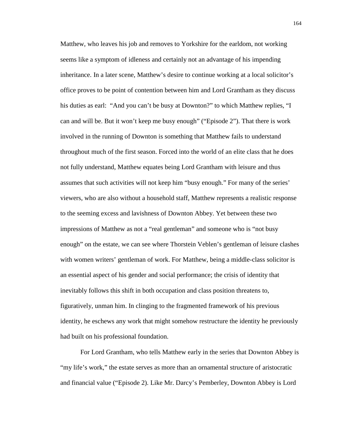Matthew, who leaves his job and removes to Yorkshire for the earldom, not working seems like a symptom of idleness and certainly not an advantage of his impending inheritance. In a later scene, Matthew's desire to continue working at a local solicitor's office proves to be point of contention between him and Lord Grantham as they discuss his duties as earl: "And you can't be busy at Downton?" to which Matthew replies, "I can and will be. But it won't keep me busy enough" ("Episode 2"). That there is work involved in the running of Downton is something that Matthew fails to understand throughout much of the first season. Forced into the world of an elite class that he does not fully understand, Matthew equates being Lord Grantham with leisure and thus assumes that such activities will not keep him "busy enough." For many of the series' viewers, who are also without a household staff, Matthew represents a realistic response to the seeming excess and lavishness of Downton Abbey. Yet between these two impressions of Matthew as not a "real gentleman" and someone who is "not busy enough" on the estate, we can see where Thorstein Veblen's gentleman of leisure clashes with women writers' gentleman of work. For Matthew, being a middle-class solicitor is an essential aspect of his gender and social performance; the crisis of identity that inevitably follows this shift in both occupation and class position threatens to, figuratively, unman him. In clinging to the fragmented framework of his previous identity, he eschews any work that might somehow restructure the identity he previously had built on his professional foundation.

For Lord Grantham, who tells Matthew early in the series that Downton Abbey is "my life's work," the estate serves as more than an ornamental structure of aristocratic and financial value ("Episode 2). Like Mr. Darcy's Pemberley, Downton Abbey is Lord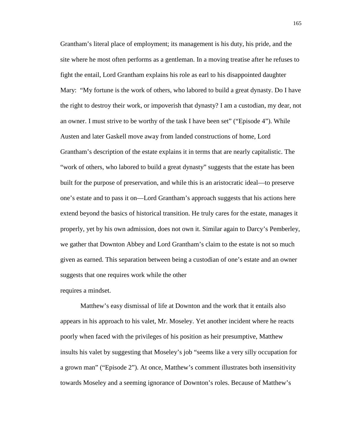Grantham's literal place of employment; its management is his duty, his pride, and the site where he most often performs as a gentleman. In a moving treatise after he refuses to fight the entail, Lord Grantham explains his role as earl to his disappointed daughter Mary: "My fortune is the work of others, who labored to build a great dynasty. Do I have the right to destroy their work, or impoverish that dynasty? I am a custodian, my dear, not an owner. I must strive to be worthy of the task I have been set" ("Episode 4"). While Austen and later Gaskell move away from landed constructions of home, Lord Grantham's description of the estate explains it in terms that are nearly capitalistic. The "work of others, who labored to build a great dynasty" suggests that the estate has been built for the purpose of preservation, and while this is an aristocratic ideal—to preserve one's estate and to pass it on—Lord Grantham's approach suggests that his actions here extend beyond the basics of historical transition. He truly cares for the estate, manages it properly, yet by his own admission, does not own it. Similar again to Darcy's Pemberley, we gather that Downton Abbey and Lord Grantham's claim to the estate is not so much given as earned. This separation between being a custodian of one's estate and an owner suggests that one requires work while the other

## requires a mindset.

Matthew's easy dismissal of life at Downton and the work that it entails also appears in his approach to his valet, Mr. Moseley. Yet another incident where he reacts poorly when faced with the privileges of his position as heir presumptive, Matthew insults his valet by suggesting that Moseley's job "seems like a very silly occupation for a grown man" ("Episode 2"). At once, Matthew's comment illustrates both insensitivity towards Moseley and a seeming ignorance of Downton's roles. Because of Matthew's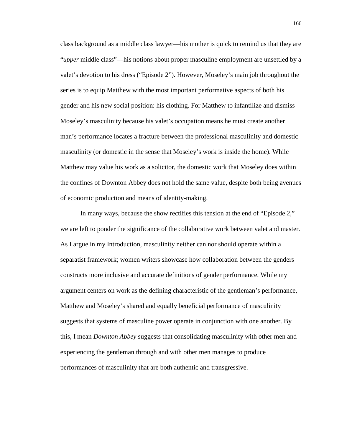class background as a middle class lawyer—his mother is quick to remind us that they are "*upper* middle class"—his notions about proper masculine employment are unsettled by a valet's devotion to his dress ("Episode 2"). However, Moseley's main job throughout the series is to equip Matthew with the most important performative aspects of both his gender and his new social position: his clothing. For Matthew to infantilize and dismiss Moseley's masculinity because his valet's occupation means he must create another man's performance locates a fracture between the professional masculinity and domestic masculinity (or domestic in the sense that Moseley's work is inside the home). While Matthew may value his work as a solicitor, the domestic work that Moseley does within the confines of Downton Abbey does not hold the same value, despite both being avenues of economic production and means of identity-making.

In many ways, because the show rectifies this tension at the end of "Episode 2," we are left to ponder the significance of the collaborative work between valet and master. As I argue in my Introduction, masculinity neither can nor should operate within a separatist framework; women writers showcase how collaboration between the genders constructs more inclusive and accurate definitions of gender performance. While my argument centers on work as the defining characteristic of the gentleman's performance, Matthew and Moseley's shared and equally beneficial performance of masculinity suggests that systems of masculine power operate in conjunction with one another. By this, I mean *Downton Abbey* suggests that consolidating masculinity with other men and experiencing the gentleman through and with other men manages to produce performances of masculinity that are both authentic and transgressive.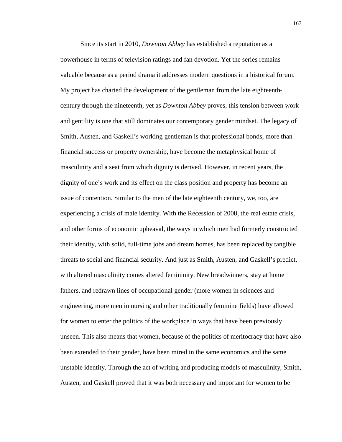Since its start in 2010, *Downton Abbey* has established a reputation as a powerhouse in terms of television ratings and fan devotion. Yet the series remains valuable because as a period drama it addresses modern questions in a historical forum. My project has charted the development of the gentleman from the late eighteenthcentury through the nineteenth, yet as *Downton Abbey* proves, this tension between work and gentility is one that still dominates our contemporary gender mindset. The legacy of Smith, Austen, and Gaskell's working gentleman is that professional bonds, more than financial success or property ownership, have become the metaphysical home of masculinity and a seat from which dignity is derived. However, in recent years, the dignity of one's work and its effect on the class position and property has become an issue of contention. Similar to the men of the late eighteenth century, we, too, are experiencing a crisis of male identity. With the Recession of 2008, the real estate crisis, and other forms of economic upheaval, the ways in which men had formerly constructed their identity, with solid, full-time jobs and dream homes, has been replaced by tangible threats to social and financial security. And just as Smith, Austen, and Gaskell's predict, with altered masculinity comes altered femininity. New breadwinners, stay at home fathers, and redrawn lines of occupational gender (more women in sciences and engineering, more men in nursing and other traditionally feminine fields) have allowed for women to enter the politics of the workplace in ways that have been previously unseen. This also means that women, because of the politics of meritocracy that have also been extended to their gender, have been mired in the same economics and the same unstable identity. Through the act of writing and producing models of masculinity, Smith, Austen, and Gaskell proved that it was both necessary and important for women to be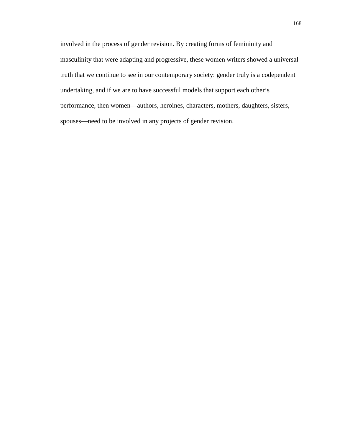involved in the process of gender revision. By creating forms of femininity and masculinity that were adapting and progressive, these women writers showed a universal truth that we continue to see in our contemporary society: gender truly is a codependent undertaking, and if we are to have successful models that support each other's performance, then women—authors, heroines, characters, mothers, daughters, sisters, spouses—need to be involved in any projects of gender revision.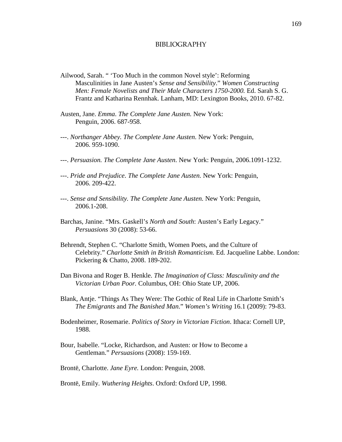## BIBLIOGRAPHY

- Ailwood, Sarah. " 'Too Much in the common Novel style': Reforming Masculinities in Jane Austen's *Sense and Sensibility*." *Women Constructing Men: Female Novelists and Their Male Characters 1750-2000.* Ed. Sarah S. G. Frantz and Katharina Rennhak. Lanham, MD: Lexington Books, 2010. 67-82.
- Austen, Jane. *Emma*. *The Complete Jane Austen.* New York: Penguin, 2006. 687-958.
- ---. *Northanger Abbey. The Complete Jane Austen.* New York: Penguin, 2006. 959-1090.
- ---. *Persuasion. The Complete Jane Austen*. New York: Penguin, 2006.1091-1232.
- ---. *Pride and Prejudice*. *The Complete Jane Austen.* New York: Penguin, 2006. 209-422.
- ---. *Sense and Sensibility. The Complete Jane Austen.* New York: Penguin, 2006.1-208.
- Barchas, Janine. "Mrs. Gaskell's *North and South*: Austen's Early Legacy." *Persuasions* 30 (2008): 53-66.
- Behrendt, Stephen C. "Charlotte Smith, Women Poets, and the Culture of Celebrity." *Charlotte Smith in British Romanticism.* Ed. Jacqueline Labbe. London: Pickering & Chatto, 2008. 189-202.
- Dan Bivona and Roger B. Henkle. *The Imagination of Class: Masculinity and the Victorian Urban Poor.* Columbus, OH: Ohio State UP, 2006.
- Blank, Antje. "Things As They Were: The Gothic of Real Life in Charlotte Smith's *The Emigrants* and *The Banished Man*." *Women's Writing* 16.1 (2009): 79-83.
- Bodenheimer, Rosemarie. *Politics of Story in Victorian Fiction*. Ithaca: Cornell UP, 1988.
- Bour, Isabelle. "Locke, Richardson, and Austen: or How to Become a Gentleman." *Persuasions* (2008): 159-169.
- Brontë, Charlotte. *Jane Eyre.* London: Penguin, 2008.

Brontë, Emily. *Wuthering Heights*. Oxford: Oxford UP, 1998.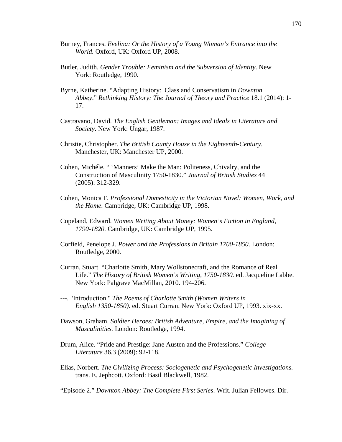- Burney, Frances. *Evelina: Or the History of a Young Woman's Entrance into the World.* Oxford, UK: Oxford UP, 2008.
- Butler, Judith. *Gender Trouble: Feminism and the Subversion of Identity*. New York: Routledge, 1990**.**
- Byrne, Katherine. "Adapting History: Class and Conservatism in *Downton Abbey*." *Rethinking History: The Journal of Theory and Practice* 18.1 (2014): 1- 17.
- Castravano, David. *The English Gentleman: Images and Ideals in Literature and Society*. New York: Ungar, 1987.
- Christie, Christopher. *The British County House in the Eighteenth-Century*. Manchester, UK: Manchester UP, 2000.
- Cohen, Michéle. " 'Manners' Make the Man: Politeness, Chivalry, and the Construction of Masculinity 1750-1830." *Journal of British Studies* 44 (2005): 312-329.
- Cohen, Monica F. *Professional Domesticity in the Victorian Novel: Women, Work, and the Home*. Cambridge, UK: Cambridge UP, 1998.
- Copeland, Edward. *Women Writing About Money: Women's Fiction in England, 1790-1820.* Cambridge, UK: Cambridge UP, 1995.
- Corfield, Penelope J. *Power and the Professions in Britain 1700-1850*. London: Routledge, 2000.
- Curran, Stuart. "Charlotte Smith, Mary Wollstonecraft, and the Romance of Real Life." *The History of British Women's Writing, 1750-1830.* ed. Jacqueline Labbe. New York: Palgrave MacMillan, 2010. 194-206.
- ---. "Introduction." *The Poems of Charlotte Smith (Women Writers in English 1350-1850).* ed. Stuart Curran. New York: Oxford UP, 1993. xix-xx.
- Dawson, Graham. *Soldier Heroes: British Adventure, Empire, and the Imagining of Masculinities.* London: Routledge, 1994.
- Drum, Alice. "Pride and Prestige: Jane Austen and the Professions." *College Literature* 36.3 (2009): 92-118.
- Elias, Norbert. *The Civilizing Process: Sociogenetic and Psychogenetic Investigations.* trans. E. Jephcott. Oxford: Basil Blackwell, 1982.

"Episode 2." *Downton Abbey: The Complete First Series*. Writ. Julian Fellowes. Dir.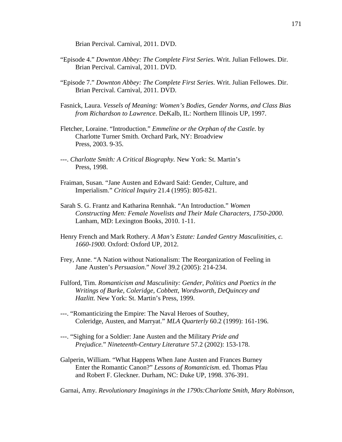Brian Percival. Carnival, 2011. DVD.

- "Episode 4." *Downton Abbey: The Complete First Series*. Writ. Julian Fellowes. Dir. Brian Percival. Carnival, 2011. DVD.
- "Episode 7." *Downton Abbey: The Complete First Series*. Writ. Julian Fellowes. Dir. Brian Percival. Carnival, 2011. DVD.
- Fasnick, Laura. *Vessels of Meaning: Women's Bodies, Gender Norms, and Class Bias from Richardson to Lawrence*. DeKalb, IL: Northern Illinois UP, 1997.
- Fletcher, Loraine. "Introduction." *Emmeline or the Orphan of the Castle.* by Charlotte Turner Smith. Orchard Park, NY: Broadview Press, 2003. 9-35.
- ---. *Charlotte Smith: A Critical Biography.* New York: St. Martin's Press, 1998.
- Fraiman, Susan. "Jane Austen and Edward Said: Gender, Culture, and Imperialism." *Critical Inquiry* 21.4 (1995): 805-821.
- Sarah S. G. Frantz and Katharina Rennhak. "An Introduction." *Women Constructing Men: Female Novelists and Their Male Characters, 1750-2000*. Lanham, MD: Lexington Books, 2010. 1-11.
- Henry French and Mark Rothery. *A Man's Estate: Landed Gentry Masculinities, c. 1660-1900.* Oxford: Oxford UP, 2012.
- Frey, Anne. "A Nation without Nationalism: The Reorganization of Feeling in Jane Austen's *Persuasion*." *Novel* 39.2 (2005): 214-234.
- Fulford, Tim. *Romanticism and Masculinity: Gender, Politics and Poetics in the Writings of Burke, Coleridge, Cobbett, Wordsworth, DeQuincey and Hazlitt.* New York: St. Martin's Press, 1999.
- ---. "Romanticizing the Empire: The Naval Heroes of Southey, Coleridge, Austen, and Marryat." *MLA Quarterly* 60.2 (1999): 161-196.
- ---. "Sighing for a Soldier: Jane Austen and the Military *Pride and Prejudice.*" *Nineteenth-Century Literature* 57.2 (2002): 153-178.
- Galperin, William. "What Happens When Jane Austen and Frances Burney Enter the Romantic Canon?" *Lessons of Romanticism*. ed. Thomas Pfau and Robert F. Gleckner. Durham, NC: Duke UP, 1998. 376-391.

Garnai, Amy. *Revolutionary Imaginings in the 1790s:Charlotte Smith, Mary Robinson,*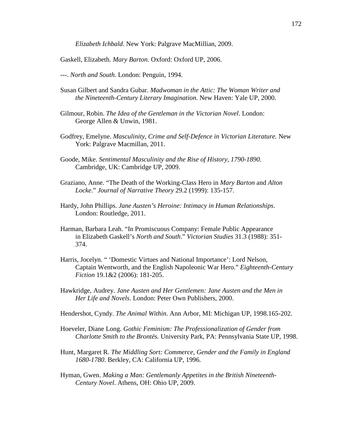*Elizabeth Ichbald*. New York: Palgrave MacMillian, 2009.

Gaskell, Elizabeth. *Mary Barton*. Oxford: Oxford UP, 2006.

- ---. *North and South*. London: Penguin, 1994.
- Susan Gilbert and Sandra Gubar. *Madwoman in the Attic: The Woman Writer and the Nineteenth-Century Literary Imagination*. New Haven: Yale UP, 2000.
- Gilmour, Robin. *The Idea of the Gentleman in the Victorian Novel*. London: George Allen & Unwin, 1981.
- Godfrey, Emelyne. *Masculinity, Crime and Self-Defence in Victorian Literature.* New York: Palgrave Macmillan, 2011.
- Goode, Mike. *Sentimental Masculinity and the Rise of History, 1790-1890.* Cambridge, UK: Cambridge UP, 2009.
- Graziano, Anne. "The Death of the Working-Class Hero in *Mary Barton* and *Alton Locke*." *Journal of Narrative Theory* 29.2 (1999): 135-157.
- Hardy, John Phillips. *Jane Austen's Heroine: Intimacy in Human Relationships*. London: Routledge, 2011.
- Harman, Barbara Leah. "In Promiscuous Company: Female Public Appearance in Elizabeth Gaskell's *North and South*." *Victorian Studies* 31.3 (1988): 351- 374.
- Harris, Jocelyn. " 'Domestic Virtues and National Importance': Lord Nelson, Captain Wentworth, and the English Napoleonic War Hero." *Eighteenth-Century Fiction* 19.1&2 (2006): 181-205.
- Hawkridge, Audrey. *Jane Austen and Her Gentlemen: Jane Austen and the Men in Her Life and Novels*. London: Peter Own Publishers, 2000.
- Hendershot, Cyndy. *The Animal Within.* Ann Arbor, MI: Michigan UP, 1998.165-202.
- Hoeveler, Diane Long. *Gothic Feminism: The Professionalization of Gender from Charlotte Smith to the Brontës.* University Park, PA: Pennsylvania State UP, 1998.
- Hunt, Margaret R. *The Middling Sort: Commerce, Gender and the Family in England 1680-1780*. Berkley, CA: California UP, 1996.
- Hyman, Gwen. *Making a Man: Gentlemanly Appetites in the British Nineteenth-Century Novel*. Athens, OH: Ohio UP, 2009.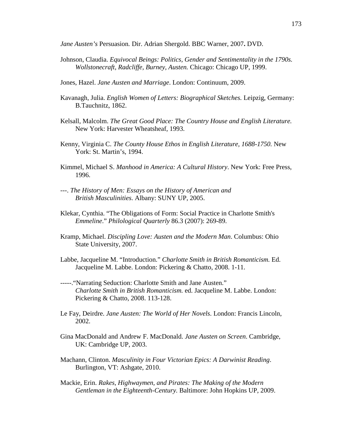*Jane Austen's* Persuasion*.* Dir. Adrian Shergold. BBC Warner, 2007**.** DVD.

- Johnson, Claudia. *Equivocal Beings: Politics, Gender and Sentimentality in the 1790s. Wollstonecraft, Radcliffe, Burney, Austen.* Chicago: Chicago UP, 1999.
- Jones, Hazel. *Jane Austen and Marriage*. London: Continuum, 2009.
- Kavanagh, Julia. *English Women of Letters: Biographical Sketches.* Leipzig, Germany: B.Tauchnitz, 1862.
- Kelsall, Malcolm. *The Great Good Place: The Country House and English Literature.*  New York: Harvester Wheatsheaf, 1993.
- Kenny, Virginia C. *The County House Ethos in English Literature, 1688-1750.* New York: St. Martin's, 1994.
- Kimmel, Michael S. *Manhood in America: A Cultural History*. New York: Free Press, 1996.
- ---. *The History of Men: Essays on the History of American and British Masculinities*. Albany: SUNY UP, 2005.
- Klekar, Cynthia. "The Obligations of Form: Social Practice in Charlotte Smith's *Emmeline*." *Philological Quarterly* 86.3 (2007): 269-89.
- Kramp, Michael. *Discipling Love: Austen and the Modern Man*. Columbus: Ohio State University, 2007.
- Labbe, Jacqueline M. "Introduction." *Charlotte Smith in British Romanticism.* Ed. Jacqueline M. Labbe. London: Pickering & Chatto, 2008. 1-11.
- -----."Narrating Seduction: Charlotte Smith and Jane Austen." *Charlotte Smith in British Romanticism.* ed. Jacqueline M. Labbe. London: Pickering & Chatto, 2008. 113-128.
- Le Fay, Deirdre. *Jane Austen: The World of Her Novels*. London: Francis Lincoln, 2002.
- Gina MacDonald and Andrew F. MacDonald. *Jane Austen on Screen*. Cambridge, UK: Cambridge UP, 2003.
- Machann, Clinton. *Masculinity in Four Victorian Epics: A Darwinist Reading*. Burlington, VT: Ashgate, 2010.
- Mackie, Erin. *Rakes, Highwaymen, and Pirates: The Making of the Modern Gentleman in the Eighteenth-Century.* Baltimore: John Hopkins UP, 2009.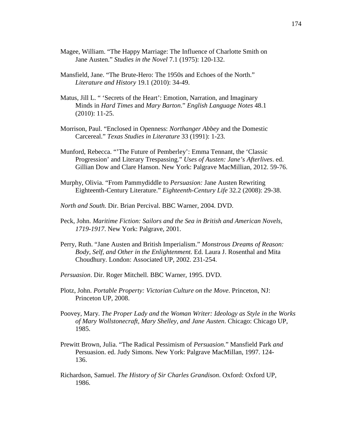- Magee, William. "The Happy Marriage: The Influence of Charlotte Smith on Jane Austen." *Studies in the Novel* 7.1 (1975): 120-132.
- Mansfield, Jane. "The Brute-Hero: The 1950s and Echoes of the North." *Literature and History* 19.1 (2010): 34-49.
- Matus, Jill L. " 'Secrets of the Heart': Emotion, Narration, and Imaginary Minds in *Hard Times* and *Mary Barton*." *English Language Notes* 48.1 (2010): 11-25.
- Morrison, Paul. "Enclosed in Openness: *Northanger Abbey* and the Domestic Carcereal." *Texas Studies in Literature* 33 (1991): 1-23.
- Munford, Rebecca. "'The Future of Pemberley': Emma Tennant, the 'Classic Progression' and Literary Trespassing." *Uses of Austen: Jane's Afterlives*. ed. Gillian Dow and Clare Hanson. New York: Palgrave MacMillian, 2012. 59-76.
- Murphy, Olivia. "From Pammydiddle to *Persuasion:* Jane Austen Rewriting Eighteenth-Century Literature." *Eighteenth-Century Life* 32.2 (2008): 29-38.
- *North and South.* Dir. Brian Percival. BBC Warner, 2004. DVD.
- Peck, John. *Maritime Fiction: Sailors and the Sea in British and American Novels, 1719-1917*. New York: Palgrave, 2001.
- Perry, Ruth. "Jane Austen and British Imperialism." *Monstrous Dreams of Reason: Body, Self, and Other in the Enlightenment.* Ed. Laura J. Rosenthal and Mita Choudhury. London: Associated UP, 2002. 231-254.
- *Persuasion*. Dir. Roger Mitchell. BBC Warner, 1995. DVD.
- Plotz, John. *Portable Property: Victorian Culture on the Move*. Princeton, NJ: Princeton UP, 2008.
- Poovey, Mary. *The Proper Lady and the Woman Writer: Ideology as Style in the Works of Mary Wollstonecraft, Mary Shelley, and Jane Austen*. Chicago: Chicago UP, 1985.
- Prewitt Brown, Julia. "The Radical Pessimism of *Persuasion.*" Mansfield Park *and*  Persuasion. ed. Judy Simons. New York: Palgrave MacMillan, 1997. 124- 136.
- Richardson, Samuel. *The History of Sir Charles Grandison*. Oxford: Oxford UP, 1986.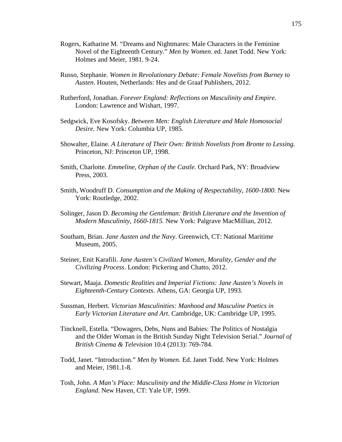- Rogers, Katharine M. "Dreams and Nightmares: Male Characters in the Feminine Novel of the Eighteenth Century." *Men by Women*. ed. Janet Todd. New York: Holmes and Meier, 1981. 9-24.
- Russo, Stephanie. *Women in Revolutionary Debate: Female Novelists from Burney to Austen*. Houten, Netherlands: Hes and de Graaf Publishers, 2012.
- Rutherford, Jonathan. *Forever England: Reflections on Masculinity and Empire*. London: Lawrence and Wishart, 1997.
- Sedgwick, Eve Kosofsky. *Between Men: English Literature and Male Homosocial Desire.* New York: Columbia UP, 1985.
- Showalter, Elaine. *A Literature of Their Own: British Novelists from Bronte to Lessing.*  Princeton, NJ: Princeton UP, 1998.
- Smith, Charlotte. *Emmeline, Orphan of the Castle.* Orchard Park, NY: Broadview Press, 2003.
- Smith, Woodruff D. *Consumption and the Making of Respectability, 1600-1800*. New York: Routledge, 2002.
- Solinger, Jason D. *Becoming the Gentleman: British Literature and the Invention of Modern Masculinity, 1660-1815.* New York: Palgrave MacMillian, 2012.
- Southam, Brian. *Jane Austen and the Navy*. Greenwich, CT: National Maritime Museum, 2005.
- Steiner, Enit Karafili. *Jane Austen's Civilized Women, Morality, Gender and the Civilizing Process*. London: Pickering and Chatto, 2012.
- Stewart, Maaja. *Domestic Realities and Imperial Fictions: Jane Austen's Novels in Eighteenth-Century Contexts*. Athens, GA: Georgia UP, 1993.
- Sussman, Herbert. *Victorian Masculinities: Manhood and Masculine Poetics in Early Victorian Literature and Art.* Cambridge, UK: Cambridge UP, 1995.
- Tincknell, Estella. "Dowagers, Debs, Nuns and Babies: The Politics of Nostalgia and the Older Woman in the British Sunday Night Television Serial." *Journal of British Cinema & Television* 10.4 (2013): 769-784.
- Todd, Janet. "Introduction." *Men by Women*. Ed. Janet Todd. New York: Holmes and Meier, 1981.1-8.
- Tosh, John. *A Man's Place: Masculinity and the Middle-Class Home in Victorian England.* New Haven, CT: Yale UP, 1999.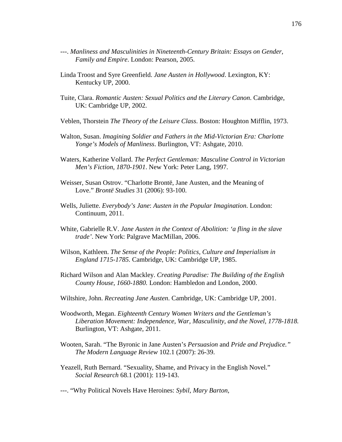- ---. *Manliness and Masculinities in Nineteenth-Century Britain: Essays on Gender, Family and Empire*. London: Pearson, 2005.
- Linda Troost and Syre Greenfield. *Jane Austen in Hollywood*. Lexington, KY: Kentucky UP, 2000.
- Tuite, Clara. *Romantic Austen: Sexual Politics and the Literary Canon*. Cambridge, UK: Cambridge UP, 2002.
- Veblen, Thorstein *The Theory of the Leisure Class*. Boston: Houghton Mifflin, 1973.
- Walton, Susan. *Imagining Soldier and Fathers in the Mid-Victorian Era: Charlotte Yonge's Models of Manliness*. Burlington, VT: Ashgate, 2010.
- Waters, Katherine Vollard. *The Perfect Gentleman: Masculine Control in Victorian Men's Fiction, 1870-1901*. New York: Peter Lang, 1997.
- Weisser, Susan Ostrov. "Charlotte Brontë, Jane Austen, and the Meaning of Love." *Brontë Studies* 31 (2006): 93-100.
- Wells, Juliette. *Everybody's Jane*: *Austen in the Popular Imagination*. London: Continuum, 2011.
- White, Gabrielle R.V. *Jane Austen in the Context of Abolition: 'a fling in the slave trade'*. New York: Palgrave MacMillan, 2006.
- Wilson, Kathleen. *The Sense of the People: Politics, Culture and Imperialism in England 1715-1785.* Cambridge, UK: Cambridge UP, 1985.
- Richard Wilson and Alan Mackley. *Creating Paradise: The Building of the English County House, 1660-1880.* London: Hambledon and London, 2000.
- Wiltshire, John. *Recreating Jane Austen*. Cambridge, UK: Cambridge UP, 2001.
- Woodworth, Megan. *Eighteenth Century Women Writers and the Gentleman's Liberation Movement: Independence, War, Masculinity, and the Novel, 1778-1818.* Burlington, VT: Ashgate, 2011.
- Wooten, Sarah. "The Byronic in Jane Austen's *Persuasion* and *Pride and Prejudice." The Modern Language Review* 102.1 (2007): 26-39.
- Yeazell, Ruth Bernard. "Sexuality, Shame, and Privacy in the English Novel." *Social Research* 68.1 (2001): 119-143.

---. "Why Political Novels Have Heroines: *Sybil*, *Mary Barton*,